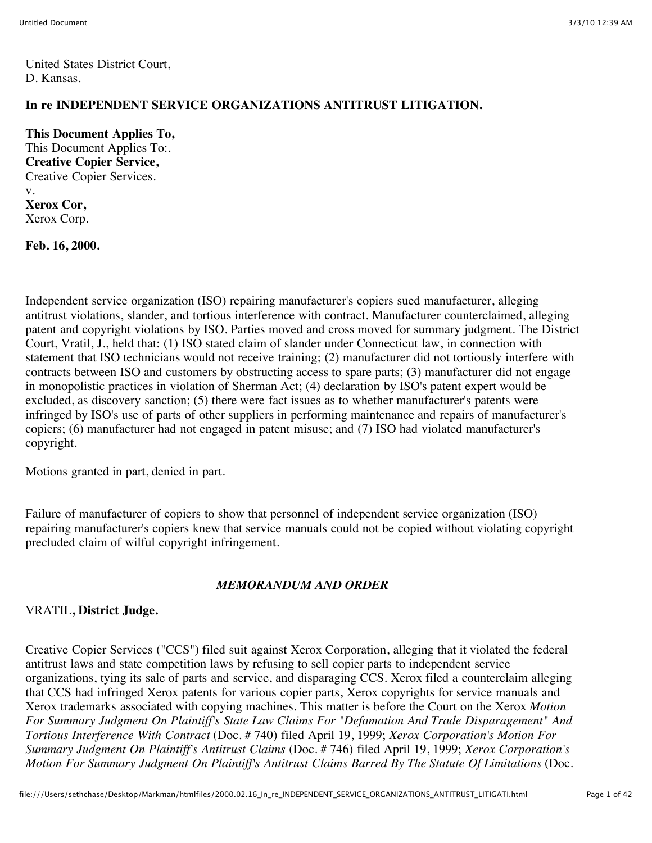United States District Court, D. Kansas.

## **In re INDEPENDENT SERVICE ORGANIZATIONS ANTITRUST LITIGATION.**

**This Document Applies To,** This Document Applies To:. **Creative Copier Service,** Creative Copier Services. v. **Xerox Cor,** Xerox Corp.

**Feb. 16, 2000.**

Independent service organization (ISO) repairing manufacturer's copiers sued manufacturer, alleging antitrust violations, slander, and tortious interference with contract. Manufacturer counterclaimed, alleging patent and copyright violations by ISO. Parties moved and cross moved for summary judgment. The District Court, Vratil, J., held that: (1) ISO stated claim of slander under Connecticut law, in connection with statement that ISO technicians would not receive training; (2) manufacturer did not tortiously interfere with contracts between ISO and customers by obstructing access to spare parts; (3) manufacturer did not engage in monopolistic practices in violation of Sherman Act; (4) declaration by ISO's patent expert would be excluded, as discovery sanction; (5) there were fact issues as to whether manufacturer's patents were infringed by ISO's use of parts of other suppliers in performing maintenance and repairs of manufacturer's copiers; (6) manufacturer had not engaged in patent misuse; and (7) ISO had violated manufacturer's copyright.

Motions granted in part, denied in part.

Failure of manufacturer of copiers to show that personnel of independent service organization (ISO) repairing manufacturer's copiers knew that service manuals could not be copied without violating copyright precluded claim of wilful copyright infringement.

#### *MEMORANDUM AND ORDER*

#### VRATIL**, District Judge.**

Creative Copier Services ("CCS") filed suit against Xerox Corporation, alleging that it violated the federal antitrust laws and state competition laws by refusing to sell copier parts to independent service organizations, tying its sale of parts and service, and disparaging CCS. Xerox filed a counterclaim alleging that CCS had infringed Xerox patents for various copier parts, Xerox copyrights for service manuals and Xerox trademarks associated with copying machines. This matter is before the Court on the Xerox *Motion For Summary Judgment On Plaintiff's State Law Claims For "Defamation And Trade Disparagement" And Tortious Interference With Contract* (Doc. # 740) filed April 19, 1999; *Xerox Corporation's Motion For Summary Judgment On Plaintiff's Antitrust Claims* (Doc. # 746) filed April 19, 1999; *Xerox Corporation's Motion For Summary Judgment On Plaintiff's Antitrust Claims Barred By The Statute Of Limitations* (Doc.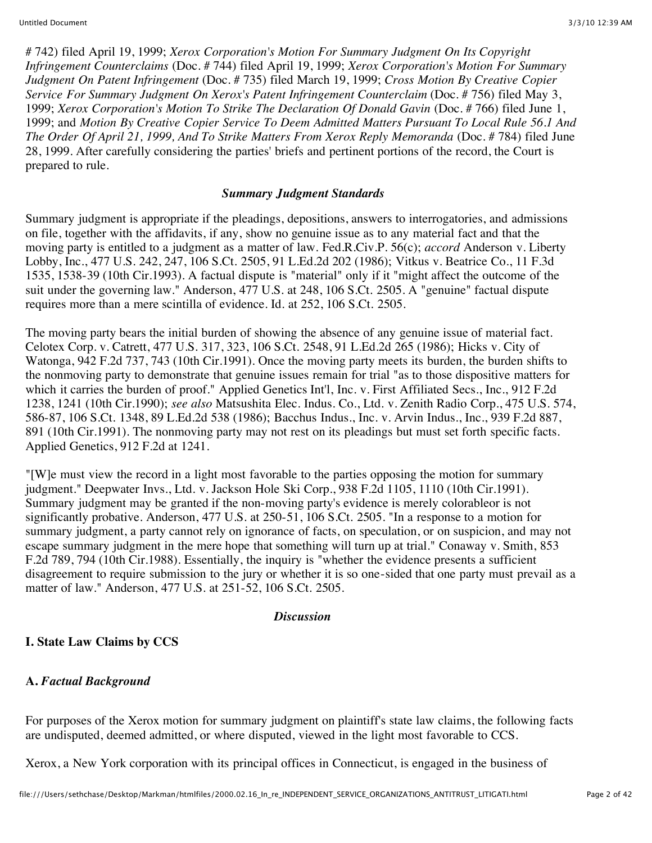# 742) filed April 19, 1999; *Xerox Corporation's Motion For Summary Judgment On Its Copyright Infringement Counterclaims* (Doc. # 744) filed April 19, 1999; *Xerox Corporation's Motion For Summary Judgment On Patent Infringement* (Doc. # 735) filed March 19, 1999; *Cross Motion By Creative Copier Service For Summary Judgment On Xerox's Patent Infringement Counterclaim* (Doc. # 756) filed May 3, 1999; *Xerox Corporation's Motion To Strike The Declaration Of Donald Gavin* (Doc. # 766) filed June 1, 1999; and *Motion By Creative Copier Service To Deem Admitted Matters Pursuant To Local Rule 56.1 And The Order Of April 21, 1999, And To Strike Matters From Xerox Reply Memoranda* (Doc. # 784) filed June 28, 1999. After carefully considering the parties' briefs and pertinent portions of the record, the Court is prepared to rule.

#### *Summary Judgment Standards*

Summary judgment is appropriate if the pleadings, depositions, answers to interrogatories, and admissions on file, together with the affidavits, if any, show no genuine issue as to any material fact and that the moving party is entitled to a judgment as a matter of law. Fed.R.Civ.P. 56(c); *accord* Anderson v. Liberty Lobby, Inc., 477 U.S. 242, 247, 106 S.Ct. 2505, 91 L.Ed.2d 202 (1986); Vitkus v. Beatrice Co., 11 F.3d 1535, 1538-39 (10th Cir.1993). A factual dispute is "material" only if it "might affect the outcome of the suit under the governing law." Anderson, 477 U.S. at 248, 106 S.Ct. 2505. A "genuine" factual dispute requires more than a mere scintilla of evidence. Id. at 252, 106 S.Ct. 2505.

The moving party bears the initial burden of showing the absence of any genuine issue of material fact. Celotex Corp. v. Catrett, 477 U.S. 317, 323, 106 S.Ct. 2548, 91 L.Ed.2d 265 (1986); Hicks v. City of Watonga, 942 F.2d 737, 743 (10th Cir.1991). Once the moving party meets its burden, the burden shifts to the nonmoving party to demonstrate that genuine issues remain for trial "as to those dispositive matters for which it carries the burden of proof." Applied Genetics Int'l, Inc. v. First Affiliated Secs., Inc., 912 F.2d 1238, 1241 (10th Cir.1990); *see also* Matsushita Elec. Indus. Co., Ltd. v. Zenith Radio Corp., 475 U.S. 574, 586-87, 106 S.Ct. 1348, 89 L.Ed.2d 538 (1986); Bacchus Indus., Inc. v. Arvin Indus., Inc., 939 F.2d 887, 891 (10th Cir.1991). The nonmoving party may not rest on its pleadings but must set forth specific facts. Applied Genetics, 912 F.2d at 1241.

"[W]e must view the record in a light most favorable to the parties opposing the motion for summary judgment." Deepwater Invs., Ltd. v. Jackson Hole Ski Corp., 938 F.2d 1105, 1110 (10th Cir.1991). Summary judgment may be granted if the non-moving party's evidence is merely colorableor is not significantly probative. Anderson, 477 U.S. at 250-51, 106 S.Ct. 2505. "In a response to a motion for summary judgment, a party cannot rely on ignorance of facts, on speculation, or on suspicion, and may not escape summary judgment in the mere hope that something will turn up at trial." Conaway v. Smith, 853 F.2d 789, 794 (10th Cir.1988). Essentially, the inquiry is "whether the evidence presents a sufficient disagreement to require submission to the jury or whether it is so one-sided that one party must prevail as a matter of law." Anderson, 477 U.S. at 251-52, 106 S.Ct. 2505.

#### *Discussion*

#### **I. State Law Claims by CCS**

#### **A.** *Factual Background*

For purposes of the Xerox motion for summary judgment on plaintiff's state law claims, the following facts are undisputed, deemed admitted, or where disputed, viewed in the light most favorable to CCS.

Xerox, a New York corporation with its principal offices in Connecticut, is engaged in the business of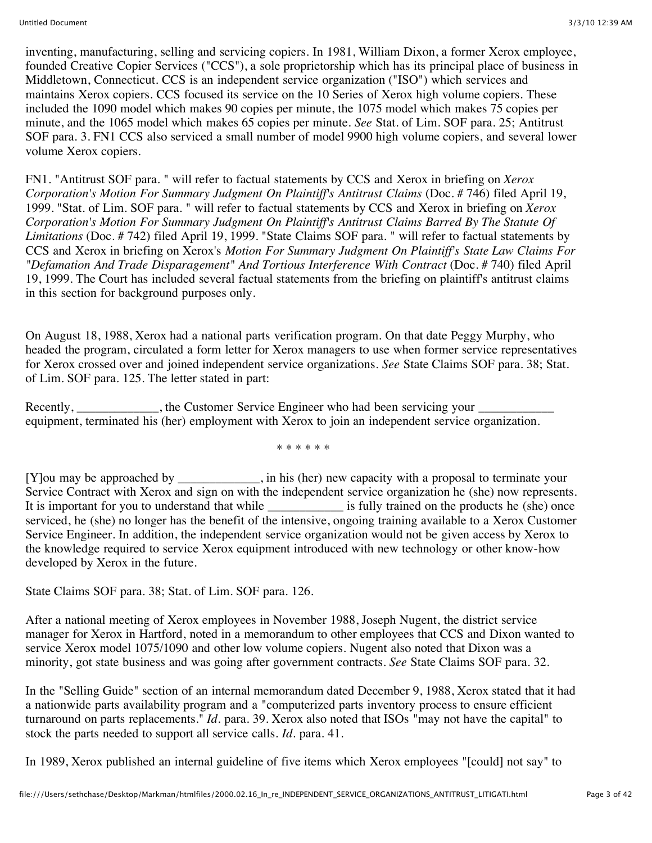inventing, manufacturing, selling and servicing copiers. In 1981, William Dixon, a former Xerox employee, founded Creative Copier Services ("CCS"), a sole proprietorship which has its principal place of business in Middletown, Connecticut. CCS is an independent service organization ("ISO") which services and maintains Xerox copiers. CCS focused its service on the 10 Series of Xerox high volume copiers. These included the 1090 model which makes 90 copies per minute, the 1075 model which makes 75 copies per minute, and the 1065 model which makes 65 copies per minute. *See* Stat. of Lim. SOF para. 25; Antitrust SOF para. 3. FN1 CCS also serviced a small number of model 9900 high volume copiers, and several lower volume Xerox copiers.

FN1. "Antitrust SOF para. " will refer to factual statements by CCS and Xerox in briefing on *Xerox Corporation's Motion For Summary Judgment On Plaintiff's Antitrust Claims* (Doc. # 746) filed April 19, 1999. "Stat. of Lim. SOF para. " will refer to factual statements by CCS and Xerox in briefing on *Xerox Corporation's Motion For Summary Judgment On Plaintiff's Antitrust Claims Barred By The Statute Of Limitations* (Doc. # 742) filed April 19, 1999. "State Claims SOF para. " will refer to factual statements by CCS and Xerox in briefing on Xerox's *Motion For Summary Judgment On Plaintiff's State Law Claims For "Defamation And Trade Disparagement" And Tortious Interference With Contract* (Doc. # 740) filed April 19, 1999. The Court has included several factual statements from the briefing on plaintiff's antitrust claims in this section for background purposes only.

On August 18, 1988, Xerox had a national parts verification program. On that date Peggy Murphy, who headed the program, circulated a form letter for Xerox managers to use when former service representatives for Xerox crossed over and joined independent service organizations. *See* State Claims SOF para. 38; Stat. of Lim. SOF para. 125. The letter stated in part:

Recently, the Customer Service Engineer who had been servicing your equipment, terminated his (her) employment with Xerox to join an independent service organization.

\* \* \* \* \* \*

[Y]ou may be approached by \_\_\_\_\_\_\_\_\_\_\_\_\_, in his (her) new capacity with a proposal to terminate your Service Contract with Xerox and sign on with the independent service organization he (she) now represents. It is important for you to understand that while \_\_\_\_\_\_\_\_\_\_\_\_\_\_\_\_ is fully trained on the products he (she) once serviced, he (she) no longer has the benefit of the intensive, ongoing training available to a Xerox Customer Service Engineer. In addition, the independent service organization would not be given access by Xerox to the knowledge required to service Xerox equipment introduced with new technology or other know-how developed by Xerox in the future.

State Claims SOF para. 38; Stat. of Lim. SOF para. 126.

After a national meeting of Xerox employees in November 1988, Joseph Nugent, the district service manager for Xerox in Hartford, noted in a memorandum to other employees that CCS and Dixon wanted to service Xerox model 1075/1090 and other low volume copiers. Nugent also noted that Dixon was a minority, got state business and was going after government contracts. *See* State Claims SOF para. 32.

In the "Selling Guide" section of an internal memorandum dated December 9, 1988, Xerox stated that it had a nationwide parts availability program and a "computerized parts inventory process to ensure efficient turnaround on parts replacements." *Id.* para. 39. Xerox also noted that ISOs "may not have the capital" to stock the parts needed to support all service calls. *Id.* para. 41.

In 1989, Xerox published an internal guideline of five items which Xerox employees "[could] not say" to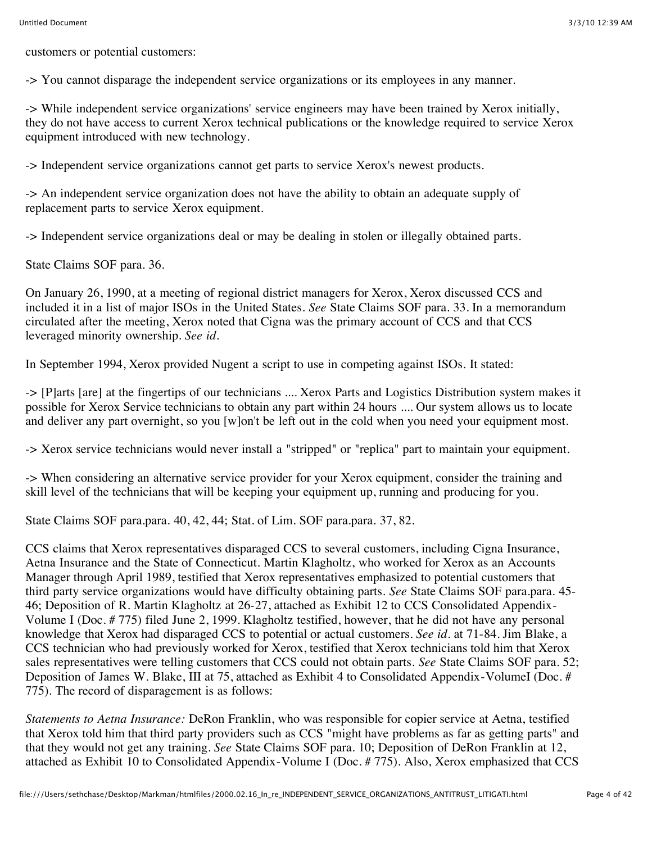customers or potential customers:

-> You cannot disparage the independent service organizations or its employees in any manner.

-> While independent service organizations' service engineers may have been trained by Xerox initially, they do not have access to current Xerox technical publications or the knowledge required to service Xerox equipment introduced with new technology.

-> Independent service organizations cannot get parts to service Xerox's newest products.

-> An independent service organization does not have the ability to obtain an adequate supply of replacement parts to service Xerox equipment.

-> Independent service organizations deal or may be dealing in stolen or illegally obtained parts.

State Claims SOF para. 36.

On January 26, 1990, at a meeting of regional district managers for Xerox, Xerox discussed CCS and included it in a list of major ISOs in the United States. *See* State Claims SOF para. 33. In a memorandum circulated after the meeting, Xerox noted that Cigna was the primary account of CCS and that CCS leveraged minority ownership. *See id.*

In September 1994, Xerox provided Nugent a script to use in competing against ISOs. It stated:

-> [P]arts [are] at the fingertips of our technicians .... Xerox Parts and Logistics Distribution system makes it possible for Xerox Service technicians to obtain any part within 24 hours .... Our system allows us to locate and deliver any part overnight, so you [w]on't be left out in the cold when you need your equipment most.

-> Xerox service technicians would never install a "stripped" or "replica" part to maintain your equipment.

-> When considering an alternative service provider for your Xerox equipment, consider the training and skill level of the technicians that will be keeping your equipment up, running and producing for you.

State Claims SOF para.para. 40, 42, 44; Stat. of Lim. SOF para.para. 37, 82.

CCS claims that Xerox representatives disparaged CCS to several customers, including Cigna Insurance, Aetna Insurance and the State of Connecticut. Martin Klagholtz, who worked for Xerox as an Accounts Manager through April 1989, testified that Xerox representatives emphasized to potential customers that third party service organizations would have difficulty obtaining parts. *See* State Claims SOF para.para. 45- 46; Deposition of R. Martin Klagholtz at 26-27, attached as Exhibit 12 to CCS Consolidated Appendix-Volume I (Doc. # 775) filed June 2, 1999. Klagholtz testified, however, that he did not have any personal knowledge that Xerox had disparaged CCS to potential or actual customers. *See id.* at 71-84. Jim Blake, a CCS technician who had previously worked for Xerox, testified that Xerox technicians told him that Xerox sales representatives were telling customers that CCS could not obtain parts. *See* State Claims SOF para. 52; Deposition of James W. Blake, III at 75, attached as Exhibit 4 to Consolidated Appendix-VolumeI (Doc. # 775). The record of disparagement is as follows:

*Statements to Aetna Insurance:* DeRon Franklin, who was responsible for copier service at Aetna, testified that Xerox told him that third party providers such as CCS "might have problems as far as getting parts" and that they would not get any training. *See* State Claims SOF para. 10; Deposition of DeRon Franklin at 12, attached as Exhibit 10 to Consolidated Appendix-Volume I (Doc. # 775). Also, Xerox emphasized that CCS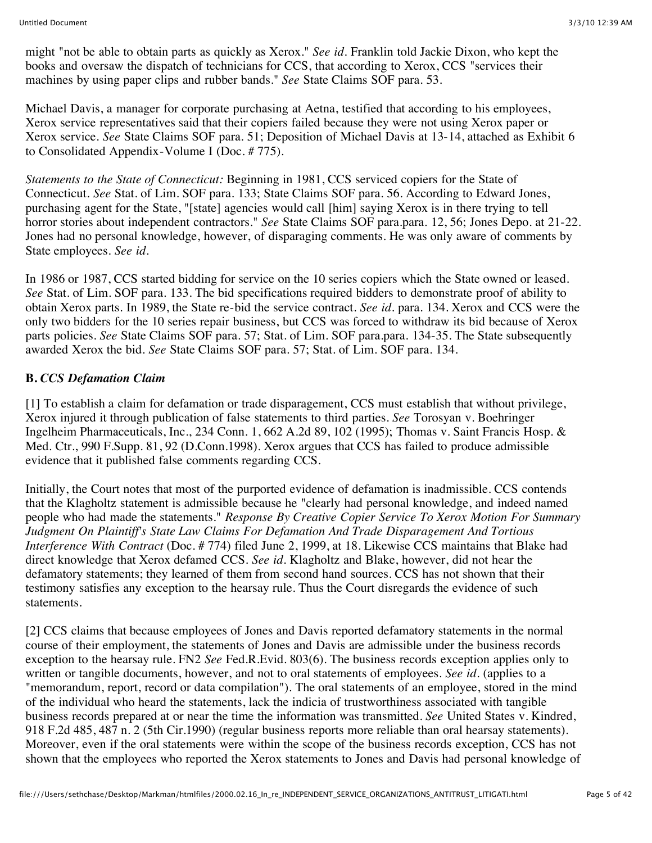might "not be able to obtain parts as quickly as Xerox." *See id.* Franklin told Jackie Dixon, who kept the books and oversaw the dispatch of technicians for CCS, that according to Xerox, CCS "services their machines by using paper clips and rubber bands." *See* State Claims SOF para. 53.

Michael Davis, a manager for corporate purchasing at Aetna, testified that according to his employees, Xerox service representatives said that their copiers failed because they were not using Xerox paper or Xerox service. *See* State Claims SOF para. 51; Deposition of Michael Davis at 13-14, attached as Exhibit 6 to Consolidated Appendix-Volume I (Doc. # 775).

*Statements to the State of Connecticut:* Beginning in 1981, CCS serviced copiers for the State of Connecticut. *See* Stat. of Lim. SOF para. 133; State Claims SOF para. 56. According to Edward Jones, purchasing agent for the State, "[state] agencies would call [him] saying Xerox is in there trying to tell horror stories about independent contractors." *See* State Claims SOF para.para. 12, 56; Jones Depo. at 21-22. Jones had no personal knowledge, however, of disparaging comments. He was only aware of comments by State employees. *See id.*

In 1986 or 1987, CCS started bidding for service on the 10 series copiers which the State owned or leased. *See* Stat. of Lim. SOF para. 133. The bid specifications required bidders to demonstrate proof of ability to obtain Xerox parts. In 1989, the State re-bid the service contract. *See id.* para. 134. Xerox and CCS were the only two bidders for the 10 series repair business, but CCS was forced to withdraw its bid because of Xerox parts policies. *See* State Claims SOF para. 57; Stat. of Lim. SOF para.para. 134-35. The State subsequently awarded Xerox the bid. *See* State Claims SOF para. 57; Stat. of Lim. SOF para. 134.

#### **B.** *CCS Defamation Claim*

[1] To establish a claim for defamation or trade disparagement, CCS must establish that without privilege, Xerox injured it through publication of false statements to third parties. *See* Torosyan v. Boehringer Ingelheim Pharmaceuticals, Inc., 234 Conn. 1, 662 A.2d 89, 102 (1995); Thomas v. Saint Francis Hosp. & Med. Ctr., 990 F.Supp. 81, 92 (D.Conn.1998). Xerox argues that CCS has failed to produce admissible evidence that it published false comments regarding CCS.

Initially, the Court notes that most of the purported evidence of defamation is inadmissible. CCS contends that the Klagholtz statement is admissible because he "clearly had personal knowledge, and indeed named people who had made the statements." *Response By Creative Copier Service To Xerox Motion For Summary Judgment On Plaintiff's State Law Claims For Defamation And Trade Disparagement And Tortious Interference With Contract* (Doc. # 774) filed June 2, 1999, at 18. Likewise CCS maintains that Blake had direct knowledge that Xerox defamed CCS. *See id.* Klagholtz and Blake, however, did not hear the defamatory statements; they learned of them from second hand sources. CCS has not shown that their testimony satisfies any exception to the hearsay rule. Thus the Court disregards the evidence of such statements.

[2] CCS claims that because employees of Jones and Davis reported defamatory statements in the normal course of their employment, the statements of Jones and Davis are admissible under the business records exception to the hearsay rule. FN2 *See* Fed.R.Evid. 803(6). The business records exception applies only to written or tangible documents, however, and not to oral statements of employees. *See id.* (applies to a "memorandum, report, record or data compilation"). The oral statements of an employee, stored in the mind of the individual who heard the statements, lack the indicia of trustworthiness associated with tangible business records prepared at or near the time the information was transmitted. *See* United States v. Kindred, 918 F.2d 485, 487 n. 2 (5th Cir.1990) (regular business reports more reliable than oral hearsay statements). Moreover, even if the oral statements were within the scope of the business records exception, CCS has not shown that the employees who reported the Xerox statements to Jones and Davis had personal knowledge of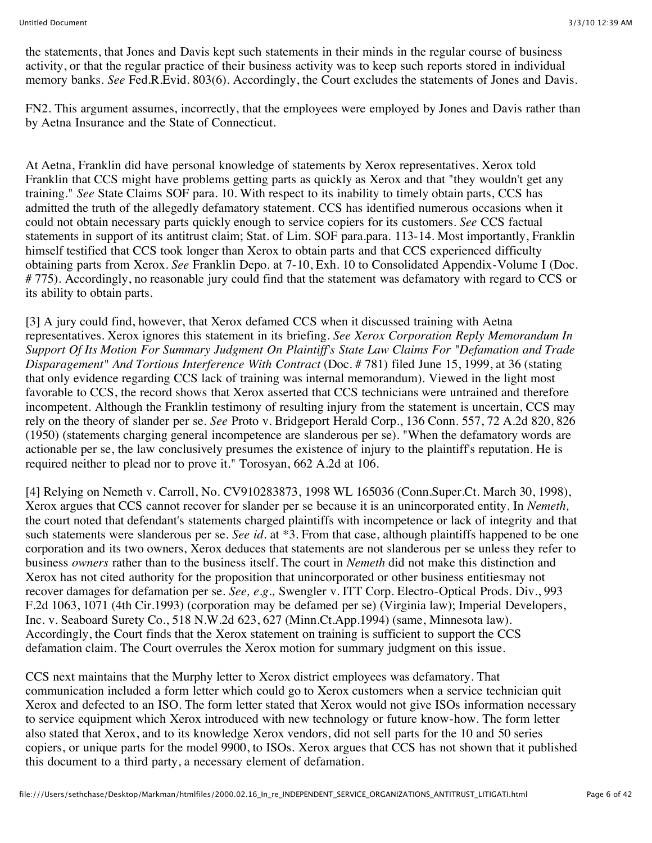the statements, that Jones and Davis kept such statements in their minds in the regular course of business activity, or that the regular practice of their business activity was to keep such reports stored in individual memory banks. *See* Fed.R.Evid. 803(6). Accordingly, the Court excludes the statements of Jones and Davis.

FN2. This argument assumes, incorrectly, that the employees were employed by Jones and Davis rather than by Aetna Insurance and the State of Connecticut.

At Aetna, Franklin did have personal knowledge of statements by Xerox representatives. Xerox told Franklin that CCS might have problems getting parts as quickly as Xerox and that "they wouldn't get any training." *See* State Claims SOF para. 10. With respect to its inability to timely obtain parts, CCS has admitted the truth of the allegedly defamatory statement. CCS has identified numerous occasions when it could not obtain necessary parts quickly enough to service copiers for its customers. *See* CCS factual statements in support of its antitrust claim; Stat. of Lim. SOF para.para. 113-14. Most importantly, Franklin himself testified that CCS took longer than Xerox to obtain parts and that CCS experienced difficulty obtaining parts from Xerox. *See* Franklin Depo. at 7-10, Exh. 10 to Consolidated Appendix-Volume I (Doc. # 775). Accordingly, no reasonable jury could find that the statement was defamatory with regard to CCS or its ability to obtain parts.

[3] A jury could find, however, that Xerox defamed CCS when it discussed training with Aetna representatives. Xerox ignores this statement in its briefing. *See Xerox Corporation Reply Memorandum In Support Of Its Motion For Summary Judgment On Plaintiff's State Law Claims For "Defamation and Trade Disparagement" And Tortious Interference With Contract* (Doc. # 781) filed June 15, 1999, at 36 (stating that only evidence regarding CCS lack of training was internal memorandum). Viewed in the light most favorable to CCS, the record shows that Xerox asserted that CCS technicians were untrained and therefore incompetent. Although the Franklin testimony of resulting injury from the statement is uncertain, CCS may rely on the theory of slander per se. *See* Proto v. Bridgeport Herald Corp., 136 Conn. 557, 72 A.2d 820, 826 (1950) (statements charging general incompetence are slanderous per se). "When the defamatory words are actionable per se, the law conclusively presumes the existence of injury to the plaintiff's reputation. He is required neither to plead nor to prove it." Torosyan, 662 A.2d at 106.

[4] Relying on Nemeth v. Carroll, No. CV910283873, 1998 WL 165036 (Conn.Super.Ct. March 30, 1998), Xerox argues that CCS cannot recover for slander per se because it is an unincorporated entity. In *Nemeth,* the court noted that defendant's statements charged plaintiffs with incompetence or lack of integrity and that such statements were slanderous per se. *See id.* at \*3. From that case, although plaintiffs happened to be one corporation and its two owners, Xerox deduces that statements are not slanderous per se unless they refer to business *owners* rather than to the business itself. The court in *Nemeth* did not make this distinction and Xerox has not cited authority for the proposition that unincorporated or other business entitiesmay not recover damages for defamation per se. *See, e.g.,* Swengler v. ITT Corp. Electro-Optical Prods. Div., 993 F.2d 1063, 1071 (4th Cir.1993) (corporation may be defamed per se) (Virginia law); Imperial Developers, Inc. v. Seaboard Surety Co., 518 N.W.2d 623, 627 (Minn.Ct.App.1994) (same, Minnesota law). Accordingly, the Court finds that the Xerox statement on training is sufficient to support the CCS defamation claim. The Court overrules the Xerox motion for summary judgment on this issue.

CCS next maintains that the Murphy letter to Xerox district employees was defamatory. That communication included a form letter which could go to Xerox customers when a service technician quit Xerox and defected to an ISO. The form letter stated that Xerox would not give ISOs information necessary to service equipment which Xerox introduced with new technology or future know-how. The form letter also stated that Xerox, and to its knowledge Xerox vendors, did not sell parts for the 10 and 50 series copiers, or unique parts for the model 9900, to ISOs. Xerox argues that CCS has not shown that it published this document to a third party, a necessary element of defamation.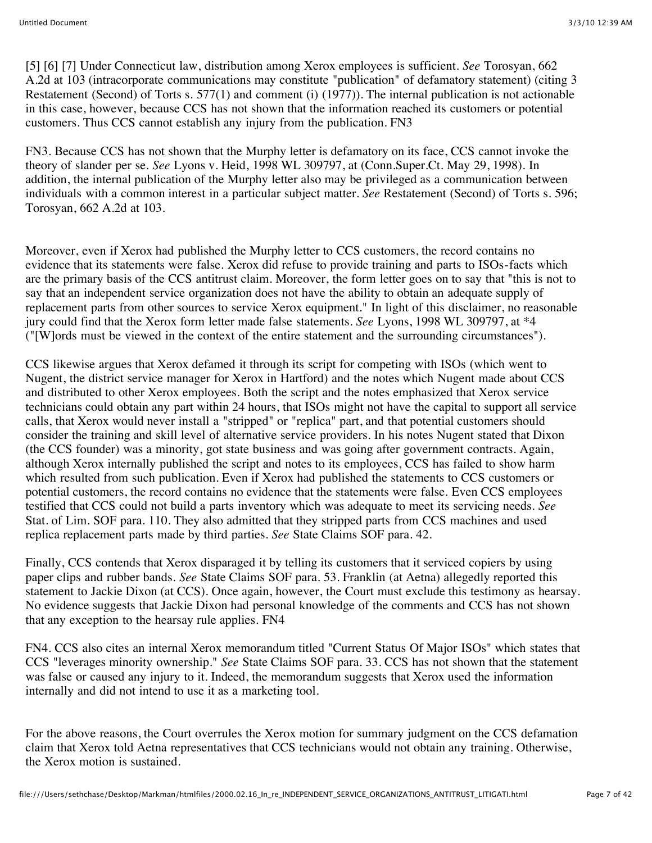[5] [6] [7] Under Connecticut law, distribution among Xerox employees is sufficient. *See* Torosyan, 662 A.2d at 103 (intracorporate communications may constitute "publication" of defamatory statement) (citing 3 Restatement (Second) of Torts s. 577(1) and comment (i) (1977)). The internal publication is not actionable in this case, however, because CCS has not shown that the information reached its customers or potential customers. Thus CCS cannot establish any injury from the publication. FN3

FN3. Because CCS has not shown that the Murphy letter is defamatory on its face, CCS cannot invoke the theory of slander per se. *See* Lyons v. Heid, 1998 WL 309797, at (Conn.Super.Ct. May 29, 1998). In addition, the internal publication of the Murphy letter also may be privileged as a communication between individuals with a common interest in a particular subject matter. *See* Restatement (Second) of Torts s. 596; Torosyan, 662 A.2d at 103.

Moreover, even if Xerox had published the Murphy letter to CCS customers, the record contains no evidence that its statements were false. Xerox did refuse to provide training and parts to ISOs-facts which are the primary basis of the CCS antitrust claim. Moreover, the form letter goes on to say that "this is not to say that an independent service organization does not have the ability to obtain an adequate supply of replacement parts from other sources to service Xerox equipment." In light of this disclaimer, no reasonable jury could find that the Xerox form letter made false statements. *See* Lyons, 1998 WL 309797, at \*4 ("[W]ords must be viewed in the context of the entire statement and the surrounding circumstances").

CCS likewise argues that Xerox defamed it through its script for competing with ISOs (which went to Nugent, the district service manager for Xerox in Hartford) and the notes which Nugent made about CCS and distributed to other Xerox employees. Both the script and the notes emphasized that Xerox service technicians could obtain any part within 24 hours, that ISOs might not have the capital to support all service calls, that Xerox would never install a "stripped" or "replica" part, and that potential customers should consider the training and skill level of alternative service providers. In his notes Nugent stated that Dixon (the CCS founder) was a minority, got state business and was going after government contracts. Again, although Xerox internally published the script and notes to its employees, CCS has failed to show harm which resulted from such publication. Even if Xerox had published the statements to CCS customers or potential customers, the record contains no evidence that the statements were false. Even CCS employees testified that CCS could not build a parts inventory which was adequate to meet its servicing needs. *See* Stat. of Lim. SOF para. 110. They also admitted that they stripped parts from CCS machines and used replica replacement parts made by third parties. *See* State Claims SOF para. 42.

Finally, CCS contends that Xerox disparaged it by telling its customers that it serviced copiers by using paper clips and rubber bands. *See* State Claims SOF para. 53. Franklin (at Aetna) allegedly reported this statement to Jackie Dixon (at CCS). Once again, however, the Court must exclude this testimony as hearsay. No evidence suggests that Jackie Dixon had personal knowledge of the comments and CCS has not shown that any exception to the hearsay rule applies. FN4

FN4. CCS also cites an internal Xerox memorandum titled "Current Status Of Major ISOs" which states that CCS "leverages minority ownership." *See* State Claims SOF para. 33. CCS has not shown that the statement was false or caused any injury to it. Indeed, the memorandum suggests that Xerox used the information internally and did not intend to use it as a marketing tool.

For the above reasons, the Court overrules the Xerox motion for summary judgment on the CCS defamation claim that Xerox told Aetna representatives that CCS technicians would not obtain any training. Otherwise, the Xerox motion is sustained.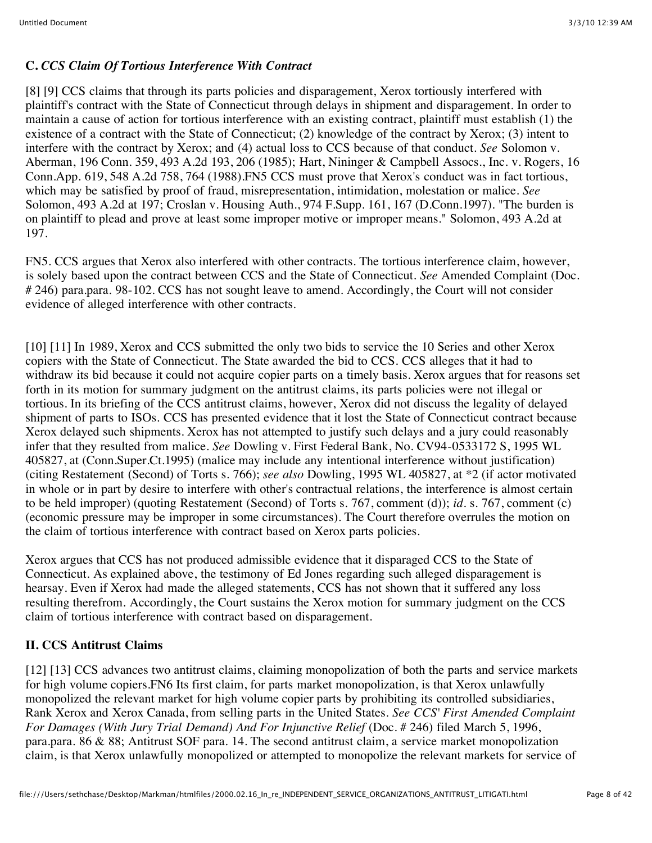# **C.** *CCS Claim Of Tortious Interference With Contract*

[8] [9] CCS claims that through its parts policies and disparagement, Xerox tortiously interfered with plaintiff's contract with the State of Connecticut through delays in shipment and disparagement. In order to maintain a cause of action for tortious interference with an existing contract, plaintiff must establish (1) the existence of a contract with the State of Connecticut; (2) knowledge of the contract by Xerox; (3) intent to interfere with the contract by Xerox; and (4) actual loss to CCS because of that conduct. *See* Solomon v. Aberman, 196 Conn. 359, 493 A.2d 193, 206 (1985); Hart, Nininger & Campbell Assocs., Inc. v. Rogers, 16 Conn.App. 619, 548 A.2d 758, 764 (1988).FN5 CCS must prove that Xerox's conduct was in fact tortious, which may be satisfied by proof of fraud, misrepresentation, intimidation, molestation or malice. *See* Solomon, 493 A.2d at 197; Croslan v. Housing Auth., 974 F.Supp. 161, 167 (D.Conn.1997). "The burden is on plaintiff to plead and prove at least some improper motive or improper means." Solomon, 493 A.2d at 197.

FN5. CCS argues that Xerox also interfered with other contracts. The tortious interference claim, however, is solely based upon the contract between CCS and the State of Connecticut. *See* Amended Complaint (Doc. # 246) para.para. 98-102. CCS has not sought leave to amend. Accordingly, the Court will not consider evidence of alleged interference with other contracts.

[10] [11] In 1989, Xerox and CCS submitted the only two bids to service the 10 Series and other Xerox copiers with the State of Connecticut. The State awarded the bid to CCS. CCS alleges that it had to withdraw its bid because it could not acquire copier parts on a timely basis. Xerox argues that for reasons set forth in its motion for summary judgment on the antitrust claims, its parts policies were not illegal or tortious. In its briefing of the CCS antitrust claims, however, Xerox did not discuss the legality of delayed shipment of parts to ISOs. CCS has presented evidence that it lost the State of Connecticut contract because Xerox delayed such shipments. Xerox has not attempted to justify such delays and a jury could reasonably infer that they resulted from malice. *See* Dowling v. First Federal Bank, No. CV94-0533172 S, 1995 WL 405827, at (Conn.Super.Ct.1995) (malice may include any intentional interference without justification) (citing Restatement (Second) of Torts s. 766); *see also* Dowling, 1995 WL 405827, at \*2 (if actor motivated in whole or in part by desire to interfere with other's contractual relations, the interference is almost certain to be held improper) (quoting Restatement (Second) of Torts s. 767, comment (d)); *id.* s. 767, comment (c) (economic pressure may be improper in some circumstances). The Court therefore overrules the motion on the claim of tortious interference with contract based on Xerox parts policies.

Xerox argues that CCS has not produced admissible evidence that it disparaged CCS to the State of Connecticut. As explained above, the testimony of Ed Jones regarding such alleged disparagement is hearsay. Even if Xerox had made the alleged statements, CCS has not shown that it suffered any loss resulting therefrom. Accordingly, the Court sustains the Xerox motion for summary judgment on the CCS claim of tortious interference with contract based on disparagement.

### **II. CCS Antitrust Claims**

[12] [13] CCS advances two antitrust claims, claiming monopolization of both the parts and service markets for high volume copiers.FN6 Its first claim, for parts market monopolization, is that Xerox unlawfully monopolized the relevant market for high volume copier parts by prohibiting its controlled subsidiaries, Rank Xerox and Xerox Canada, from selling parts in the United States. *See CCS' First Amended Complaint For Damages (With Jury Trial Demand) And For Injunctive Relief* (Doc. # 246) filed March 5, 1996, para.para. 86 & 88; Antitrust SOF para. 14. The second antitrust claim, a service market monopolization claim, is that Xerox unlawfully monopolized or attempted to monopolize the relevant markets for service of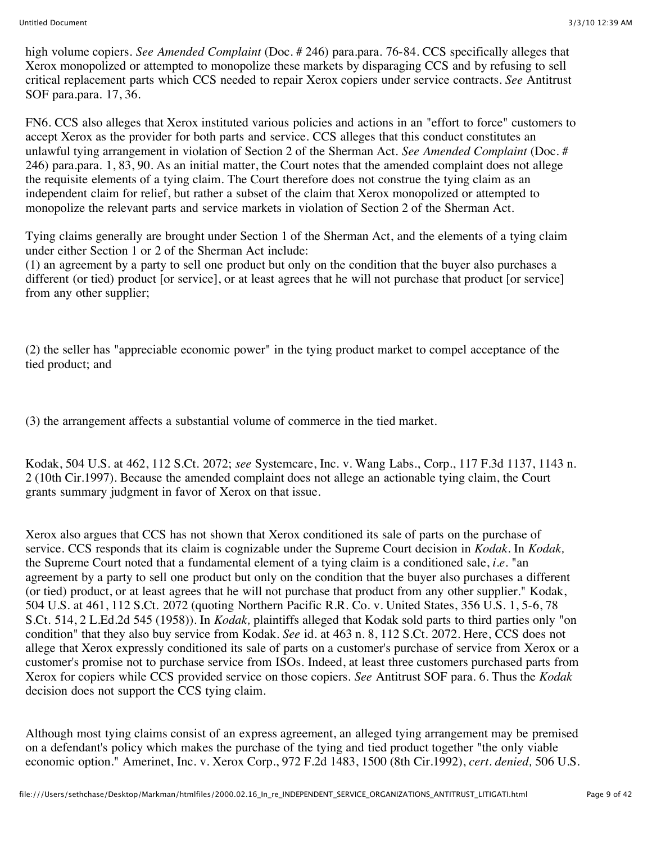high volume copiers. *See Amended Complaint* (Doc. # 246) para.para. 76-84. CCS specifically alleges that Xerox monopolized or attempted to monopolize these markets by disparaging CCS and by refusing to sell critical replacement parts which CCS needed to repair Xerox copiers under service contracts. *See* Antitrust SOF para.para. 17, 36.

FN6. CCS also alleges that Xerox instituted various policies and actions in an "effort to force" customers to accept Xerox as the provider for both parts and service. CCS alleges that this conduct constitutes an unlawful tying arrangement in violation of Section 2 of the Sherman Act. *See Amended Complaint* (Doc. # 246) para.para. 1, 83, 90. As an initial matter, the Court notes that the amended complaint does not allege the requisite elements of a tying claim. The Court therefore does not construe the tying claim as an independent claim for relief, but rather a subset of the claim that Xerox monopolized or attempted to monopolize the relevant parts and service markets in violation of Section 2 of the Sherman Act.

Tying claims generally are brought under Section 1 of the Sherman Act, and the elements of a tying claim under either Section 1 or 2 of the Sherman Act include:

(1) an agreement by a party to sell one product but only on the condition that the buyer also purchases a different (or tied) product [or service], or at least agrees that he will not purchase that product [or service] from any other supplier;

(2) the seller has "appreciable economic power" in the tying product market to compel acceptance of the tied product; and

(3) the arrangement affects a substantial volume of commerce in the tied market.

Kodak, 504 U.S. at 462, 112 S.Ct. 2072; *see* Systemcare, Inc. v. Wang Labs., Corp., 117 F.3d 1137, 1143 n. 2 (10th Cir.1997). Because the amended complaint does not allege an actionable tying claim, the Court grants summary judgment in favor of Xerox on that issue.

Xerox also argues that CCS has not shown that Xerox conditioned its sale of parts on the purchase of service. CCS responds that its claim is cognizable under the Supreme Court decision in *Kodak.* In *Kodak,* the Supreme Court noted that a fundamental element of a tying claim is a conditioned sale, *i.e.* "an agreement by a party to sell one product but only on the condition that the buyer also purchases a different (or tied) product, or at least agrees that he will not purchase that product from any other supplier." Kodak, 504 U.S. at 461, 112 S.Ct. 2072 (quoting Northern Pacific R.R. Co. v. United States, 356 U.S. 1, 5-6, 78 S.Ct. 514, 2 L.Ed.2d 545 (1958)). In *Kodak,* plaintiffs alleged that Kodak sold parts to third parties only "on condition" that they also buy service from Kodak. *See* id. at 463 n. 8, 112 S.Ct. 2072. Here, CCS does not allege that Xerox expressly conditioned its sale of parts on a customer's purchase of service from Xerox or a customer's promise not to purchase service from ISOs. Indeed, at least three customers purchased parts from Xerox for copiers while CCS provided service on those copiers. *See* Antitrust SOF para. 6. Thus the *Kodak* decision does not support the CCS tying claim.

Although most tying claims consist of an express agreement, an alleged tying arrangement may be premised on a defendant's policy which makes the purchase of the tying and tied product together "the only viable economic option." Amerinet, Inc. v. Xerox Corp., 972 F.2d 1483, 1500 (8th Cir.1992), *cert. denied,* 506 U.S.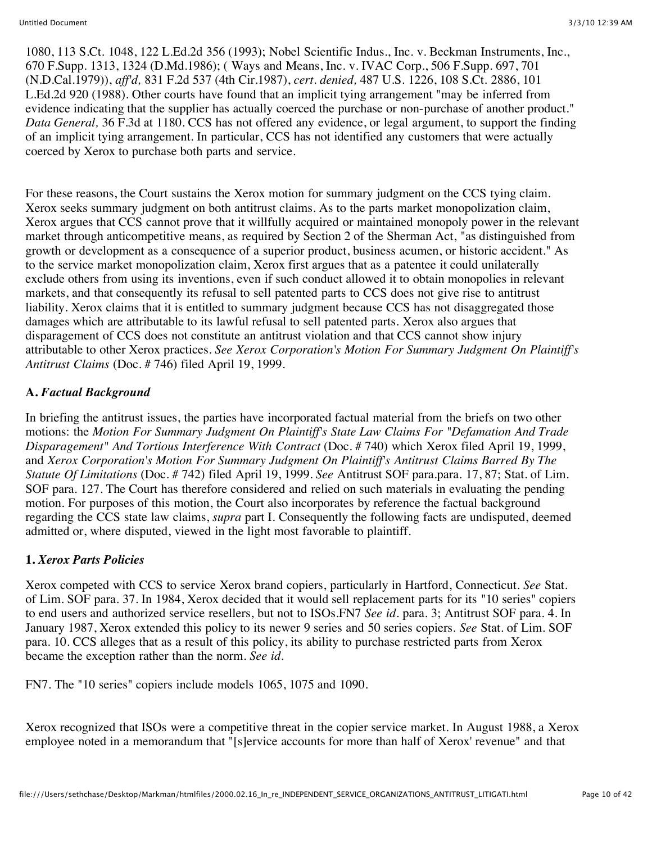1080, 113 S.Ct. 1048, 122 L.Ed.2d 356 (1993); Nobel Scientific Indus., Inc. v. Beckman Instruments, Inc., 670 F.Supp. 1313, 1324 (D.Md.1986); ( Ways and Means, Inc. v. IVAC Corp., 506 F.Supp. 697, 701 (N.D.Cal.1979)), *aff'd,* 831 F.2d 537 (4th Cir.1987), *cert. denied,* 487 U.S. 1226, 108 S.Ct. 2886, 101 L.Ed.2d 920 (1988). Other courts have found that an implicit tying arrangement "may be inferred from evidence indicating that the supplier has actually coerced the purchase or non-purchase of another product." *Data General,* 36 F.3d at 1180. CCS has not offered any evidence, or legal argument, to support the finding of an implicit tying arrangement. In particular, CCS has not identified any customers that were actually coerced by Xerox to purchase both parts and service.

For these reasons, the Court sustains the Xerox motion for summary judgment on the CCS tying claim. Xerox seeks summary judgment on both antitrust claims. As to the parts market monopolization claim, Xerox argues that CCS cannot prove that it willfully acquired or maintained monopoly power in the relevant market through anticompetitive means, as required by Section 2 of the Sherman Act, "as distinguished from growth or development as a consequence of a superior product, business acumen, or historic accident." As to the service market monopolization claim, Xerox first argues that as a patentee it could unilaterally exclude others from using its inventions, even if such conduct allowed it to obtain monopolies in relevant markets, and that consequently its refusal to sell patented parts to CCS does not give rise to antitrust liability. Xerox claims that it is entitled to summary judgment because CCS has not disaggregated those damages which are attributable to its lawful refusal to sell patented parts. Xerox also argues that disparagement of CCS does not constitute an antitrust violation and that CCS cannot show injury attributable to other Xerox practices. *See Xerox Corporation's Motion For Summary Judgment On Plaintiff's Antitrust Claims* (Doc. # 746) filed April 19, 1999.

# **A.** *Factual Background*

In briefing the antitrust issues, the parties have incorporated factual material from the briefs on two other motions: the *Motion For Summary Judgment On Plaintiff's State Law Claims For "Defamation And Trade Disparagement" And Tortious Interference With Contract* (Doc. # 740) which Xerox filed April 19, 1999, and *Xerox Corporation's Motion For Summary Judgment On Plaintiff's Antitrust Claims Barred By The Statute Of Limitations* (Doc. # 742) filed April 19, 1999. *See* Antitrust SOF para.para. 17, 87; Stat. of Lim. SOF para. 127. The Court has therefore considered and relied on such materials in evaluating the pending motion. For purposes of this motion, the Court also incorporates by reference the factual background regarding the CCS state law claims, *supra* part I. Consequently the following facts are undisputed, deemed admitted or, where disputed, viewed in the light most favorable to plaintiff.

### **1.** *Xerox Parts Policies*

Xerox competed with CCS to service Xerox brand copiers, particularly in Hartford, Connecticut. *See* Stat. of Lim. SOF para. 37. In 1984, Xerox decided that it would sell replacement parts for its "10 series" copiers to end users and authorized service resellers, but not to ISOs.FN7 *See id.* para. 3; Antitrust SOF para. 4. In January 1987, Xerox extended this policy to its newer 9 series and 50 series copiers. *See* Stat. of Lim. SOF para. 10. CCS alleges that as a result of this policy, its ability to purchase restricted parts from Xerox became the exception rather than the norm. *See id.*

FN7. The "10 series" copiers include models 1065, 1075 and 1090.

Xerox recognized that ISOs were a competitive threat in the copier service market. In August 1988, a Xerox employee noted in a memorandum that "[s]ervice accounts for more than half of Xerox' revenue" and that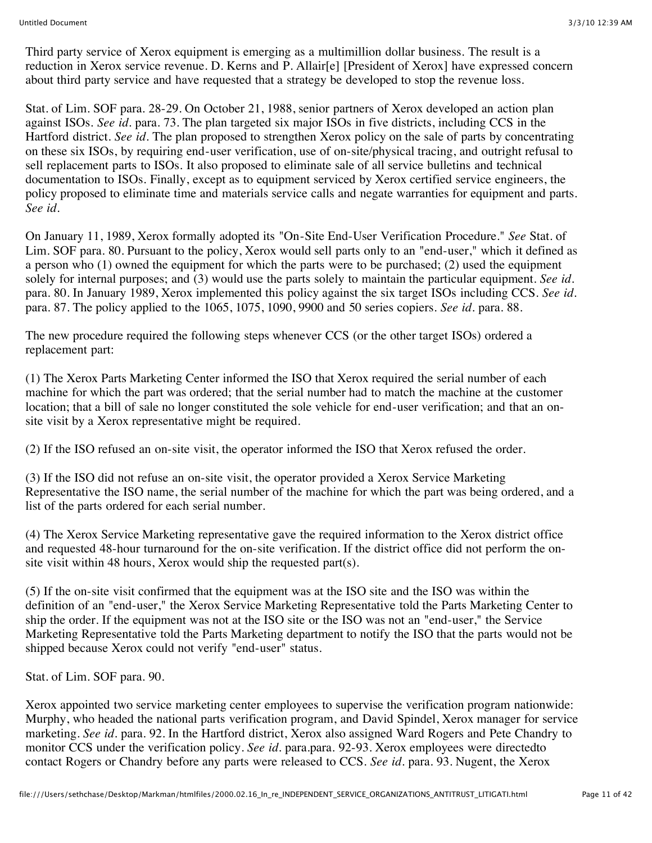Third party service of Xerox equipment is emerging as a multimillion dollar business. The result is a reduction in Xerox service revenue. D. Kerns and P. Allair[e] [President of Xerox] have expressed concern about third party service and have requested that a strategy be developed to stop the revenue loss.

Stat. of Lim. SOF para. 28-29. On October 21, 1988, senior partners of Xerox developed an action plan against ISOs. *See id.* para. 73. The plan targeted six major ISOs in five districts, including CCS in the Hartford district. *See id.* The plan proposed to strengthen Xerox policy on the sale of parts by concentrating on these six ISOs, by requiring end-user verification, use of on-site/physical tracing, and outright refusal to sell replacement parts to ISOs. It also proposed to eliminate sale of all service bulletins and technical documentation to ISOs. Finally, except as to equipment serviced by Xerox certified service engineers, the policy proposed to eliminate time and materials service calls and negate warranties for equipment and parts. *See id.*

On January 11, 1989, Xerox formally adopted its "On-Site End-User Verification Procedure." *See* Stat. of Lim. SOF para. 80. Pursuant to the policy, Xerox would sell parts only to an "end-user," which it defined as a person who (1) owned the equipment for which the parts were to be purchased; (2) used the equipment solely for internal purposes; and (3) would use the parts solely to maintain the particular equipment. *See id.* para. 80. In January 1989, Xerox implemented this policy against the six target ISOs including CCS. *See id.* para. 87. The policy applied to the 1065, 1075, 1090, 9900 and 50 series copiers. *See id.* para. 88.

The new procedure required the following steps whenever CCS (or the other target ISOs) ordered a replacement part:

(1) The Xerox Parts Marketing Center informed the ISO that Xerox required the serial number of each machine for which the part was ordered; that the serial number had to match the machine at the customer location; that a bill of sale no longer constituted the sole vehicle for end-user verification; and that an onsite visit by a Xerox representative might be required.

(2) If the ISO refused an on-site visit, the operator informed the ISO that Xerox refused the order.

(3) If the ISO did not refuse an on-site visit, the operator provided a Xerox Service Marketing Representative the ISO name, the serial number of the machine for which the part was being ordered, and a list of the parts ordered for each serial number.

(4) The Xerox Service Marketing representative gave the required information to the Xerox district office and requested 48-hour turnaround for the on-site verification. If the district office did not perform the onsite visit within 48 hours, Xerox would ship the requested part(s).

(5) If the on-site visit confirmed that the equipment was at the ISO site and the ISO was within the definition of an "end-user," the Xerox Service Marketing Representative told the Parts Marketing Center to ship the order. If the equipment was not at the ISO site or the ISO was not an "end-user," the Service Marketing Representative told the Parts Marketing department to notify the ISO that the parts would not be shipped because Xerox could not verify "end-user" status.

Stat. of Lim. SOF para. 90.

Xerox appointed two service marketing center employees to supervise the verification program nationwide: Murphy, who headed the national parts verification program, and David Spindel, Xerox manager for service marketing. *See id.* para. 92. In the Hartford district, Xerox also assigned Ward Rogers and Pete Chandry to monitor CCS under the verification policy. *See id.* para.para. 92-93. Xerox employees were directedto contact Rogers or Chandry before any parts were released to CCS. *See id.* para. 93. Nugent, the Xerox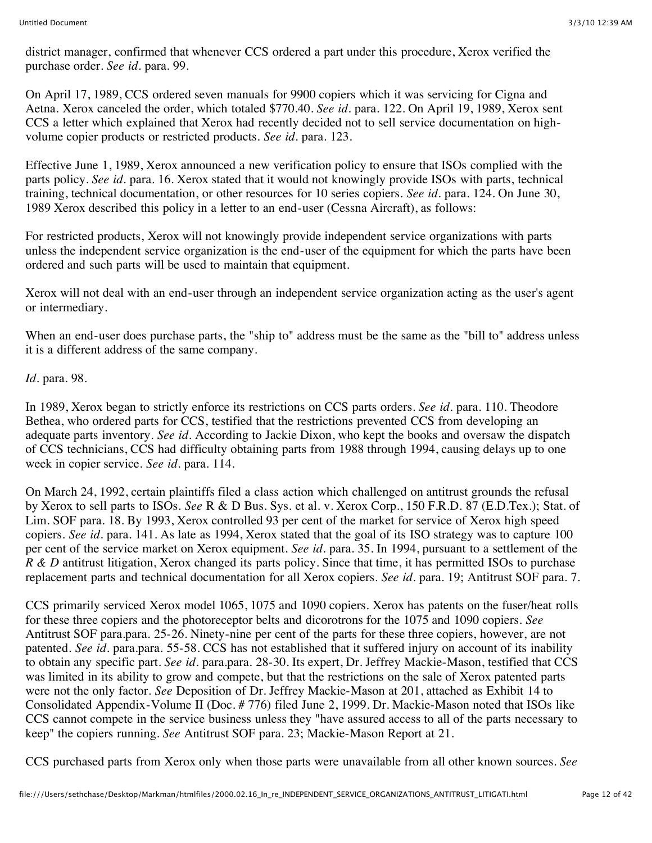district manager, confirmed that whenever CCS ordered a part under this procedure, Xerox verified the purchase order. *See id.* para. 99.

On April 17, 1989, CCS ordered seven manuals for 9900 copiers which it was servicing for Cigna and Aetna. Xerox canceled the order, which totaled \$770.40. *See id.* para. 122. On April 19, 1989, Xerox sent CCS a letter which explained that Xerox had recently decided not to sell service documentation on highvolume copier products or restricted products. *See id.* para. 123.

Effective June 1, 1989, Xerox announced a new verification policy to ensure that ISOs complied with the parts policy. *See id.* para. 16. Xerox stated that it would not knowingly provide ISOs with parts, technical training, technical documentation, or other resources for 10 series copiers. *See id.* para. 124. On June 30, 1989 Xerox described this policy in a letter to an end-user (Cessna Aircraft), as follows:

For restricted products, Xerox will not knowingly provide independent service organizations with parts unless the independent service organization is the end-user of the equipment for which the parts have been ordered and such parts will be used to maintain that equipment.

Xerox will not deal with an end-user through an independent service organization acting as the user's agent or intermediary.

When an end-user does purchase parts, the "ship to" address must be the same as the "bill to" address unless it is a different address of the same company.

*Id.* para. 98.

In 1989, Xerox began to strictly enforce its restrictions on CCS parts orders. *See id.* para. 110. Theodore Bethea, who ordered parts for CCS, testified that the restrictions prevented CCS from developing an adequate parts inventory. *See id.* According to Jackie Dixon, who kept the books and oversaw the dispatch of CCS technicians, CCS had difficulty obtaining parts from 1988 through 1994, causing delays up to one week in copier service. *See id.* para. 114.

On March 24, 1992, certain plaintiffs filed a class action which challenged on antitrust grounds the refusal by Xerox to sell parts to ISOs. *See* R & D Bus. Sys. et al. v. Xerox Corp., 150 F.R.D. 87 (E.D.Tex.); Stat. of Lim. SOF para. 18. By 1993, Xerox controlled 93 per cent of the market for service of Xerox high speed copiers. *See id.* para. 141. As late as 1994, Xerox stated that the goal of its ISO strategy was to capture 100 per cent of the service market on Xerox equipment. *See id.* para. 35. In 1994, pursuant to a settlement of the *R & D* antitrust litigation, Xerox changed its parts policy. Since that time, it has permitted ISOs to purchase replacement parts and technical documentation for all Xerox copiers. *See id.* para. 19; Antitrust SOF para. 7.

CCS primarily serviced Xerox model 1065, 1075 and 1090 copiers. Xerox has patents on the fuser/heat rolls for these three copiers and the photoreceptor belts and dicorotrons for the 1075 and 1090 copiers. *See* Antitrust SOF para.para. 25-26. Ninety-nine per cent of the parts for these three copiers, however, are not patented. *See id.* para.para. 55-58. CCS has not established that it suffered injury on account of its inability to obtain any specific part. *See id.* para.para. 28-30. Its expert, Dr. Jeffrey Mackie-Mason, testified that CCS was limited in its ability to grow and compete, but that the restrictions on the sale of Xerox patented parts were not the only factor. *See* Deposition of Dr. Jeffrey Mackie-Mason at 201, attached as Exhibit 14 to Consolidated Appendix-Volume II (Doc. # 776) filed June 2, 1999. Dr. Mackie-Mason noted that ISOs like CCS cannot compete in the service business unless they "have assured access to all of the parts necessary to keep" the copiers running. *See* Antitrust SOF para. 23; Mackie-Mason Report at 21.

CCS purchased parts from Xerox only when those parts were unavailable from all other known sources. *See*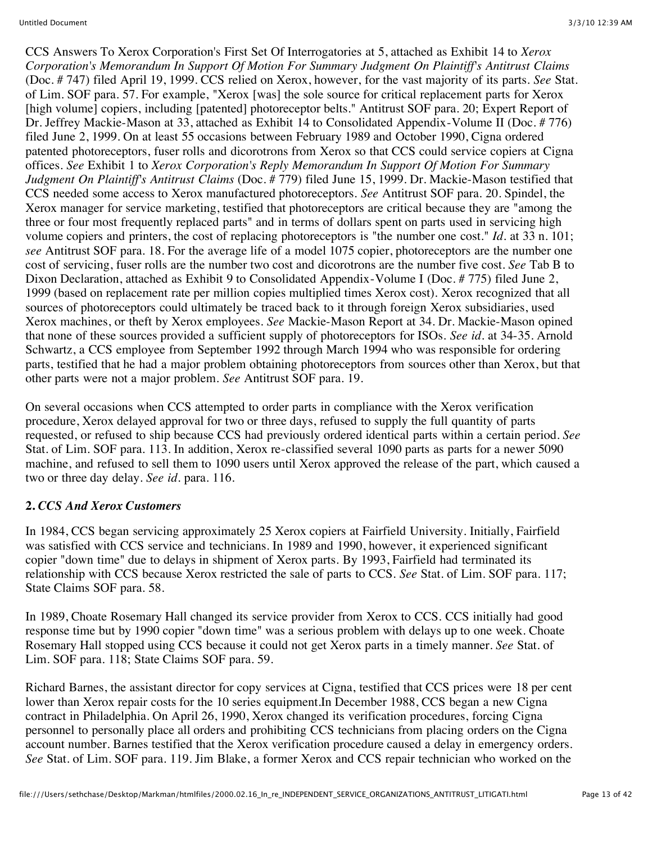CCS Answers To Xerox Corporation's First Set Of Interrogatories at 5, attached as Exhibit 14 to *Xerox Corporation's Memorandum In Support Of Motion For Summary Judgment On Plaintiff's Antitrust Claims* (Doc. # 747) filed April 19, 1999. CCS relied on Xerox, however, for the vast majority of its parts. *See* Stat. of Lim. SOF para. 57. For example, "Xerox [was] the sole source for critical replacement parts for Xerox [high volume] copiers, including [patented] photoreceptor belts." Antitrust SOF para. 20; Expert Report of Dr. Jeffrey Mackie-Mason at 33, attached as Exhibit 14 to Consolidated Appendix-Volume II (Doc. # 776) filed June 2, 1999. On at least 55 occasions between February 1989 and October 1990, Cigna ordered patented photoreceptors, fuser rolls and dicorotrons from Xerox so that CCS could service copiers at Cigna offices. *See* Exhibit 1 to *Xerox Corporation's Reply Memorandum In Support Of Motion For Summary Judgment On Plaintiff's Antitrust Claims* (Doc. # 779) filed June 15, 1999. Dr. Mackie-Mason testified that CCS needed some access to Xerox manufactured photoreceptors. *See* Antitrust SOF para. 20. Spindel, the Xerox manager for service marketing, testified that photoreceptors are critical because they are "among the three or four most frequently replaced parts" and in terms of dollars spent on parts used in servicing high volume copiers and printers, the cost of replacing photoreceptors is "the number one cost." *Id.* at 33 n. 101; *see* Antitrust SOF para. 18. For the average life of a model 1075 copier, photoreceptors are the number one cost of servicing, fuser rolls are the number two cost and dicorotrons are the number five cost. *See* Tab B to Dixon Declaration, attached as Exhibit 9 to Consolidated Appendix-Volume I (Doc. # 775) filed June 2, 1999 (based on replacement rate per million copies multiplied times Xerox cost). Xerox recognized that all sources of photoreceptors could ultimately be traced back to it through foreign Xerox subsidiaries, used Xerox machines, or theft by Xerox employees. *See* Mackie-Mason Report at 34. Dr. Mackie-Mason opined that none of these sources provided a sufficient supply of photoreceptors for ISOs. *See id.* at 34-35. Arnold Schwartz, a CCS employee from September 1992 through March 1994 who was responsible for ordering parts, testified that he had a major problem obtaining photoreceptors from sources other than Xerox, but that other parts were not a major problem. *See* Antitrust SOF para. 19.

On several occasions when CCS attempted to order parts in compliance with the Xerox verification procedure, Xerox delayed approval for two or three days, refused to supply the full quantity of parts requested, or refused to ship because CCS had previously ordered identical parts within a certain period. *See* Stat. of Lim. SOF para. 113. In addition, Xerox re-classified several 1090 parts as parts for a newer 5090 machine, and refused to sell them to 1090 users until Xerox approved the release of the part, which caused a two or three day delay. *See id.* para. 116.

### **2.** *CCS And Xerox Customers*

In 1984, CCS began servicing approximately 25 Xerox copiers at Fairfield University. Initially, Fairfield was satisfied with CCS service and technicians. In 1989 and 1990, however, it experienced significant copier "down time" due to delays in shipment of Xerox parts. By 1993, Fairfield had terminated its relationship with CCS because Xerox restricted the sale of parts to CCS. *See* Stat. of Lim. SOF para. 117; State Claims SOF para. 58.

In 1989, Choate Rosemary Hall changed its service provider from Xerox to CCS. CCS initially had good response time but by 1990 copier "down time" was a serious problem with delays up to one week. Choate Rosemary Hall stopped using CCS because it could not get Xerox parts in a timely manner. *See* Stat. of Lim. SOF para. 118; State Claims SOF para. 59.

Richard Barnes, the assistant director for copy services at Cigna, testified that CCS prices were 18 per cent lower than Xerox repair costs for the 10 series equipment.In December 1988, CCS began a new Cigna contract in Philadelphia. On April 26, 1990, Xerox changed its verification procedures, forcing Cigna personnel to personally place all orders and prohibiting CCS technicians from placing orders on the Cigna account number. Barnes testified that the Xerox verification procedure caused a delay in emergency orders. *See* Stat. of Lim. SOF para. 119. Jim Blake, a former Xerox and CCS repair technician who worked on the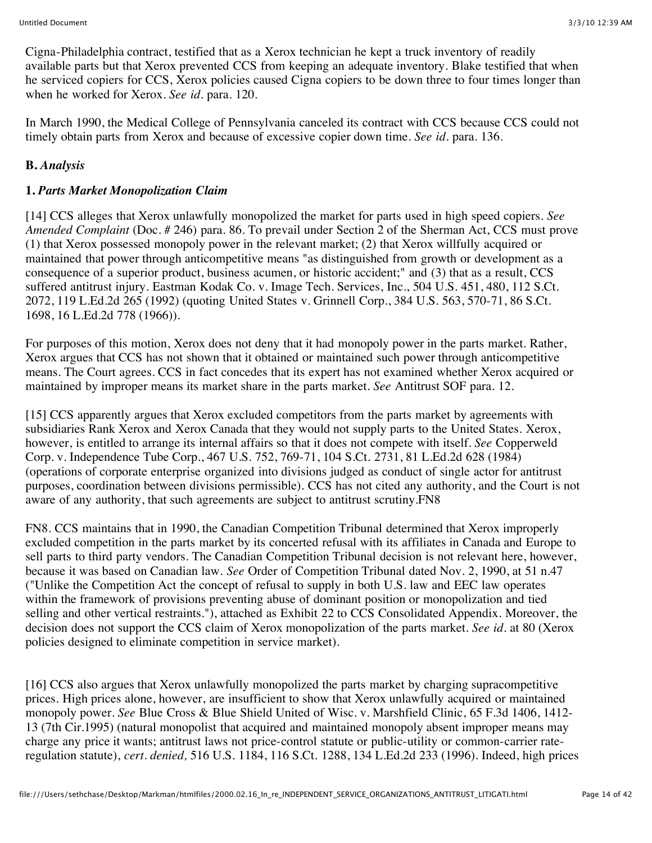Cigna-Philadelphia contract, testified that as a Xerox technician he kept a truck inventory of readily available parts but that Xerox prevented CCS from keeping an adequate inventory. Blake testified that when he serviced copiers for CCS, Xerox policies caused Cigna copiers to be down three to four times longer than when he worked for Xerox. *See id.* para. 120.

In March 1990, the Medical College of Pennsylvania canceled its contract with CCS because CCS could not timely obtain parts from Xerox and because of excessive copier down time. *See id.* para. 136.

# **B.** *Analysis*

# **1.** *Parts Market Monopolization Claim*

[14] CCS alleges that Xerox unlawfully monopolized the market for parts used in high speed copiers. *See Amended Complaint* (Doc. # 246) para. 86. To prevail under Section 2 of the Sherman Act, CCS must prove (1) that Xerox possessed monopoly power in the relevant market; (2) that Xerox willfully acquired or maintained that power through anticompetitive means "as distinguished from growth or development as a consequence of a superior product, business acumen, or historic accident;" and (3) that as a result, CCS suffered antitrust injury. Eastman Kodak Co. v. Image Tech. Services, Inc., 504 U.S. 451, 480, 112 S.Ct. 2072, 119 L.Ed.2d 265 (1992) (quoting United States v. Grinnell Corp., 384 U.S. 563, 570-71, 86 S.Ct. 1698, 16 L.Ed.2d 778 (1966)).

For purposes of this motion, Xerox does not deny that it had monopoly power in the parts market. Rather, Xerox argues that CCS has not shown that it obtained or maintained such power through anticompetitive means. The Court agrees. CCS in fact concedes that its expert has not examined whether Xerox acquired or maintained by improper means its market share in the parts market. *See* Antitrust SOF para. 12.

[15] CCS apparently argues that Xerox excluded competitors from the parts market by agreements with subsidiaries Rank Xerox and Xerox Canada that they would not supply parts to the United States. Xerox, however, is entitled to arrange its internal affairs so that it does not compete with itself. *See* Copperweld Corp. v. Independence Tube Corp., 467 U.S. 752, 769-71, 104 S.Ct. 2731, 81 L.Ed.2d 628 (1984) (operations of corporate enterprise organized into divisions judged as conduct of single actor for antitrust purposes, coordination between divisions permissible). CCS has not cited any authority, and the Court is not aware of any authority, that such agreements are subject to antitrust scrutiny.FN8

FN8. CCS maintains that in 1990, the Canadian Competition Tribunal determined that Xerox improperly excluded competition in the parts market by its concerted refusal with its affiliates in Canada and Europe to sell parts to third party vendors. The Canadian Competition Tribunal decision is not relevant here, however, because it was based on Canadian law. *See* Order of Competition Tribunal dated Nov. 2, 1990, at 51 n.47 ("Unlike the Competition Act the concept of refusal to supply in both U.S. law and EEC law operates within the framework of provisions preventing abuse of dominant position or monopolization and tied selling and other vertical restraints."), attached as Exhibit 22 to CCS Consolidated Appendix. Moreover, the decision does not support the CCS claim of Xerox monopolization of the parts market. *See id.* at 80 (Xerox policies designed to eliminate competition in service market).

[16] CCS also argues that Xerox unlawfully monopolized the parts market by charging supracompetitive prices. High prices alone, however, are insufficient to show that Xerox unlawfully acquired or maintained monopoly power. *See* Blue Cross & Blue Shield United of Wisc. v. Marshfield Clinic, 65 F.3d 1406, 1412- 13 (7th Cir.1995) (natural monopolist that acquired and maintained monopoly absent improper means may charge any price it wants; antitrust laws not price-control statute or public-utility or common-carrier rateregulation statute), *cert. denied,* 516 U.S. 1184, 116 S.Ct. 1288, 134 L.Ed.2d 233 (1996). Indeed, high prices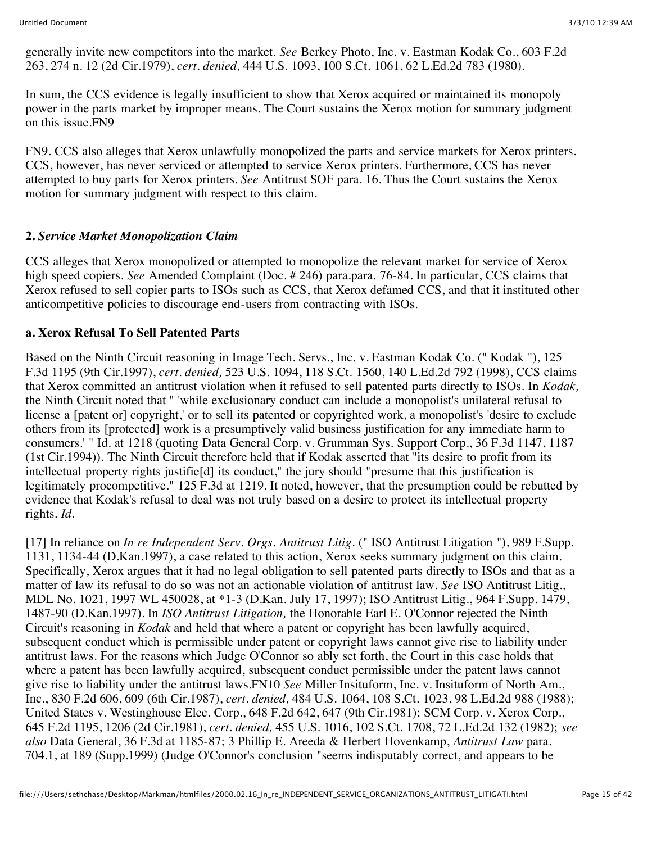generally invite new competitors into the market. *See* Berkey Photo, Inc. v. Eastman Kodak Co., 603 F.2d 263, 274 n. 12 (2d Cir.1979), *cert. denied,* 444 U.S. 1093, 100 S.Ct. 1061, 62 L.Ed.2d 783 (1980).

In sum, the CCS evidence is legally insufficient to show that Xerox acquired or maintained its monopoly power in the parts market by improper means. The Court sustains the Xerox motion for summary judgment on this issue.FN9

FN9. CCS also alleges that Xerox unlawfully monopolized the parts and service markets for Xerox printers. CCS, however, has never serviced or attempted to service Xerox printers. Furthermore, CCS has never attempted to buy parts for Xerox printers. *See* Antitrust SOF para. 16. Thus the Court sustains the Xerox motion for summary judgment with respect to this claim.

### **2.** *Service Market Monopolization Claim*

CCS alleges that Xerox monopolized or attempted to monopolize the relevant market for service of Xerox high speed copiers. *See* Amended Complaint (Doc. # 246) para.para. 76-84. In particular, CCS claims that Xerox refused to sell copier parts to ISOs such as CCS, that Xerox defamed CCS, and that it instituted other anticompetitive policies to discourage end-users from contracting with ISOs.

#### **a. Xerox Refusal To Sell Patented Parts**

Based on the Ninth Circuit reasoning in Image Tech. Servs., Inc. v. Eastman Kodak Co. (" Kodak "), 125 F.3d 1195 (9th Cir.1997), *cert. denied,* 523 U.S. 1094, 118 S.Ct. 1560, 140 L.Ed.2d 792 (1998), CCS claims that Xerox committed an antitrust violation when it refused to sell patented parts directly to ISOs. In *Kodak,* the Ninth Circuit noted that " 'while exclusionary conduct can include a monopolist's unilateral refusal to license a [patent or] copyright,' or to sell its patented or copyrighted work, a monopolist's 'desire to exclude others from its [protected] work is a presumptively valid business justification for any immediate harm to consumers.' " Id. at 1218 (quoting Data General Corp. v. Grumman Sys. Support Corp., 36 F.3d 1147, 1187 (1st Cir.1994)). The Ninth Circuit therefore held that if Kodak asserted that "its desire to profit from its intellectual property rights justifie[d] its conduct," the jury should "presume that this justification is legitimately procompetitive." 125 F.3d at 1219. It noted, however, that the presumption could be rebutted by evidence that Kodak's refusal to deal was not truly based on a desire to protect its intellectual property rights. *Id.*

[17] In reliance on *In re Independent Serv. Orgs. Antitrust Litig.* (" ISO Antitrust Litigation "), 989 F.Supp. 1131, 1134-44 (D.Kan.1997), a case related to this action, Xerox seeks summary judgment on this claim. Specifically, Xerox argues that it had no legal obligation to sell patented parts directly to ISOs and that as a matter of law its refusal to do so was not an actionable violation of antitrust law. *See* ISO Antitrust Litig., MDL No. 1021, 1997 WL 450028, at \*1-3 (D.Kan. July 17, 1997); ISO Antitrust Litig., 964 F.Supp. 1479, 1487-90 (D.Kan.1997). In *ISO Antitrust Litigation,* the Honorable Earl E. O'Connor rejected the Ninth Circuit's reasoning in *Kodak* and held that where a patent or copyright has been lawfully acquired, subsequent conduct which is permissible under patent or copyright laws cannot give rise to liability under antitrust laws. For the reasons which Judge O'Connor so ably set forth, the Court in this case holds that where a patent has been lawfully acquired, subsequent conduct permissible under the patent laws cannot give rise to liability under the antitrust laws.FN10 *See* Miller Insituform, Inc. v. Insituform of North Am., Inc., 830 F.2d 606, 609 (6th Cir.1987), *cert. denied,* 484 U.S. 1064, 108 S.Ct. 1023, 98 L.Ed.2d 988 (1988); United States v. Westinghouse Elec. Corp., 648 F.2d 642, 647 (9th Cir.1981); SCM Corp. v. Xerox Corp., 645 F.2d 1195, 1206 (2d Cir.1981), *cert. denied,* 455 U.S. 1016, 102 S.Ct. 1708, 72 L.Ed.2d 132 (1982); *see also* Data General, 36 F.3d at 1185-87; 3 Phillip E. Areeda & Herbert Hovenkamp, *Antitrust Law* para. 704.1, at 189 (Supp.1999) (Judge O'Connor's conclusion "seems indisputably correct, and appears to be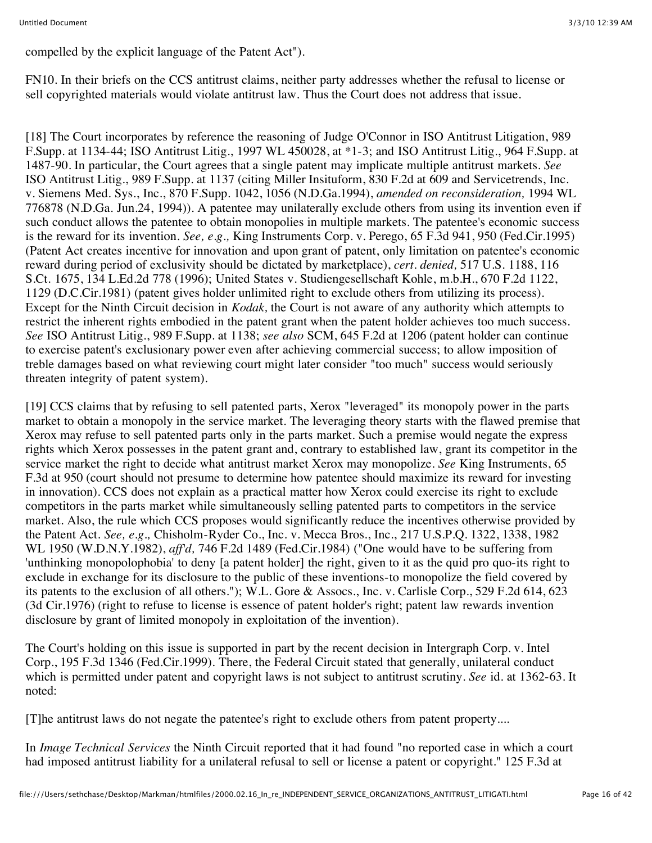compelled by the explicit language of the Patent Act").

FN10. In their briefs on the CCS antitrust claims, neither party addresses whether the refusal to license or sell copyrighted materials would violate antitrust law. Thus the Court does not address that issue.

[18] The Court incorporates by reference the reasoning of Judge O'Connor in ISO Antitrust Litigation, 989 F.Supp. at 1134-44; ISO Antitrust Litig., 1997 WL 450028, at \*1-3; and ISO Antitrust Litig., 964 F.Supp. at 1487-90. In particular, the Court agrees that a single patent may implicate multiple antitrust markets. *See* ISO Antitrust Litig., 989 F.Supp. at 1137 (citing Miller Insituform, 830 F.2d at 609 and Servicetrends, Inc. v. Siemens Med. Sys., Inc., 870 F.Supp. 1042, 1056 (N.D.Ga.1994), *amended on reconsideration,* 1994 WL 776878 (N.D.Ga. Jun.24, 1994)). A patentee may unilaterally exclude others from using its invention even if such conduct allows the patentee to obtain monopolies in multiple markets. The patentee's economic success is the reward for its invention. *See, e.g.,* King Instruments Corp. v. Perego, 65 F.3d 941, 950 (Fed.Cir.1995) (Patent Act creates incentive for innovation and upon grant of patent, only limitation on patentee's economic reward during period of exclusivity should be dictated by marketplace), *cert. denied,* 517 U.S. 1188, 116 S.Ct. 1675, 134 L.Ed.2d 778 (1996); United States v. Studiengesellschaft Kohle, m.b.H., 670 F.2d 1122, 1129 (D.C.Cir.1981) (patent gives holder unlimited right to exclude others from utilizing its process). Except for the Ninth Circuit decision in *Kodak,* the Court is not aware of any authority which attempts to restrict the inherent rights embodied in the patent grant when the patent holder achieves too much success. *See* ISO Antitrust Litig., 989 F.Supp. at 1138; *see also* SCM, 645 F.2d at 1206 (patent holder can continue to exercise patent's exclusionary power even after achieving commercial success; to allow imposition of treble damages based on what reviewing court might later consider "too much" success would seriously threaten integrity of patent system).

[19] CCS claims that by refusing to sell patented parts, Xerox "leveraged" its monopoly power in the parts market to obtain a monopoly in the service market. The leveraging theory starts with the flawed premise that Xerox may refuse to sell patented parts only in the parts market. Such a premise would negate the express rights which Xerox possesses in the patent grant and, contrary to established law, grant its competitor in the service market the right to decide what antitrust market Xerox may monopolize. *See* King Instruments, 65 F.3d at 950 (court should not presume to determine how patentee should maximize its reward for investing in innovation). CCS does not explain as a practical matter how Xerox could exercise its right to exclude competitors in the parts market while simultaneously selling patented parts to competitors in the service market. Also, the rule which CCS proposes would significantly reduce the incentives otherwise provided by the Patent Act. *See, e.g.,* Chisholm-Ryder Co., Inc. v. Mecca Bros., Inc., 217 U.S.P.Q. 1322, 1338, 1982 WL 1950 (W.D.N.Y.1982), *aff'd,* 746 F.2d 1489 (Fed.Cir.1984) ("One would have to be suffering from 'unthinking monopolophobia' to deny [a patent holder] the right, given to it as the quid pro quo-its right to exclude in exchange for its disclosure to the public of these inventions-to monopolize the field covered by its patents to the exclusion of all others."); W.L. Gore & Assocs., Inc. v. Carlisle Corp., 529 F.2d 614, 623 (3d Cir.1976) (right to refuse to license is essence of patent holder's right; patent law rewards invention disclosure by grant of limited monopoly in exploitation of the invention).

The Court's holding on this issue is supported in part by the recent decision in Intergraph Corp. v. Intel Corp., 195 F.3d 1346 (Fed.Cir.1999). There, the Federal Circuit stated that generally, unilateral conduct which is permitted under patent and copyright laws is not subject to antitrust scrutiny. *See* id. at 1362-63. It noted:

[T]he antitrust laws do not negate the patentee's right to exclude others from patent property....

In *Image Technical Services* the Ninth Circuit reported that it had found "no reported case in which a court had imposed antitrust liability for a unilateral refusal to sell or license a patent or copyright." 125 F.3d at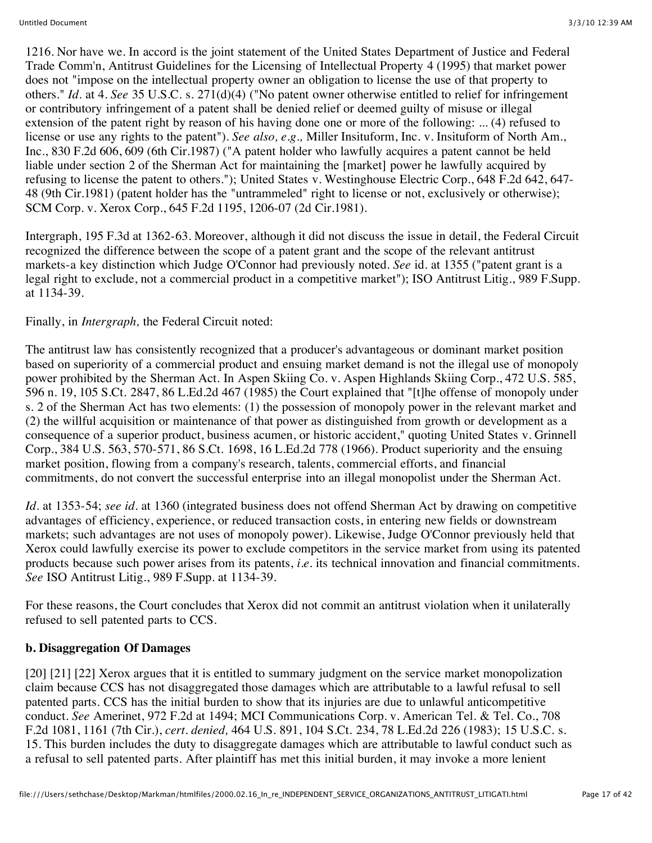1216. Nor have we. In accord is the joint statement of the United States Department of Justice and Federal Trade Comm'n, Antitrust Guidelines for the Licensing of Intellectual Property 4 (1995) that market power does not "impose on the intellectual property owner an obligation to license the use of that property to others." *Id.* at 4. *See* 35 U.S.C. s. 271(d)(4) ("No patent owner otherwise entitled to relief for infringement or contributory infringement of a patent shall be denied relief or deemed guilty of misuse or illegal extension of the patent right by reason of his having done one or more of the following: ... (4) refused to license or use any rights to the patent"). *See also, e.g.,* Miller Insituform, Inc. v. Insituform of North Am., Inc., 830 F.2d 606, 609 (6th Cir.1987) ("A patent holder who lawfully acquires a patent cannot be held liable under section 2 of the Sherman Act for maintaining the [market] power he lawfully acquired by refusing to license the patent to others."); United States v. Westinghouse Electric Corp., 648 F.2d 642, 647- 48 (9th Cir.1981) (patent holder has the "untrammeled" right to license or not, exclusively or otherwise); SCM Corp. v. Xerox Corp., 645 F.2d 1195, 1206-07 (2d Cir.1981).

Intergraph, 195 F.3d at 1362-63. Moreover, although it did not discuss the issue in detail, the Federal Circuit recognized the difference between the scope of a patent grant and the scope of the relevant antitrust markets-a key distinction which Judge O'Connor had previously noted. *See* id. at 1355 ("patent grant is a legal right to exclude, not a commercial product in a competitive market"); ISO Antitrust Litig., 989 F.Supp. at 1134-39.

Finally, in *Intergraph,* the Federal Circuit noted:

The antitrust law has consistently recognized that a producer's advantageous or dominant market position based on superiority of a commercial product and ensuing market demand is not the illegal use of monopoly power prohibited by the Sherman Act. In Aspen Skiing Co. v. Aspen Highlands Skiing Corp., 472 U.S. 585, 596 n. 19, 105 S.Ct. 2847, 86 L.Ed.2d 467 (1985) the Court explained that "[t]he offense of monopoly under s. 2 of the Sherman Act has two elements: (1) the possession of monopoly power in the relevant market and (2) the willful acquisition or maintenance of that power as distinguished from growth or development as a consequence of a superior product, business acumen, or historic accident," quoting United States v. Grinnell Corp., 384 U.S. 563, 570-571, 86 S.Ct. 1698, 16 L.Ed.2d 778 (1966). Product superiority and the ensuing market position, flowing from a company's research, talents, commercial efforts, and financial commitments, do not convert the successful enterprise into an illegal monopolist under the Sherman Act.

*Id.* at 1353-54; *see id.* at 1360 (integrated business does not offend Sherman Act by drawing on competitive advantages of efficiency, experience, or reduced transaction costs, in entering new fields or downstream markets; such advantages are not uses of monopoly power). Likewise, Judge O'Connor previously held that Xerox could lawfully exercise its power to exclude competitors in the service market from using its patented products because such power arises from its patents, *i.e.* its technical innovation and financial commitments. *See* ISO Antitrust Litig., 989 F.Supp. at 1134-39.

For these reasons, the Court concludes that Xerox did not commit an antitrust violation when it unilaterally refused to sell patented parts to CCS.

### **b. Disaggregation Of Damages**

[20] [21] [22] Xerox argues that it is entitled to summary judgment on the service market monopolization claim because CCS has not disaggregated those damages which are attributable to a lawful refusal to sell patented parts. CCS has the initial burden to show that its injuries are due to unlawful anticompetitive conduct. *See* Amerinet, 972 F.2d at 1494; MCI Communications Corp. v. American Tel. & Tel. Co., 708 F.2d 1081, 1161 (7th Cir.), *cert. denied,* 464 U.S. 891, 104 S.Ct. 234, 78 L.Ed.2d 226 (1983); 15 U.S.C. s. 15. This burden includes the duty to disaggregate damages which are attributable to lawful conduct such as a refusal to sell patented parts. After plaintiff has met this initial burden, it may invoke a more lenient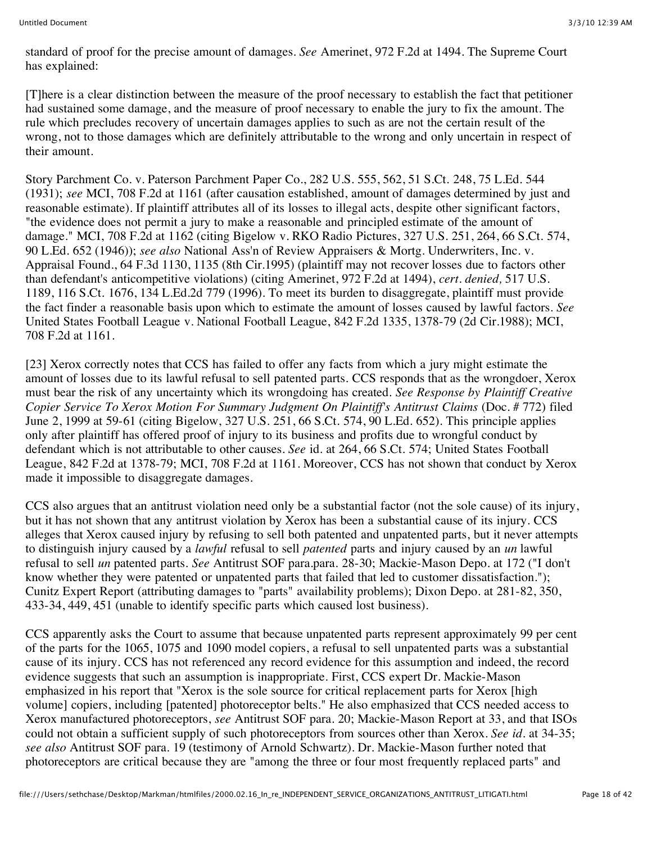standard of proof for the precise amount of damages. *See* Amerinet, 972 F.2d at 1494. The Supreme Court has explained:

[T]here is a clear distinction between the measure of the proof necessary to establish the fact that petitioner had sustained some damage, and the measure of proof necessary to enable the jury to fix the amount. The rule which precludes recovery of uncertain damages applies to such as are not the certain result of the wrong, not to those damages which are definitely attributable to the wrong and only uncertain in respect of their amount.

Story Parchment Co. v. Paterson Parchment Paper Co., 282 U.S. 555, 562, 51 S.Ct. 248, 75 L.Ed. 544 (1931); *see* MCI, 708 F.2d at 1161 (after causation established, amount of damages determined by just and reasonable estimate). If plaintiff attributes all of its losses to illegal acts, despite other significant factors, "the evidence does not permit a jury to make a reasonable and principled estimate of the amount of damage." MCI, 708 F.2d at 1162 (citing Bigelow v. RKO Radio Pictures, 327 U.S. 251, 264, 66 S.Ct. 574, 90 L.Ed. 652 (1946)); *see also* National Ass'n of Review Appraisers & Mortg. Underwriters, Inc. v. Appraisal Found., 64 F.3d 1130, 1135 (8th Cir.1995) (plaintiff may not recover losses due to factors other than defendant's anticompetitive violations) (citing Amerinet, 972 F.2d at 1494), *cert. denied,* 517 U.S. 1189, 116 S.Ct. 1676, 134 L.Ed.2d 779 (1996). To meet its burden to disaggregate, plaintiff must provide the fact finder a reasonable basis upon which to estimate the amount of losses caused by lawful factors. *See* United States Football League v. National Football League, 842 F.2d 1335, 1378-79 (2d Cir.1988); MCI, 708 F.2d at 1161.

[23] Xerox correctly notes that CCS has failed to offer any facts from which a jury might estimate the amount of losses due to its lawful refusal to sell patented parts. CCS responds that as the wrongdoer, Xerox must bear the risk of any uncertainty which its wrongdoing has created. *See Response by Plaintiff Creative Copier Service To Xerox Motion For Summary Judgment On Plaintiff's Antitrust Claims* (Doc. # 772) filed June 2, 1999 at 59-61 (citing Bigelow, 327 U.S. 251, 66 S.Ct. 574, 90 L.Ed. 652). This principle applies only after plaintiff has offered proof of injury to its business and profits due to wrongful conduct by defendant which is not attributable to other causes. *See* id. at 264, 66 S.Ct. 574; United States Football League, 842 F.2d at 1378-79; MCI, 708 F.2d at 1161. Moreover, CCS has not shown that conduct by Xerox made it impossible to disaggregate damages.

CCS also argues that an antitrust violation need only be a substantial factor (not the sole cause) of its injury, but it has not shown that any antitrust violation by Xerox has been a substantial cause of its injury. CCS alleges that Xerox caused injury by refusing to sell both patented and unpatented parts, but it never attempts to distinguish injury caused by a *lawful* refusal to sell *patented* parts and injury caused by an *un* lawful refusal to sell *un* patented parts. *See* Antitrust SOF para.para. 28-30; Mackie-Mason Depo. at 172 ("I don't know whether they were patented or unpatented parts that failed that led to customer dissatisfaction."); Cunitz Expert Report (attributing damages to "parts" availability problems); Dixon Depo. at 281-82, 350, 433-34, 449, 451 (unable to identify specific parts which caused lost business).

CCS apparently asks the Court to assume that because unpatented parts represent approximately 99 per cent of the parts for the 1065, 1075 and 1090 model copiers, a refusal to sell unpatented parts was a substantial cause of its injury. CCS has not referenced any record evidence for this assumption and indeed, the record evidence suggests that such an assumption is inappropriate. First, CCS expert Dr. Mackie-Mason emphasized in his report that "Xerox is the sole source for critical replacement parts for Xerox [high volume] copiers, including [patented] photoreceptor belts." He also emphasized that CCS needed access to Xerox manufactured photoreceptors, *see* Antitrust SOF para. 20; Mackie-Mason Report at 33, and that ISOs could not obtain a sufficient supply of such photoreceptors from sources other than Xerox. *See id.* at 34-35; *see also* Antitrust SOF para. 19 (testimony of Arnold Schwartz). Dr. Mackie-Mason further noted that photoreceptors are critical because they are "among the three or four most frequently replaced parts" and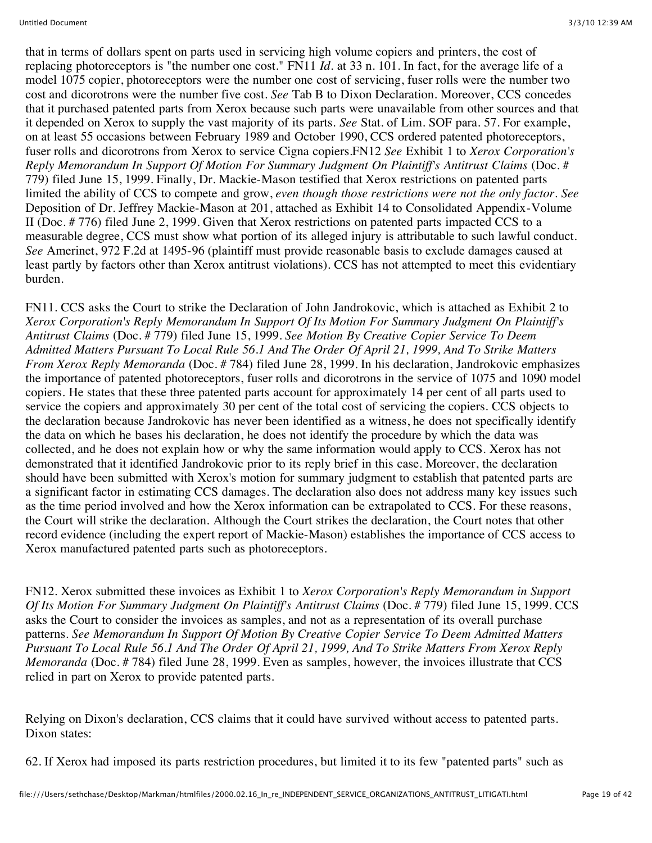that in terms of dollars spent on parts used in servicing high volume copiers and printers, the cost of replacing photoreceptors is "the number one cost." FN11 *Id.* at 33 n. 101. In fact, for the average life of a model 1075 copier, photoreceptors were the number one cost of servicing, fuser rolls were the number two cost and dicorotrons were the number five cost. *See* Tab B to Dixon Declaration. Moreover, CCS concedes that it purchased patented parts from Xerox because such parts were unavailable from other sources and that it depended on Xerox to supply the vast majority of its parts. *See* Stat. of Lim. SOF para. 57. For example, on at least 55 occasions between February 1989 and October 1990, CCS ordered patented photoreceptors, fuser rolls and dicorotrons from Xerox to service Cigna copiers.FN12 *See* Exhibit 1 to *Xerox Corporation's Reply Memorandum In Support Of Motion For Summary Judgment On Plaintiff's Antitrust Claims* (Doc. # 779) filed June 15, 1999. Finally, Dr. Mackie-Mason testified that Xerox restrictions on patented parts limited the ability of CCS to compete and grow, *even though those restrictions were not the only factor. See* Deposition of Dr. Jeffrey Mackie-Mason at 201, attached as Exhibit 14 to Consolidated Appendix-Volume II (Doc. # 776) filed June 2, 1999. Given that Xerox restrictions on patented parts impacted CCS to a measurable degree, CCS must show what portion of its alleged injury is attributable to such lawful conduct. *See* Amerinet, 972 F.2d at 1495-96 (plaintiff must provide reasonable basis to exclude damages caused at least partly by factors other than Xerox antitrust violations). CCS has not attempted to meet this evidentiary burden.

FN11. CCS asks the Court to strike the Declaration of John Jandrokovic, which is attached as Exhibit 2 to *Xerox Corporation's Reply Memorandum In Support Of Its Motion For Summary Judgment On Plaintiff's Antitrust Claims* (Doc. # 779) filed June 15, 1999. *See Motion By Creative Copier Service To Deem Admitted Matters Pursuant To Local Rule 56.1 And The Order Of April 21, 1999, And To Strike Matters From Xerox Reply Memoranda* (Doc. # 784) filed June 28, 1999. In his declaration, Jandrokovic emphasizes the importance of patented photoreceptors, fuser rolls and dicorotrons in the service of 1075 and 1090 model copiers. He states that these three patented parts account for approximately 14 per cent of all parts used to service the copiers and approximately 30 per cent of the total cost of servicing the copiers. CCS objects to the declaration because Jandrokovic has never been identified as a witness, he does not specifically identify the data on which he bases his declaration, he does not identify the procedure by which the data was collected, and he does not explain how or why the same information would apply to CCS. Xerox has not demonstrated that it identified Jandrokovic prior to its reply brief in this case. Moreover, the declaration should have been submitted with Xerox's motion for summary judgment to establish that patented parts are a significant factor in estimating CCS damages. The declaration also does not address many key issues such as the time period involved and how the Xerox information can be extrapolated to CCS. For these reasons, the Court will strike the declaration. Although the Court strikes the declaration, the Court notes that other record evidence (including the expert report of Mackie-Mason) establishes the importance of CCS access to Xerox manufactured patented parts such as photoreceptors.

FN12. Xerox submitted these invoices as Exhibit 1 to *Xerox Corporation's Reply Memorandum in Support Of Its Motion For Summary Judgment On Plaintiff's Antitrust Claims* (Doc. # 779) filed June 15, 1999. CCS asks the Court to consider the invoices as samples, and not as a representation of its overall purchase patterns. *See Memorandum In Support Of Motion By Creative Copier Service To Deem Admitted Matters Pursuant To Local Rule 56.1 And The Order Of April 21, 1999, And To Strike Matters From Xerox Reply Memoranda* (Doc. # 784) filed June 28, 1999. Even as samples, however, the invoices illustrate that CCS relied in part on Xerox to provide patented parts.

Relying on Dixon's declaration, CCS claims that it could have survived without access to patented parts. Dixon states:

62. If Xerox had imposed its parts restriction procedures, but limited it to its few "patented parts" such as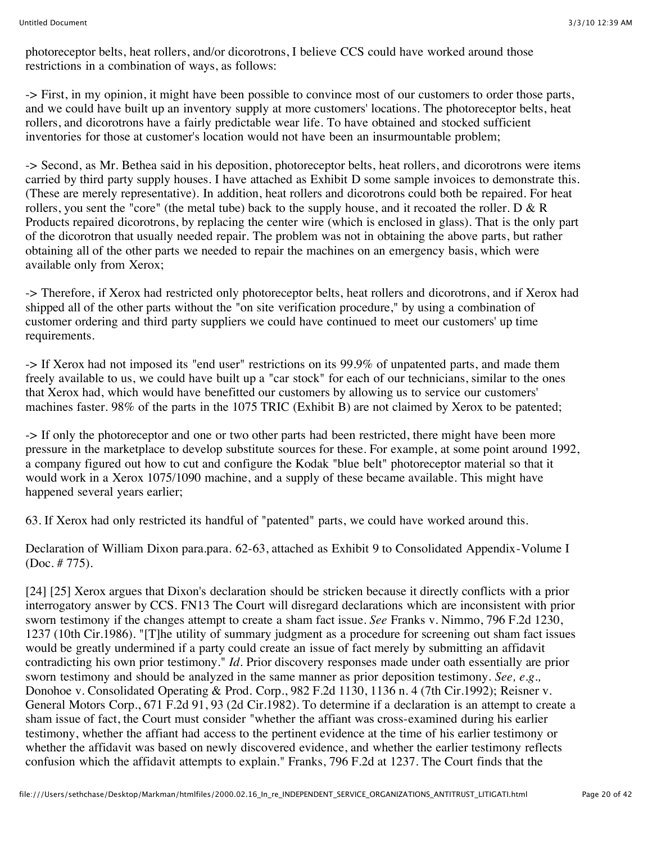photoreceptor belts, heat rollers, and/or dicorotrons, I believe CCS could have worked around those restrictions in a combination of ways, as follows:

-> First, in my opinion, it might have been possible to convince most of our customers to order those parts, and we could have built up an inventory supply at more customers' locations. The photoreceptor belts, heat rollers, and dicorotrons have a fairly predictable wear life. To have obtained and stocked sufficient inventories for those at customer's location would not have been an insurmountable problem;

-> Second, as Mr. Bethea said in his deposition, photoreceptor belts, heat rollers, and dicorotrons were items carried by third party supply houses. I have attached as Exhibit D some sample invoices to demonstrate this. (These are merely representative). In addition, heat rollers and dicorotrons could both be repaired. For heat rollers, you sent the "core" (the metal tube) back to the supply house, and it recoated the roller.  $D \& R$ Products repaired dicorotrons, by replacing the center wire (which is enclosed in glass). That is the only part of the dicorotron that usually needed repair. The problem was not in obtaining the above parts, but rather obtaining all of the other parts we needed to repair the machines on an emergency basis, which were available only from Xerox;

-> Therefore, if Xerox had restricted only photoreceptor belts, heat rollers and dicorotrons, and if Xerox had shipped all of the other parts without the "on site verification procedure," by using a combination of customer ordering and third party suppliers we could have continued to meet our customers' up time requirements.

-> If Xerox had not imposed its "end user" restrictions on its 99.9% of unpatented parts, and made them freely available to us, we could have built up a "car stock" for each of our technicians, similar to the ones that Xerox had, which would have benefitted our customers by allowing us to service our customers' machines faster. 98% of the parts in the 1075 TRIC (Exhibit B) are not claimed by Xerox to be patented;

-> If only the photoreceptor and one or two other parts had been restricted, there might have been more pressure in the marketplace to develop substitute sources for these. For example, at some point around 1992, a company figured out how to cut and configure the Kodak "blue belt" photoreceptor material so that it would work in a Xerox 1075/1090 machine, and a supply of these became available. This might have happened several years earlier;

63. If Xerox had only restricted its handful of "patented" parts, we could have worked around this.

Declaration of William Dixon para.para. 62-63, attached as Exhibit 9 to Consolidated Appendix-Volume I (Doc. # 775).

[24] [25] Xerox argues that Dixon's declaration should be stricken because it directly conflicts with a prior interrogatory answer by CCS. FN13 The Court will disregard declarations which are inconsistent with prior sworn testimony if the changes attempt to create a sham fact issue. *See* Franks v. Nimmo, 796 F.2d 1230, 1237 (10th Cir.1986). "[T]he utility of summary judgment as a procedure for screening out sham fact issues would be greatly undermined if a party could create an issue of fact merely by submitting an affidavit contradicting his own prior testimony." *Id.* Prior discovery responses made under oath essentially are prior sworn testimony and should be analyzed in the same manner as prior deposition testimony. *See, e.g.,* Donohoe v. Consolidated Operating & Prod. Corp., 982 F.2d 1130, 1136 n. 4 (7th Cir.1992); Reisner v. General Motors Corp., 671 F.2d 91, 93 (2d Cir.1982). To determine if a declaration is an attempt to create a sham issue of fact, the Court must consider "whether the affiant was cross-examined during his earlier testimony, whether the affiant had access to the pertinent evidence at the time of his earlier testimony or whether the affidavit was based on newly discovered evidence, and whether the earlier testimony reflects confusion which the affidavit attempts to explain." Franks, 796 F.2d at 1237. The Court finds that the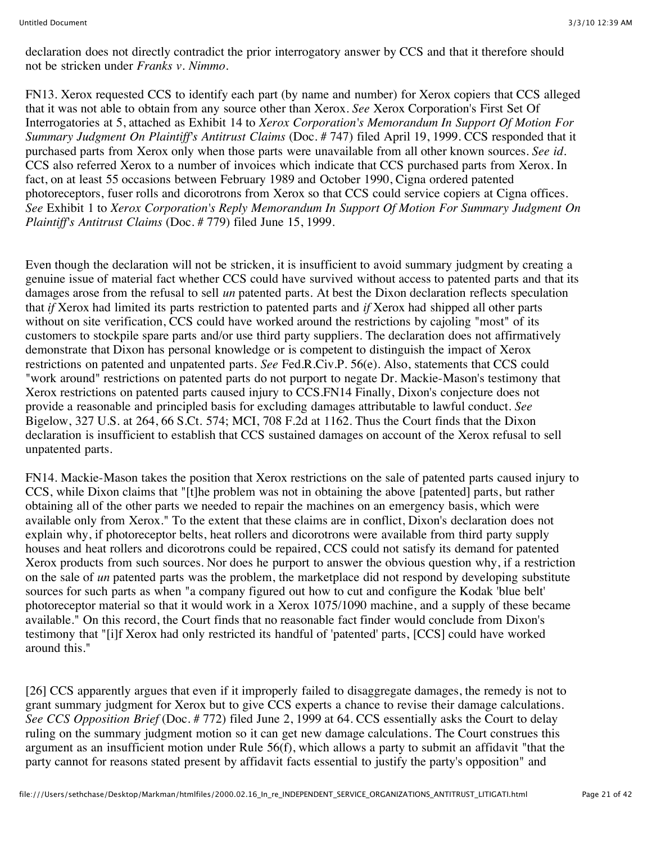declaration does not directly contradict the prior interrogatory answer by CCS and that it therefore should not be stricken under *Franks v. Nimmo.*

FN13. Xerox requested CCS to identify each part (by name and number) for Xerox copiers that CCS alleged that it was not able to obtain from any source other than Xerox. *See* Xerox Corporation's First Set Of Interrogatories at 5, attached as Exhibit 14 to *Xerox Corporation's Memorandum In Support Of Motion For Summary Judgment On Plaintiff's Antitrust Claims* (Doc. # 747) filed April 19, 1999. CCS responded that it purchased parts from Xerox only when those parts were unavailable from all other known sources. *See id.* CCS also referred Xerox to a number of invoices which indicate that CCS purchased parts from Xerox. In fact, on at least 55 occasions between February 1989 and October 1990, Cigna ordered patented photoreceptors, fuser rolls and dicorotrons from Xerox so that CCS could service copiers at Cigna offices. *See* Exhibit 1 to *Xerox Corporation's Reply Memorandum In Support Of Motion For Summary Judgment On Plaintiff's Antitrust Claims* (Doc. # 779) filed June 15, 1999.

Even though the declaration will not be stricken, it is insufficient to avoid summary judgment by creating a genuine issue of material fact whether CCS could have survived without access to patented parts and that its damages arose from the refusal to sell *un* patented parts. At best the Dixon declaration reflects speculation that *if* Xerox had limited its parts restriction to patented parts and *if* Xerox had shipped all other parts without on site verification, CCS could have worked around the restrictions by cajoling "most" of its customers to stockpile spare parts and/or use third party suppliers. The declaration does not affirmatively demonstrate that Dixon has personal knowledge or is competent to distinguish the impact of Xerox restrictions on patented and unpatented parts. *See* Fed.R.Civ.P. 56(e). Also, statements that CCS could "work around" restrictions on patented parts do not purport to negate Dr. Mackie-Mason's testimony that Xerox restrictions on patented parts caused injury to CCS.FN14 Finally, Dixon's conjecture does not provide a reasonable and principled basis for excluding damages attributable to lawful conduct. *See* Bigelow, 327 U.S. at 264, 66 S.Ct. 574; MCI, 708 F.2d at 1162. Thus the Court finds that the Dixon declaration is insufficient to establish that CCS sustained damages on account of the Xerox refusal to sell unpatented parts.

FN14. Mackie-Mason takes the position that Xerox restrictions on the sale of patented parts caused injury to CCS, while Dixon claims that "[t]he problem was not in obtaining the above [patented] parts, but rather obtaining all of the other parts we needed to repair the machines on an emergency basis, which were available only from Xerox." To the extent that these claims are in conflict, Dixon's declaration does not explain why, if photoreceptor belts, heat rollers and dicorotrons were available from third party supply houses and heat rollers and dicorotrons could be repaired, CCS could not satisfy its demand for patented Xerox products from such sources. Nor does he purport to answer the obvious question why, if a restriction on the sale of *un* patented parts was the problem, the marketplace did not respond by developing substitute sources for such parts as when "a company figured out how to cut and configure the Kodak 'blue belt' photoreceptor material so that it would work in a Xerox 1075/1090 machine, and a supply of these became available." On this record, the Court finds that no reasonable fact finder would conclude from Dixon's testimony that "[i]f Xerox had only restricted its handful of 'patented' parts, [CCS] could have worked around this."

[26] CCS apparently argues that even if it improperly failed to disaggregate damages, the remedy is not to grant summary judgment for Xerox but to give CCS experts a chance to revise their damage calculations. *See CCS Opposition Brief* (Doc. # 772) filed June 2, 1999 at 64. CCS essentially asks the Court to delay ruling on the summary judgment motion so it can get new damage calculations. The Court construes this argument as an insufficient motion under Rule 56(f), which allows a party to submit an affidavit "that the party cannot for reasons stated present by affidavit facts essential to justify the party's opposition" and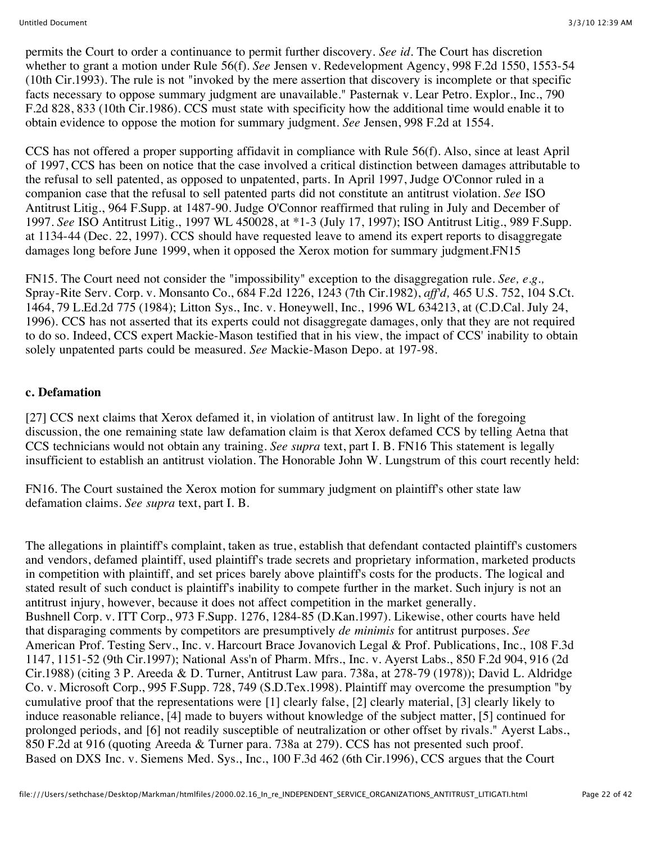permits the Court to order a continuance to permit further discovery. *See id.* The Court has discretion whether to grant a motion under Rule 56(f). *See* Jensen v. Redevelopment Agency, 998 F.2d 1550, 1553-54 (10th Cir.1993). The rule is not "invoked by the mere assertion that discovery is incomplete or that specific facts necessary to oppose summary judgment are unavailable." Pasternak v. Lear Petro. Explor., Inc., 790 F.2d 828, 833 (10th Cir.1986). CCS must state with specificity how the additional time would enable it to obtain evidence to oppose the motion for summary judgment. *See* Jensen, 998 F.2d at 1554.

CCS has not offered a proper supporting affidavit in compliance with Rule 56(f). Also, since at least April of 1997, CCS has been on notice that the case involved a critical distinction between damages attributable to the refusal to sell patented, as opposed to unpatented, parts. In April 1997, Judge O'Connor ruled in a companion case that the refusal to sell patented parts did not constitute an antitrust violation. *See* ISO Antitrust Litig., 964 F.Supp. at 1487-90. Judge O'Connor reaffirmed that ruling in July and December of 1997. *See* ISO Antitrust Litig., 1997 WL 450028, at \*1-3 (July 17, 1997); ISO Antitrust Litig., 989 F.Supp. at 1134-44 (Dec. 22, 1997). CCS should have requested leave to amend its expert reports to disaggregate damages long before June 1999, when it opposed the Xerox motion for summary judgment.FN15

FN15. The Court need not consider the "impossibility" exception to the disaggregation rule. *See, e.g.,* Spray-Rite Serv. Corp. v. Monsanto Co., 684 F.2d 1226, 1243 (7th Cir.1982), *aff'd,* 465 U.S. 752, 104 S.Ct. 1464, 79 L.Ed.2d 775 (1984); Litton Sys., Inc. v. Honeywell, Inc., 1996 WL 634213, at (C.D.Cal. July 24, 1996). CCS has not asserted that its experts could not disaggregate damages, only that they are not required to do so. Indeed, CCS expert Mackie-Mason testified that in his view, the impact of CCS' inability to obtain solely unpatented parts could be measured. *See* Mackie-Mason Depo. at 197-98.

#### **c. Defamation**

[27] CCS next claims that Xerox defamed it, in violation of antitrust law. In light of the foregoing discussion, the one remaining state law defamation claim is that Xerox defamed CCS by telling Aetna that CCS technicians would not obtain any training. *See supra* text, part I. B. FN16 This statement is legally insufficient to establish an antitrust violation. The Honorable John W. Lungstrum of this court recently held:

FN16. The Court sustained the Xerox motion for summary judgment on plaintiff's other state law defamation claims. *See supra* text, part I. B.

The allegations in plaintiff's complaint, taken as true, establish that defendant contacted plaintiff's customers and vendors, defamed plaintiff, used plaintiff's trade secrets and proprietary information, marketed products in competition with plaintiff, and set prices barely above plaintiff's costs for the products. The logical and stated result of such conduct is plaintiff's inability to compete further in the market. Such injury is not an antitrust injury, however, because it does not affect competition in the market generally. Bushnell Corp. v. ITT Corp., 973 F.Supp. 1276, 1284-85 (D.Kan.1997). Likewise, other courts have held that disparaging comments by competitors are presumptively *de minimis* for antitrust purposes. *See* American Prof. Testing Serv., Inc. v. Harcourt Brace Jovanovich Legal & Prof. Publications, Inc., 108 F.3d 1147, 1151-52 (9th Cir.1997); National Ass'n of Pharm. Mfrs., Inc. v. Ayerst Labs., 850 F.2d 904, 916 (2d Cir.1988) (citing 3 P. Areeda & D. Turner, Antitrust Law para. 738a, at 278-79 (1978)); David L. Aldridge Co. v. Microsoft Corp., 995 F.Supp. 728, 749 (S.D.Tex.1998). Plaintiff may overcome the presumption "by cumulative proof that the representations were [1] clearly false, [2] clearly material, [3] clearly likely to induce reasonable reliance, [4] made to buyers without knowledge of the subject matter, [5] continued for prolonged periods, and [6] not readily susceptible of neutralization or other offset by rivals." Ayerst Labs., 850 F.2d at 916 (quoting Areeda & Turner para. 738a at 279). CCS has not presented such proof. Based on DXS Inc. v. Siemens Med. Sys., Inc., 100 F.3d 462 (6th Cir.1996), CCS argues that the Court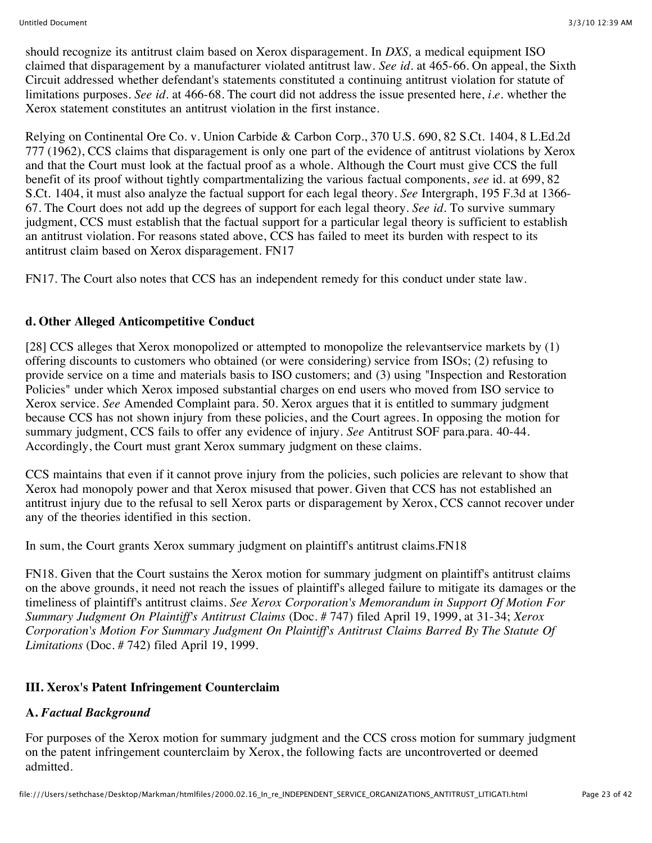should recognize its antitrust claim based on Xerox disparagement. In *DXS,* a medical equipment ISO claimed that disparagement by a manufacturer violated antitrust law. *See id.* at 465-66. On appeal, the Sixth Circuit addressed whether defendant's statements constituted a continuing antitrust violation for statute of limitations purposes. *See id.* at 466-68. The court did not address the issue presented here, *i.e.* whether the Xerox statement constitutes an antitrust violation in the first instance.

Relying on Continental Ore Co. v. Union Carbide & Carbon Corp., 370 U.S. 690, 82 S.Ct. 1404, 8 L.Ed.2d 777 (1962), CCS claims that disparagement is only one part of the evidence of antitrust violations by Xerox and that the Court must look at the factual proof as a whole. Although the Court must give CCS the full benefit of its proof without tightly compartmentalizing the various factual components, *see* id. at 699, 82 S.Ct. 1404, it must also analyze the factual support for each legal theory. *See* Intergraph, 195 F.3d at 1366- 67. The Court does not add up the degrees of support for each legal theory. *See id.* To survive summary judgment, CCS must establish that the factual support for a particular legal theory is sufficient to establish an antitrust violation. For reasons stated above, CCS has failed to meet its burden with respect to its antitrust claim based on Xerox disparagement. FN17

FN17. The Court also notes that CCS has an independent remedy for this conduct under state law.

# **d. Other Alleged Anticompetitive Conduct**

[28] CCS alleges that Xerox monopolized or attempted to monopolize the relevantservice markets by (1) offering discounts to customers who obtained (or were considering) service from ISOs; (2) refusing to provide service on a time and materials basis to ISO customers; and (3) using "Inspection and Restoration Policies" under which Xerox imposed substantial charges on end users who moved from ISO service to Xerox service. *See* Amended Complaint para. 50. Xerox argues that it is entitled to summary judgment because CCS has not shown injury from these policies, and the Court agrees. In opposing the motion for summary judgment, CCS fails to offer any evidence of injury. *See* Antitrust SOF para.para. 40-44. Accordingly, the Court must grant Xerox summary judgment on these claims.

CCS maintains that even if it cannot prove injury from the policies, such policies are relevant to show that Xerox had monopoly power and that Xerox misused that power. Given that CCS has not established an antitrust injury due to the refusal to sell Xerox parts or disparagement by Xerox, CCS cannot recover under any of the theories identified in this section.

In sum, the Court grants Xerox summary judgment on plaintiff's antitrust claims.FN18

FN18. Given that the Court sustains the Xerox motion for summary judgment on plaintiff's antitrust claims on the above grounds, it need not reach the issues of plaintiff's alleged failure to mitigate its damages or the timeliness of plaintiff's antitrust claims. *See Xerox Corporation's Memorandum in Support Of Motion For Summary Judgment On Plaintiff's Antitrust Claims* (Doc. # 747) filed April 19, 1999, at 31-34; *Xerox Corporation's Motion For Summary Judgment On Plaintiff's Antitrust Claims Barred By The Statute Of Limitations* (Doc. # 742) filed April 19, 1999.

# **III. Xerox's Patent Infringement Counterclaim**

# **A.** *Factual Background*

For purposes of the Xerox motion for summary judgment and the CCS cross motion for summary judgment on the patent infringement counterclaim by Xerox, the following facts are uncontroverted or deemed admitted.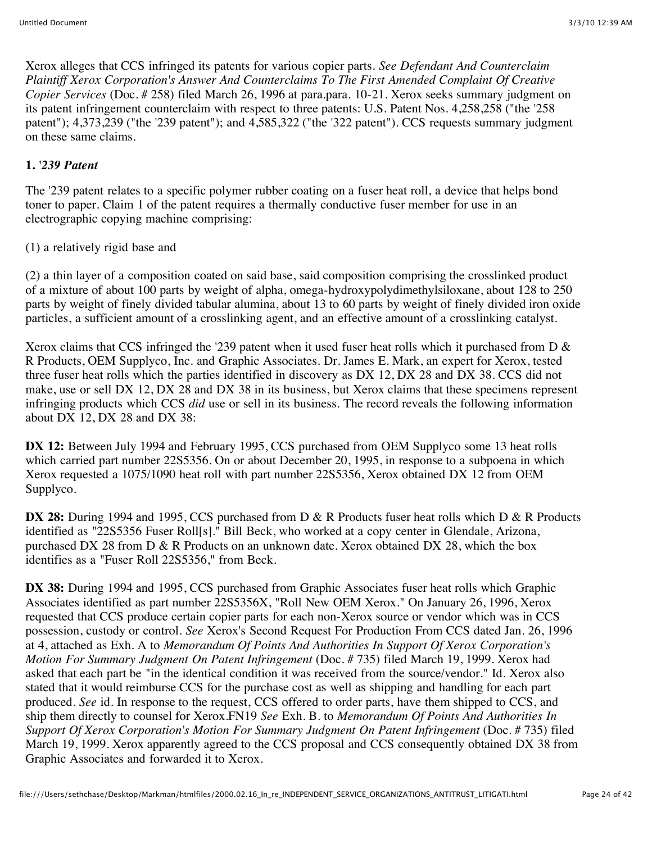Xerox alleges that CCS infringed its patents for various copier parts. *See Defendant And Counterclaim Plaintiff Xerox Corporation's Answer And Counterclaims To The First Amended Complaint Of Creative Copier Services* (Doc. # 258) filed March 26, 1996 at para.para. 10-21. Xerox seeks summary judgment on its patent infringement counterclaim with respect to three patents: U.S. Patent Nos. 4,258,258 ("the '258 patent"); 4,373,239 ("the '239 patent"); and 4,585,322 ("the '322 patent"). CCS requests summary judgment on these same claims.

# **1.** *'239 Patent*

The '239 patent relates to a specific polymer rubber coating on a fuser heat roll, a device that helps bond toner to paper. Claim 1 of the patent requires a thermally conductive fuser member for use in an electrographic copying machine comprising:

# (1) a relatively rigid base and

(2) a thin layer of a composition coated on said base, said composition comprising the crosslinked product of a mixture of about 100 parts by weight of alpha, omega-hydroxypolydimethylsiloxane, about 128 to 250 parts by weight of finely divided tabular alumina, about 13 to 60 parts by weight of finely divided iron oxide particles, a sufficient amount of a crosslinking agent, and an effective amount of a crosslinking catalyst.

Xerox claims that CCS infringed the '239 patent when it used fuser heat rolls which it purchased from  $D \&$ R Products, OEM Supplyco, Inc. and Graphic Associates. Dr. James E. Mark, an expert for Xerox, tested three fuser heat rolls which the parties identified in discovery as DX 12, DX 28 and DX 38. CCS did not make, use or sell DX 12, DX 28 and DX 38 in its business, but Xerox claims that these specimens represent infringing products which CCS *did* use or sell in its business. The record reveals the following information about DX 12, DX 28 and DX 38:

**DX 12:** Between July 1994 and February 1995, CCS purchased from OEM Supplyco some 13 heat rolls which carried part number 22S5356. On or about December 20, 1995, in response to a subpoena in which Xerox requested a 1075/1090 heat roll with part number 22S5356, Xerox obtained DX 12 from OEM Supplyco.

**DX 28:** During 1994 and 1995, CCS purchased from D & R Products fuser heat rolls which D & R Products identified as "22S5356 Fuser Roll[s]." Bill Beck, who worked at a copy center in Glendale, Arizona, purchased DX 28 from D & R Products on an unknown date. Xerox obtained DX 28, which the box identifies as a "Fuser Roll 22S5356," from Beck.

**DX 38:** During 1994 and 1995, CCS purchased from Graphic Associates fuser heat rolls which Graphic Associates identified as part number 22S5356X, "Roll New OEM Xerox." On January 26, 1996, Xerox requested that CCS produce certain copier parts for each non-Xerox source or vendor which was in CCS possession, custody or control. *See* Xerox's Second Request For Production From CCS dated Jan. 26, 1996 at 4, attached as Exh. A to *Memorandum Of Points And Authorities In Support Of Xerox Corporation's Motion For Summary Judgment On Patent Infringement* (Doc. # 735) filed March 19, 1999. Xerox had asked that each part be "in the identical condition it was received from the source/vendor." Id. Xerox also stated that it would reimburse CCS for the purchase cost as well as shipping and handling for each part produced. *See* id. In response to the request, CCS offered to order parts, have them shipped to CCS, and ship them directly to counsel for Xerox.FN19 *See* Exh. B. to *Memorandum Of Points And Authorities In Support Of Xerox Corporation's Motion For Summary Judgment On Patent Infringement* (Doc. # 735) filed March 19, 1999. Xerox apparently agreed to the CCS proposal and CCS consequently obtained DX 38 from Graphic Associates and forwarded it to Xerox.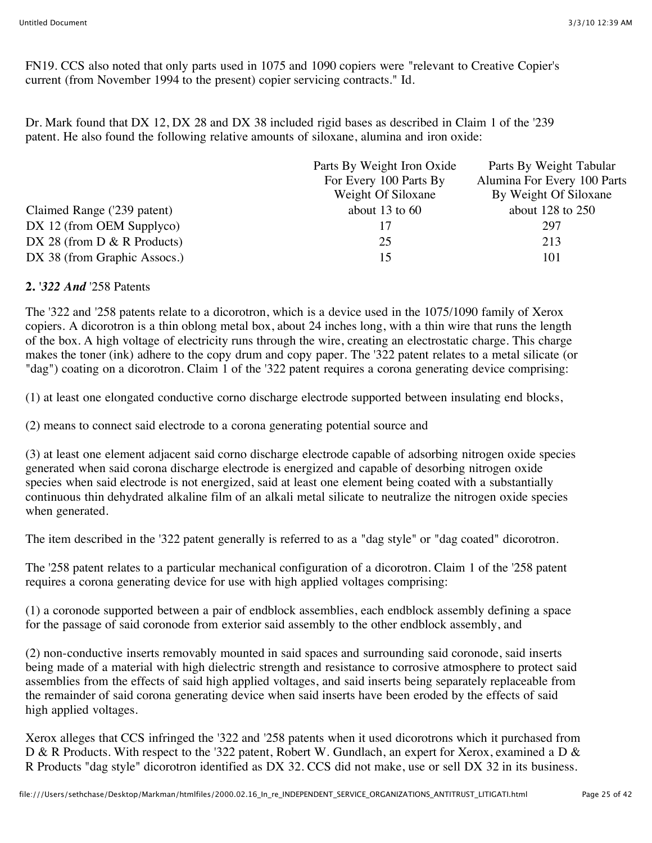FN19. CCS also noted that only parts used in 1075 and 1090 copiers were "relevant to Creative Copier's current (from November 1994 to the present) copier servicing contracts." Id.

Dr. Mark found that DX 12, DX 28 and DX 38 included rigid bases as described in Claim 1 of the '239 patent. He also found the following relative amounts of siloxane, alumina and iron oxide:

| Parts By Weight Iron Oxide | Parts By Weight Tabular     |
|----------------------------|-----------------------------|
| For Every 100 Parts By     | Alumina For Every 100 Parts |
| Weight Of Siloxane         | By Weight Of Siloxane       |
| about 13 to $60$           | about $128$ to $250$        |
|                            | 297                         |
| 25                         | 213                         |
| 15                         | 101                         |
|                            |                             |

#### **2.** *'322 And* '258 Patents

The '322 and '258 patents relate to a dicorotron, which is a device used in the 1075/1090 family of Xerox copiers. A dicorotron is a thin oblong metal box, about 24 inches long, with a thin wire that runs the length of the box. A high voltage of electricity runs through the wire, creating an electrostatic charge. This charge makes the toner (ink) adhere to the copy drum and copy paper. The '322 patent relates to a metal silicate (or "dag") coating on a dicorotron. Claim 1 of the '322 patent requires a corona generating device comprising:

(1) at least one elongated conductive corno discharge electrode supported between insulating end blocks,

(2) means to connect said electrode to a corona generating potential source and

(3) at least one element adjacent said corno discharge electrode capable of adsorbing nitrogen oxide species generated when said corona discharge electrode is energized and capable of desorbing nitrogen oxide species when said electrode is not energized, said at least one element being coated with a substantially continuous thin dehydrated alkaline film of an alkali metal silicate to neutralize the nitrogen oxide species when generated.

The item described in the '322 patent generally is referred to as a "dag style" or "dag coated" dicorotron.

The '258 patent relates to a particular mechanical configuration of a dicorotron. Claim 1 of the '258 patent requires a corona generating device for use with high applied voltages comprising:

(1) a coronode supported between a pair of endblock assemblies, each endblock assembly defining a space for the passage of said coronode from exterior said assembly to the other endblock assembly, and

(2) non-conductive inserts removably mounted in said spaces and surrounding said coronode, said inserts being made of a material with high dielectric strength and resistance to corrosive atmosphere to protect said assemblies from the effects of said high applied voltages, and said inserts being separately replaceable from the remainder of said corona generating device when said inserts have been eroded by the effects of said high applied voltages.

Xerox alleges that CCS infringed the '322 and '258 patents when it used dicorotrons which it purchased from D & R Products. With respect to the '322 patent, Robert W. Gundlach, an expert for Xerox, examined a D & R Products "dag style" dicorotron identified as DX 32. CCS did not make, use or sell DX 32 in its business.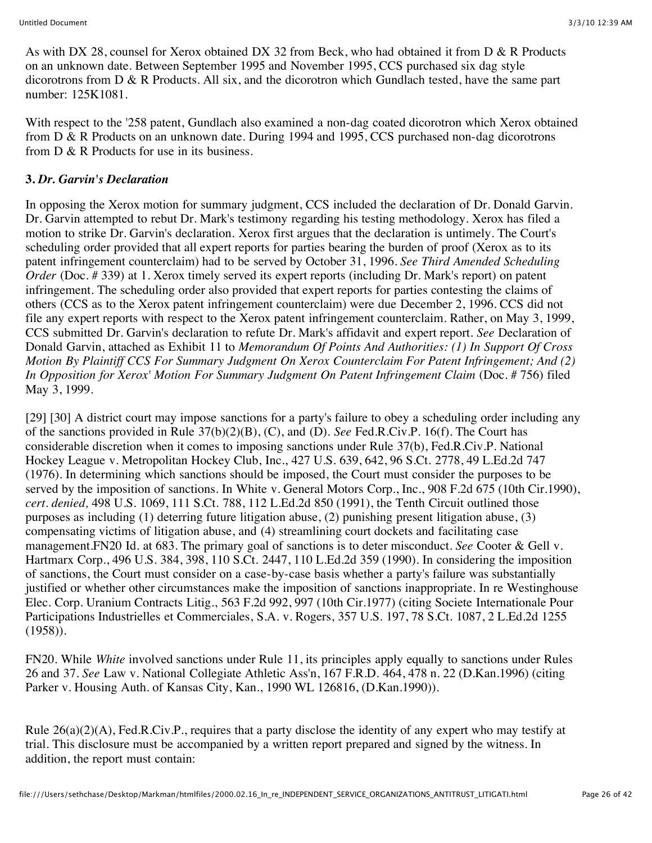As with DX 28, counsel for Xerox obtained DX 32 from Beck, who had obtained it from D & R Products on an unknown date. Between September 1995 and November 1995, CCS purchased six dag style dicorotrons from D & R Products. All six, and the dicorotron which Gundlach tested, have the same part number: 125K1081.

With respect to the '258 patent, Gundlach also examined a non-dag coated dicorotron which Xerox obtained from D & R Products on an unknown date. During 1994 and 1995, CCS purchased non-dag dicorotrons from D & R Products for use in its business.

### **3.** *Dr. Garvin's Declaration*

In opposing the Xerox motion for summary judgment, CCS included the declaration of Dr. Donald Garvin. Dr. Garvin attempted to rebut Dr. Mark's testimony regarding his testing methodology. Xerox has filed a motion to strike Dr. Garvin's declaration. Xerox first argues that the declaration is untimely. The Court's scheduling order provided that all expert reports for parties bearing the burden of proof (Xerox as to its patent infringement counterclaim) had to be served by October 31, 1996. *See Third Amended Scheduling Order* (Doc. #339) at 1. Xerox timely served its expert reports (including Dr. Mark's report) on patent infringement. The scheduling order also provided that expert reports for parties contesting the claims of others (CCS as to the Xerox patent infringement counterclaim) were due December 2, 1996. CCS did not file any expert reports with respect to the Xerox patent infringement counterclaim. Rather, on May 3, 1999, CCS submitted Dr. Garvin's declaration to refute Dr. Mark's affidavit and expert report. *See* Declaration of Donald Garvin, attached as Exhibit 11 to *Memorandum Of Points And Authorities: (1) In Support Of Cross Motion By Plaintiff CCS For Summary Judgment On Xerox Counterclaim For Patent Infringement; And (2) In Opposition for Xerox' Motion For Summary Judgment On Patent Infringement Claim* (Doc. # 756) filed May 3, 1999.

[29] [30] A district court may impose sanctions for a party's failure to obey a scheduling order including any of the sanctions provided in Rule 37(b)(2)(B), (C), and (D). *See* Fed.R.Civ.P. 16(f). The Court has considerable discretion when it comes to imposing sanctions under Rule 37(b), Fed.R.Civ.P. National Hockey League v. Metropolitan Hockey Club, Inc., 427 U.S. 639, 642, 96 S.Ct. 2778, 49 L.Ed.2d 747 (1976). In determining which sanctions should be imposed, the Court must consider the purposes to be served by the imposition of sanctions. In White v. General Motors Corp., Inc., 908 F.2d 675 (10th Cir.1990), *cert. denied,* 498 U.S. 1069, 111 S.Ct. 788, 112 L.Ed.2d 850 (1991), the Tenth Circuit outlined those purposes as including (1) deterring future litigation abuse, (2) punishing present litigation abuse, (3) compensating victims of litigation abuse, and (4) streamlining court dockets and facilitating case management.FN20 Id. at 683. The primary goal of sanctions is to deter misconduct. *See* Cooter & Gell v. Hartmarx Corp., 496 U.S. 384, 398, 110 S.Ct. 2447, 110 L.Ed.2d 359 (1990). In considering the imposition of sanctions, the Court must consider on a case-by-case basis whether a party's failure was substantially justified or whether other circumstances make the imposition of sanctions inappropriate. In re Westinghouse Elec. Corp. Uranium Contracts Litig., 563 F.2d 992, 997 (10th Cir.1977) (citing Societe Internationale Pour Participations Industrielles et Commerciales, S.A. v. Rogers, 357 U.S. 197, 78 S.Ct. 1087, 2 L.Ed.2d 1255 (1958)).

FN20. While *White* involved sanctions under Rule 11, its principles apply equally to sanctions under Rules 26 and 37. *See* Law v. National Collegiate Athletic Ass'n, 167 F.R.D. 464, 478 n. 22 (D.Kan.1996) (citing Parker v. Housing Auth. of Kansas City, Kan., 1990 WL 126816, (D.Kan.1990)).

Rule  $26(a)(2)(A)$ , Fed.R.Civ.P., requires that a party disclose the identity of any expert who may testify at trial. This disclosure must be accompanied by a written report prepared and signed by the witness. In addition, the report must contain: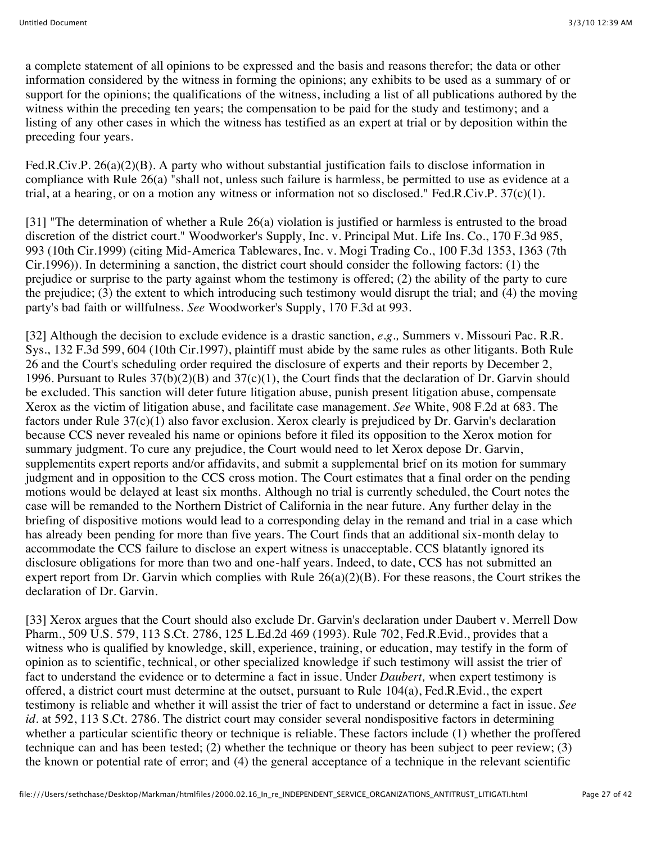a complete statement of all opinions to be expressed and the basis and reasons therefor; the data or other information considered by the witness in forming the opinions; any exhibits to be used as a summary of or support for the opinions; the qualifications of the witness, including a list of all publications authored by the witness within the preceding ten years; the compensation to be paid for the study and testimony; and a listing of any other cases in which the witness has testified as an expert at trial or by deposition within the preceding four years.

Fed.R.Civ.P. 26(a)(2)(B). A party who without substantial justification fails to disclose information in compliance with Rule 26(a) "shall not, unless such failure is harmless, be permitted to use as evidence at a trial, at a hearing, or on a motion any witness or information not so disclosed." Fed.R.Civ.P.  $37(c)(1)$ .

[31] "The determination of whether a Rule 26(a) violation is justified or harmless is entrusted to the broad discretion of the district court." Woodworker's Supply, Inc. v. Principal Mut. Life Ins. Co., 170 F.3d 985, 993 (10th Cir.1999) (citing Mid-America Tablewares, Inc. v. Mogi Trading Co., 100 F.3d 1353, 1363 (7th Cir.1996)). In determining a sanction, the district court should consider the following factors: (1) the prejudice or surprise to the party against whom the testimony is offered; (2) the ability of the party to cure the prejudice; (3) the extent to which introducing such testimony would disrupt the trial; and (4) the moving party's bad faith or willfulness. *See* Woodworker's Supply, 170 F.3d at 993.

[32] Although the decision to exclude evidence is a drastic sanction, *e.g.,* Summers v. Missouri Pac. R.R. Sys., 132 F.3d 599, 604 (10th Cir.1997), plaintiff must abide by the same rules as other litigants. Both Rule 26 and the Court's scheduling order required the disclosure of experts and their reports by December 2, 1996. Pursuant to Rules 37(b)(2)(B) and 37(c)(1), the Court finds that the declaration of Dr. Garvin should be excluded. This sanction will deter future litigation abuse, punish present litigation abuse, compensate Xerox as the victim of litigation abuse, and facilitate case management. *See* White, 908 F.2d at 683. The factors under Rule 37(c)(1) also favor exclusion. Xerox clearly is prejudiced by Dr. Garvin's declaration because CCS never revealed his name or opinions before it filed its opposition to the Xerox motion for summary judgment. To cure any prejudice, the Court would need to let Xerox depose Dr. Garvin, supplementits expert reports and/or affidavits, and submit a supplemental brief on its motion for summary judgment and in opposition to the CCS cross motion. The Court estimates that a final order on the pending motions would be delayed at least six months. Although no trial is currently scheduled, the Court notes the case will be remanded to the Northern District of California in the near future. Any further delay in the briefing of dispositive motions would lead to a corresponding delay in the remand and trial in a case which has already been pending for more than five years. The Court finds that an additional six-month delay to accommodate the CCS failure to disclose an expert witness is unacceptable. CCS blatantly ignored its disclosure obligations for more than two and one-half years. Indeed, to date, CCS has not submitted an expert report from Dr. Garvin which complies with Rule 26(a)(2)(B). For these reasons, the Court strikes the declaration of Dr. Garvin.

[33] Xerox argues that the Court should also exclude Dr. Garvin's declaration under Daubert v. Merrell Dow Pharm., 509 U.S. 579, 113 S.Ct. 2786, 125 L.Ed.2d 469 (1993). Rule 702, Fed.R.Evid., provides that a witness who is qualified by knowledge, skill, experience, training, or education, may testify in the form of opinion as to scientific, technical, or other specialized knowledge if such testimony will assist the trier of fact to understand the evidence or to determine a fact in issue. Under *Daubert,* when expert testimony is offered, a district court must determine at the outset, pursuant to Rule 104(a), Fed.R.Evid., the expert testimony is reliable and whether it will assist the trier of fact to understand or determine a fact in issue. *See id.* at 592, 113 S.Ct. 2786. The district court may consider several nondispositive factors in determining whether a particular scientific theory or technique is reliable. These factors include (1) whether the proffered technique can and has been tested; (2) whether the technique or theory has been subject to peer review; (3) the known or potential rate of error; and (4) the general acceptance of a technique in the relevant scientific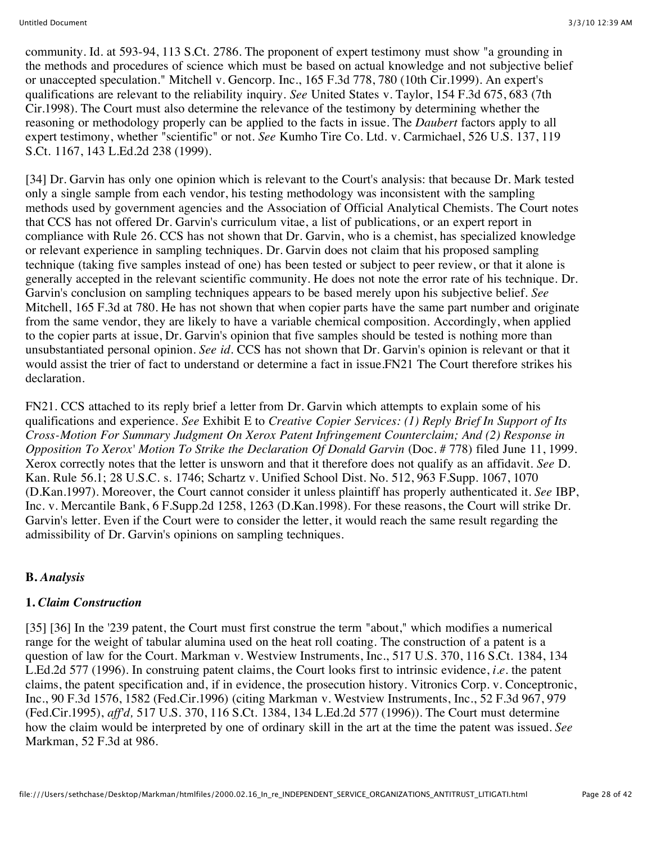community. Id. at 593-94, 113 S.Ct. 2786. The proponent of expert testimony must show "a grounding in the methods and procedures of science which must be based on actual knowledge and not subjective belief or unaccepted speculation." Mitchell v. Gencorp. Inc., 165 F.3d 778, 780 (10th Cir.1999). An expert's qualifications are relevant to the reliability inquiry. *See* United States v. Taylor, 154 F.3d 675, 683 (7th Cir.1998). The Court must also determine the relevance of the testimony by determining whether the reasoning or methodology properly can be applied to the facts in issue. The *Daubert* factors apply to all expert testimony, whether "scientific" or not. *See* Kumho Tire Co. Ltd. v. Carmichael, 526 U.S. 137, 119 S.Ct. 1167, 143 L.Ed.2d 238 (1999).

[34] Dr. Garvin has only one opinion which is relevant to the Court's analysis: that because Dr. Mark tested only a single sample from each vendor, his testing methodology was inconsistent with the sampling methods used by government agencies and the Association of Official Analytical Chemists. The Court notes that CCS has not offered Dr. Garvin's curriculum vitae, a list of publications, or an expert report in compliance with Rule 26. CCS has not shown that Dr. Garvin, who is a chemist, has specialized knowledge or relevant experience in sampling techniques. Dr. Garvin does not claim that his proposed sampling technique (taking five samples instead of one) has been tested or subject to peer review, or that it alone is generally accepted in the relevant scientific community. He does not note the error rate of his technique. Dr. Garvin's conclusion on sampling techniques appears to be based merely upon his subjective belief. *See* Mitchell, 165 F.3d at 780. He has not shown that when copier parts have the same part number and originate from the same vendor, they are likely to have a variable chemical composition. Accordingly, when applied to the copier parts at issue, Dr. Garvin's opinion that five samples should be tested is nothing more than unsubstantiated personal opinion. *See id.* CCS has not shown that Dr. Garvin's opinion is relevant or that it would assist the trier of fact to understand or determine a fact in issue.FN21 The Court therefore strikes his declaration.

FN21. CCS attached to its reply brief a letter from Dr. Garvin which attempts to explain some of his qualifications and experience. *See* Exhibit E to *Creative Copier Services: (1) Reply Brief In Support of Its Cross-Motion For Summary Judgment On Xerox Patent Infringement Counterclaim; And (2) Response in Opposition To Xerox' Motion To Strike the Declaration Of Donald Garvin* (Doc. # 778) filed June 11, 1999. Xerox correctly notes that the letter is unsworn and that it therefore does not qualify as an affidavit. *See* D. Kan. Rule 56.1; 28 U.S.C. s. 1746; Schartz v. Unified School Dist. No. 512, 963 F.Supp. 1067, 1070 (D.Kan.1997). Moreover, the Court cannot consider it unless plaintiff has properly authenticated it. *See* IBP, Inc. v. Mercantile Bank, 6 F.Supp.2d 1258, 1263 (D.Kan.1998). For these reasons, the Court will strike Dr. Garvin's letter. Even if the Court were to consider the letter, it would reach the same result regarding the admissibility of Dr. Garvin's opinions on sampling techniques.

### **B.** *Analysis*

#### **1.** *Claim Construction*

[35] [36] In the '239 patent, the Court must first construe the term "about," which modifies a numerical range for the weight of tabular alumina used on the heat roll coating. The construction of a patent is a question of law for the Court. Markman v. Westview Instruments, Inc., 517 U.S. 370, 116 S.Ct. 1384, 134 L.Ed.2d 577 (1996). In construing patent claims, the Court looks first to intrinsic evidence, *i.e.* the patent claims, the patent specification and, if in evidence, the prosecution history. Vitronics Corp. v. Conceptronic, Inc., 90 F.3d 1576, 1582 (Fed.Cir.1996) (citing Markman v. Westview Instruments, Inc., 52 F.3d 967, 979 (Fed.Cir.1995), *aff'd,* 517 U.S. 370, 116 S.Ct. 1384, 134 L.Ed.2d 577 (1996)). The Court must determine how the claim would be interpreted by one of ordinary skill in the art at the time the patent was issued. *See* Markman, 52 F.3d at 986.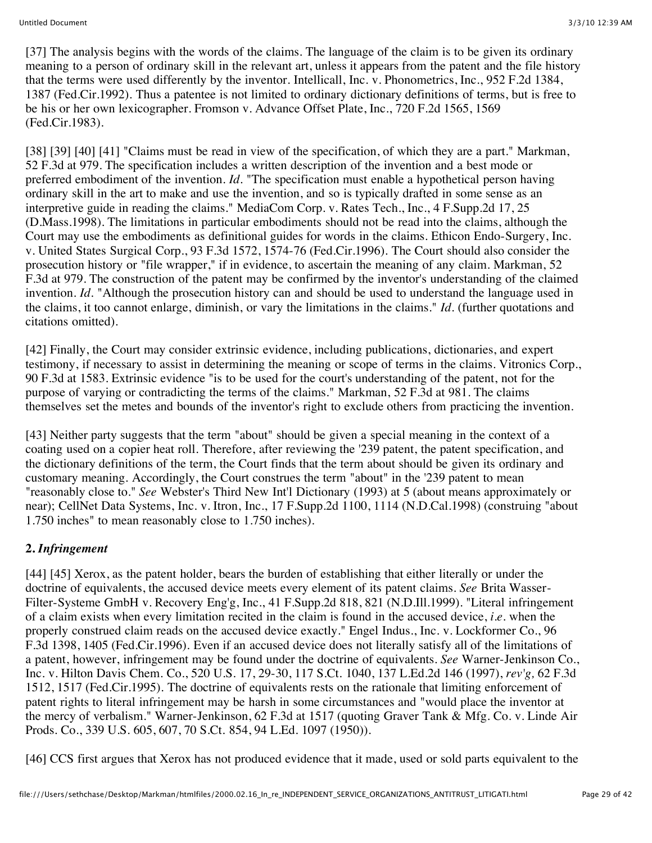[37] The analysis begins with the words of the claims. The language of the claim is to be given its ordinary meaning to a person of ordinary skill in the relevant art, unless it appears from the patent and the file history that the terms were used differently by the inventor. Intellicall, Inc. v. Phonometrics, Inc., 952 F.2d 1384, 1387 (Fed.Cir.1992). Thus a patentee is not limited to ordinary dictionary definitions of terms, but is free to be his or her own lexicographer. Fromson v. Advance Offset Plate, Inc., 720 F.2d 1565, 1569 (Fed.Cir.1983).

[38] [39] [40] [41] "Claims must be read in view of the specification, of which they are a part." Markman, 52 F.3d at 979. The specification includes a written description of the invention and a best mode or preferred embodiment of the invention. *Id.* "The specification must enable a hypothetical person having ordinary skill in the art to make and use the invention, and so is typically drafted in some sense as an interpretive guide in reading the claims." MediaCom Corp. v. Rates Tech., Inc., 4 F.Supp.2d 17, 25 (D.Mass.1998). The limitations in particular embodiments should not be read into the claims, although the Court may use the embodiments as definitional guides for words in the claims. Ethicon Endo-Surgery, Inc. v. United States Surgical Corp., 93 F.3d 1572, 1574-76 (Fed.Cir.1996). The Court should also consider the prosecution history or "file wrapper," if in evidence, to ascertain the meaning of any claim. Markman, 52 F.3d at 979. The construction of the patent may be confirmed by the inventor's understanding of the claimed invention. *Id.* "Although the prosecution history can and should be used to understand the language used in the claims, it too cannot enlarge, diminish, or vary the limitations in the claims." *Id.* (further quotations and citations omitted).

[42] Finally, the Court may consider extrinsic evidence, including publications, dictionaries, and expert testimony, if necessary to assist in determining the meaning or scope of terms in the claims. Vitronics Corp., 90 F.3d at 1583. Extrinsic evidence "is to be used for the court's understanding of the patent, not for the purpose of varying or contradicting the terms of the claims." Markman, 52 F.3d at 981. The claims themselves set the metes and bounds of the inventor's right to exclude others from practicing the invention.

[43] Neither party suggests that the term "about" should be given a special meaning in the context of a coating used on a copier heat roll. Therefore, after reviewing the '239 patent, the patent specification, and the dictionary definitions of the term, the Court finds that the term about should be given its ordinary and customary meaning. Accordingly, the Court construes the term "about" in the '239 patent to mean "reasonably close to." *See* Webster's Third New Int'l Dictionary (1993) at 5 (about means approximately or near); CellNet Data Systems, Inc. v. Itron, Inc., 17 F.Supp.2d 1100, 1114 (N.D.Cal.1998) (construing "about 1.750 inches" to mean reasonably close to 1.750 inches).

### **2.** *Infringement*

[44] [45] Xerox, as the patent holder, bears the burden of establishing that either literally or under the doctrine of equivalents, the accused device meets every element of its patent claims. *See* Brita Wasser-Filter-Systeme GmbH v. Recovery Eng'g, Inc., 41 F.Supp.2d 818, 821 (N.D.Ill.1999). "Literal infringement of a claim exists when every limitation recited in the claim is found in the accused device, *i.e.* when the properly construed claim reads on the accused device exactly." Engel Indus., Inc. v. Lockformer Co., 96 F.3d 1398, 1405 (Fed.Cir.1996). Even if an accused device does not literally satisfy all of the limitations of a patent, however, infringement may be found under the doctrine of equivalents. *See* Warner-Jenkinson Co., Inc. v. Hilton Davis Chem. Co., 520 U.S. 17, 29-30, 117 S.Ct. 1040, 137 L.Ed.2d 146 (1997), *rev'g,* 62 F.3d 1512, 1517 (Fed.Cir.1995). The doctrine of equivalents rests on the rationale that limiting enforcement of patent rights to literal infringement may be harsh in some circumstances and "would place the inventor at the mercy of verbalism." Warner-Jenkinson, 62 F.3d at 1517 (quoting Graver Tank & Mfg. Co. v. Linde Air Prods. Co., 339 U.S. 605, 607, 70 S.Ct. 854, 94 L.Ed. 1097 (1950)).

[46] CCS first argues that Xerox has not produced evidence that it made, used or sold parts equivalent to the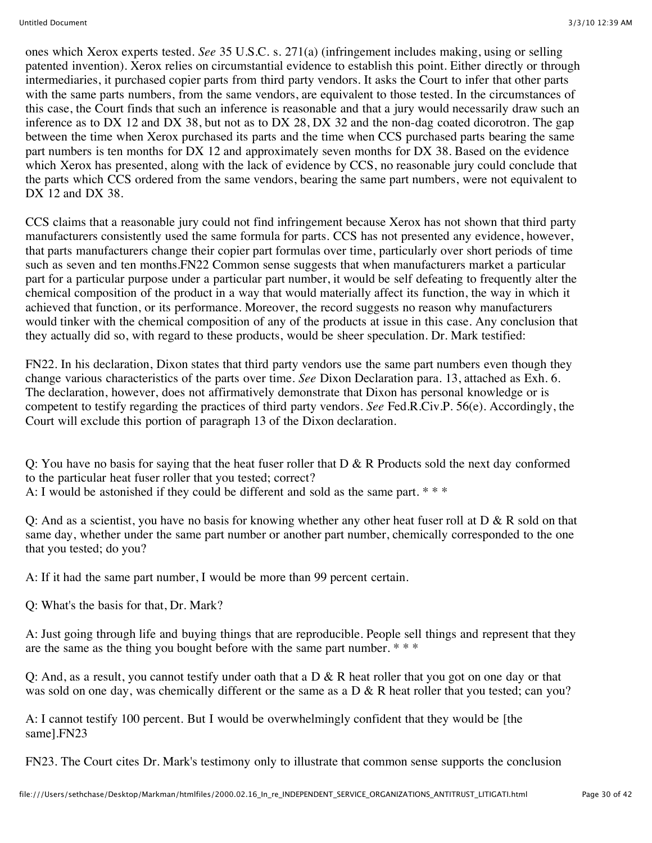ones which Xerox experts tested. *See* 35 U.S.C. s. 271(a) (infringement includes making, using or selling patented invention). Xerox relies on circumstantial evidence to establish this point. Either directly or through intermediaries, it purchased copier parts from third party vendors. It asks the Court to infer that other parts with the same parts numbers, from the same vendors, are equivalent to those tested. In the circumstances of this case, the Court finds that such an inference is reasonable and that a jury would necessarily draw such an inference as to DX 12 and DX 38, but not as to DX 28, DX 32 and the non-dag coated dicorotron. The gap between the time when Xerox purchased its parts and the time when CCS purchased parts bearing the same part numbers is ten months for DX 12 and approximately seven months for DX 38. Based on the evidence which Xerox has presented, along with the lack of evidence by CCS, no reasonable jury could conclude that the parts which CCS ordered from the same vendors, bearing the same part numbers, were not equivalent to DX 12 and DX 38.

CCS claims that a reasonable jury could not find infringement because Xerox has not shown that third party manufacturers consistently used the same formula for parts. CCS has not presented any evidence, however, that parts manufacturers change their copier part formulas over time, particularly over short periods of time such as seven and ten months.FN22 Common sense suggests that when manufacturers market a particular part for a particular purpose under a particular part number, it would be self defeating to frequently alter the chemical composition of the product in a way that would materially affect its function, the way in which it achieved that function, or its performance. Moreover, the record suggests no reason why manufacturers would tinker with the chemical composition of any of the products at issue in this case. Any conclusion that they actually did so, with regard to these products, would be sheer speculation. Dr. Mark testified:

FN22. In his declaration, Dixon states that third party vendors use the same part numbers even though they change various characteristics of the parts over time. *See* Dixon Declaration para. 13, attached as Exh. 6. The declaration, however, does not affirmatively demonstrate that Dixon has personal knowledge or is competent to testify regarding the practices of third party vendors. *See* Fed.R.Civ.P. 56(e). Accordingly, the Court will exclude this portion of paragraph 13 of the Dixon declaration.

Q: You have no basis for saying that the heat fuser roller that  $D \& R$  Products sold the next day conformed to the particular heat fuser roller that you tested; correct? A: I would be astonished if they could be different and sold as the same part. \* \* \*

Q: And as a scientist, you have no basis for knowing whether any other heat fuser roll at D & R sold on that same day, whether under the same part number or another part number, chemically corresponded to the one that you tested; do you?

A: If it had the same part number, I would be more than 99 percent certain.

Q: What's the basis for that, Dr. Mark?

A: Just going through life and buying things that are reproducible. People sell things and represent that they are the same as the thing you bought before with the same part number. \* \* \*

Q: And, as a result, you cannot testify under oath that a  $D \& R$  heat roller that you got on one day or that was sold on one day, was chemically different or the same as a  $D \& R$  heat roller that you tested; can you?

A: I cannot testify 100 percent. But I would be overwhelmingly confident that they would be [the same].FN23

FN23. The Court cites Dr. Mark's testimony only to illustrate that common sense supports the conclusion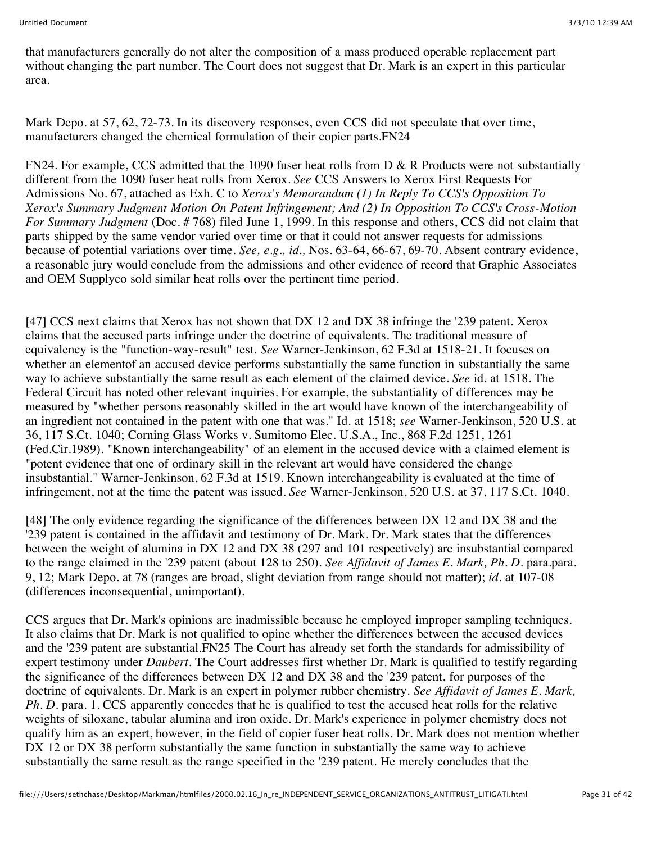that manufacturers generally do not alter the composition of a mass produced operable replacement part without changing the part number. The Court does not suggest that Dr. Mark is an expert in this particular area.

Mark Depo. at 57, 62, 72-73. In its discovery responses, even CCS did not speculate that over time, manufacturers changed the chemical formulation of their copier parts.FN24

FN24. For example, CCS admitted that the 1090 fuser heat rolls from D & R Products were not substantially different from the 1090 fuser heat rolls from Xerox. *See* CCS Answers to Xerox First Requests For Admissions No. 67, attached as Exh. C to *Xerox's Memorandum (1) In Reply To CCS's Opposition To Xerox's Summary Judgment Motion On Patent Infringement; And (2) In Opposition To CCS's Cross-Motion For Summary Judgment* (Doc. # 768) filed June 1, 1999. In this response and others, CCS did not claim that parts shipped by the same vendor varied over time or that it could not answer requests for admissions because of potential variations over time. *See, e.g., id.,* Nos. 63-64, 66-67, 69-70. Absent contrary evidence, a reasonable jury would conclude from the admissions and other evidence of record that Graphic Associates and OEM Supplyco sold similar heat rolls over the pertinent time period.

[47] CCS next claims that Xerox has not shown that DX 12 and DX 38 infringe the '239 patent. Xerox claims that the accused parts infringe under the doctrine of equivalents. The traditional measure of equivalency is the "function-way-result" test. *See* Warner-Jenkinson, 62 F.3d at 1518-21. It focuses on whether an elementof an accused device performs substantially the same function in substantially the same way to achieve substantially the same result as each element of the claimed device. *See* id. at 1518. The Federal Circuit has noted other relevant inquiries. For example, the substantiality of differences may be measured by "whether persons reasonably skilled in the art would have known of the interchangeability of an ingredient not contained in the patent with one that was." Id. at 1518; *see* Warner-Jenkinson, 520 U.S. at 36, 117 S.Ct. 1040; Corning Glass Works v. Sumitomo Elec. U.S.A., Inc., 868 F.2d 1251, 1261 (Fed.Cir.1989). "Known interchangeability" of an element in the accused device with a claimed element is "potent evidence that one of ordinary skill in the relevant art would have considered the change insubstantial." Warner-Jenkinson, 62 F.3d at 1519. Known interchangeability is evaluated at the time of infringement, not at the time the patent was issued. *See* Warner-Jenkinson, 520 U.S. at 37, 117 S.Ct. 1040.

[48] The only evidence regarding the significance of the differences between DX 12 and DX 38 and the '239 patent is contained in the affidavit and testimony of Dr. Mark. Dr. Mark states that the differences between the weight of alumina in DX 12 and DX 38 (297 and 101 respectively) are insubstantial compared to the range claimed in the '239 patent (about 128 to 250). *See Affidavit of James E. Mark, Ph. D.* para.para. 9, 12; Mark Depo. at 78 (ranges are broad, slight deviation from range should not matter); *id.* at 107-08 (differences inconsequential, unimportant).

CCS argues that Dr. Mark's opinions are inadmissible because he employed improper sampling techniques. It also claims that Dr. Mark is not qualified to opine whether the differences between the accused devices and the '239 patent are substantial.FN25 The Court has already set forth the standards for admissibility of expert testimony under *Daubert.* The Court addresses first whether Dr. Mark is qualified to testify regarding the significance of the differences between DX 12 and DX 38 and the '239 patent, for purposes of the doctrine of equivalents. Dr. Mark is an expert in polymer rubber chemistry. *See Affidavit of James E. Mark, Ph. D.* para. 1. CCS apparently concedes that he is qualified to test the accused heat rolls for the relative weights of siloxane, tabular alumina and iron oxide. Dr. Mark's experience in polymer chemistry does not qualify him as an expert, however, in the field of copier fuser heat rolls. Dr. Mark does not mention whether DX 12 or DX 38 perform substantially the same function in substantially the same way to achieve substantially the same result as the range specified in the '239 patent. He merely concludes that the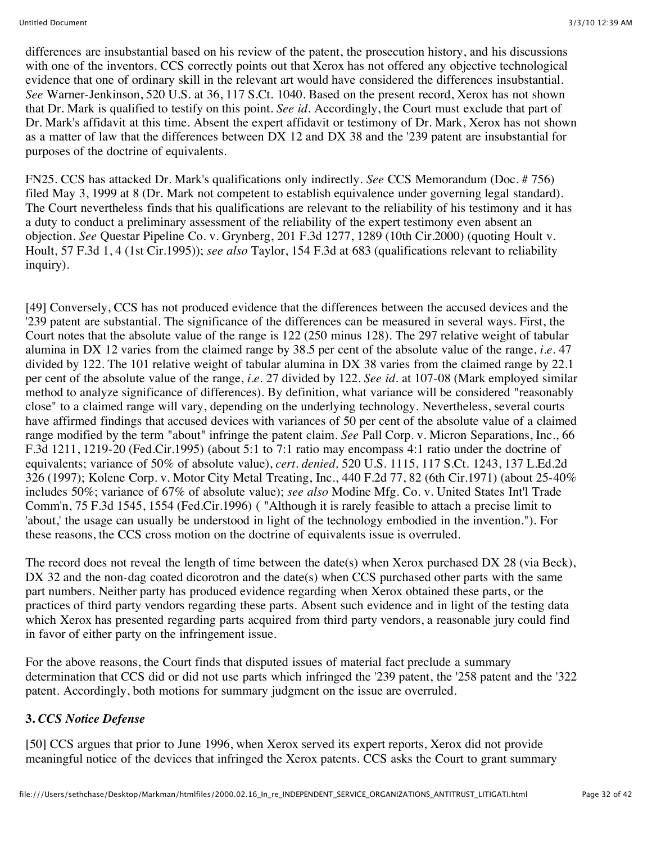differences are insubstantial based on his review of the patent, the prosecution history, and his discussions with one of the inventors. CCS correctly points out that Xerox has not offered any objective technological evidence that one of ordinary skill in the relevant art would have considered the differences insubstantial. *See* Warner-Jenkinson, 520 U.S. at 36, 117 S.Ct. 1040. Based on the present record, Xerox has not shown that Dr. Mark is qualified to testify on this point. *See id.* Accordingly, the Court must exclude that part of Dr. Mark's affidavit at this time. Absent the expert affidavit or testimony of Dr. Mark, Xerox has not shown as a matter of law that the differences between DX 12 and DX 38 and the '239 patent are insubstantial for purposes of the doctrine of equivalents.

FN25. CCS has attacked Dr. Mark's qualifications only indirectly. *See* CCS Memorandum (Doc. # 756) filed May 3, 1999 at 8 (Dr. Mark not competent to establish equivalence under governing legal standard). The Court nevertheless finds that his qualifications are relevant to the reliability of his testimony and it has a duty to conduct a preliminary assessment of the reliability of the expert testimony even absent an objection. *See* Questar Pipeline Co. v. Grynberg, 201 F.3d 1277, 1289 (10th Cir.2000) (quoting Hoult v. Hoult, 57 F.3d 1, 4 (1st Cir.1995)); *see also* Taylor, 154 F.3d at 683 (qualifications relevant to reliability inquiry).

[49] Conversely, CCS has not produced evidence that the differences between the accused devices and the '239 patent are substantial. The significance of the differences can be measured in several ways. First, the Court notes that the absolute value of the range is 122 (250 minus 128). The 297 relative weight of tabular alumina in DX 12 varies from the claimed range by 38.5 per cent of the absolute value of the range, *i.e.* 47 divided by 122. The 101 relative weight of tabular alumina in DX 38 varies from the claimed range by 22.1 per cent of the absolute value of the range, *i.e.* 27 divided by 122. *See id.* at 107-08 (Mark employed similar method to analyze significance of differences). By definition, what variance will be considered "reasonably close" to a claimed range will vary, depending on the underlying technology. Nevertheless, several courts have affirmed findings that accused devices with variances of 50 per cent of the absolute value of a claimed range modified by the term "about" infringe the patent claim. *See* Pall Corp. v. Micron Separations, Inc., 66 F.3d 1211, 1219-20 (Fed.Cir.1995) (about 5:1 to 7:1 ratio may encompass 4:1 ratio under the doctrine of equivalents; variance of 50% of absolute value), *cert. denied,* 520 U.S. 1115, 117 S.Ct. 1243, 137 L.Ed.2d 326 (1997); Kolene Corp. v. Motor City Metal Treating, Inc., 440 F.2d 77, 82 (6th Cir.1971) (about 25-40% includes 50%; variance of 67% of absolute value); *see also* Modine Mfg. Co. v. United States Int'l Trade Comm'n, 75 F.3d 1545, 1554 (Fed.Cir.1996) ( "Although it is rarely feasible to attach a precise limit to 'about,' the usage can usually be understood in light of the technology embodied in the invention."). For these reasons, the CCS cross motion on the doctrine of equivalents issue is overruled.

The record does not reveal the length of time between the date(s) when Xerox purchased DX 28 (via Beck), DX 32 and the non-dag coated dicorotron and the date(s) when CCS purchased other parts with the same part numbers. Neither party has produced evidence regarding when Xerox obtained these parts, or the practices of third party vendors regarding these parts. Absent such evidence and in light of the testing data which Xerox has presented regarding parts acquired from third party vendors, a reasonable jury could find in favor of either party on the infringement issue.

For the above reasons, the Court finds that disputed issues of material fact preclude a summary determination that CCS did or did not use parts which infringed the '239 patent, the '258 patent and the '322 patent. Accordingly, both motions for summary judgment on the issue are overruled.

### **3.** *CCS Notice Defense*

[50] CCS argues that prior to June 1996, when Xerox served its expert reports, Xerox did not provide meaningful notice of the devices that infringed the Xerox patents. CCS asks the Court to grant summary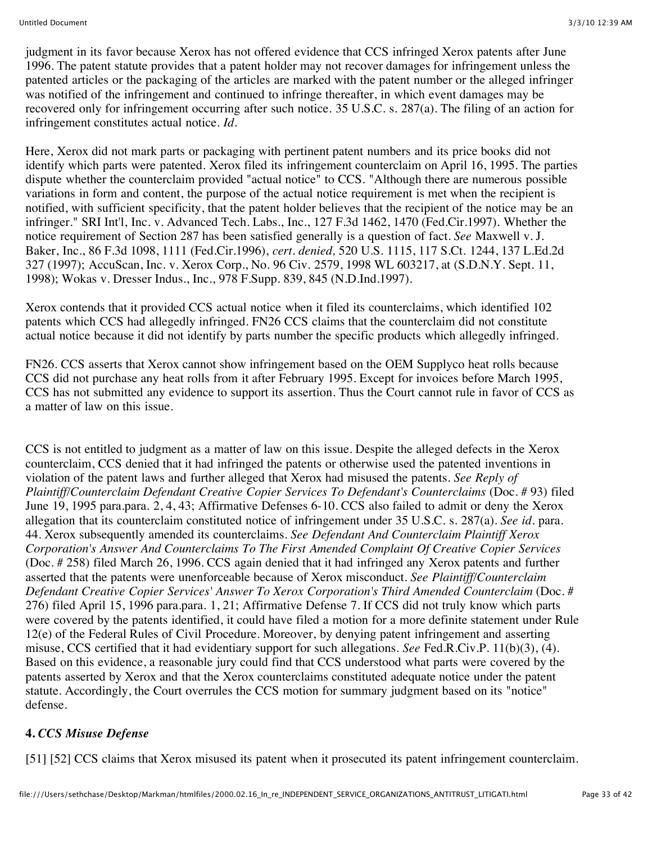judgment in its favor because Xerox has not offered evidence that CCS infringed Xerox patents after June 1996. The patent statute provides that a patent holder may not recover damages for infringement unless the patented articles or the packaging of the articles are marked with the patent number or the alleged infringer was notified of the infringement and continued to infringe thereafter, in which event damages may be recovered only for infringement occurring after such notice. 35 U.S.C. s. 287(a). The filing of an action for infringement constitutes actual notice. *Id.*

Here, Xerox did not mark parts or packaging with pertinent patent numbers and its price books did not identify which parts were patented. Xerox filed its infringement counterclaim on April 16, 1995. The parties dispute whether the counterclaim provided "actual notice" to CCS. "Although there are numerous possible variations in form and content, the purpose of the actual notice requirement is met when the recipient is notified, with sufficient specificity, that the patent holder believes that the recipient of the notice may be an infringer." SRI Int'l, Inc. v. Advanced Tech. Labs., Inc., 127 F.3d 1462, 1470 (Fed.Cir.1997). Whether the notice requirement of Section 287 has been satisfied generally is a question of fact. *See* Maxwell v. J. Baker, Inc., 86 F.3d 1098, 1111 (Fed.Cir.1996), *cert. denied,* 520 U.S. 1115, 117 S.Ct. 1244, 137 L.Ed.2d 327 (1997); AccuScan, Inc. v. Xerox Corp., No. 96 Civ. 2579, 1998 WL 603217, at (S.D.N.Y. Sept. 11, 1998); Wokas v. Dresser Indus., Inc., 978 F.Supp. 839, 845 (N.D.Ind.1997).

Xerox contends that it provided CCS actual notice when it filed its counterclaims, which identified 102 patents which CCS had allegedly infringed. FN26 CCS claims that the counterclaim did not constitute actual notice because it did not identify by parts number the specific products which allegedly infringed.

FN26. CCS asserts that Xerox cannot show infringement based on the OEM Supplyco heat rolls because CCS did not purchase any heat rolls from it after February 1995. Except for invoices before March 1995, CCS has not submitted any evidence to support its assertion. Thus the Court cannot rule in favor of CCS as a matter of law on this issue.

CCS is not entitled to judgment as a matter of law on this issue. Despite the alleged defects in the Xerox counterclaim, CCS denied that it had infringed the patents or otherwise used the patented inventions in violation of the patent laws and further alleged that Xerox had misused the patents. *See Reply of Plaintiff/Counterclaim Defendant Creative Copier Services To Defendant's Counterclaims* (Doc. # 93) filed June 19, 1995 para.para. 2, 4, 43; Affirmative Defenses 6-10. CCS also failed to admit or deny the Xerox allegation that its counterclaim constituted notice of infringement under 35 U.S.C. s. 287(a). *See id.* para. 44. Xerox subsequently amended its counterclaims. *See Defendant And Counterclaim Plaintiff Xerox Corporation's Answer And Counterclaims To The First Amended Complaint Of Creative Copier Services* (Doc. # 258) filed March 26, 1996. CCS again denied that it had infringed any Xerox patents and further asserted that the patents were unenforceable because of Xerox misconduct. *See Plaintiff/Counterclaim Defendant Creative Copier Services' Answer To Xerox Corporation's Third Amended Counterclaim* (Doc. # 276) filed April 15, 1996 para.para. 1, 21; Affirmative Defense 7. If CCS did not truly know which parts were covered by the patents identified, it could have filed a motion for a more definite statement under Rule 12(e) of the Federal Rules of Civil Procedure. Moreover, by denying patent infringement and asserting misuse, CCS certified that it had evidentiary support for such allegations. *See* Fed.R.Civ.P. 11(b)(3), (4). Based on this evidence, a reasonable jury could find that CCS understood what parts were covered by the patents asserted by Xerox and that the Xerox counterclaims constituted adequate notice under the patent statute. Accordingly, the Court overrules the CCS motion for summary judgment based on its "notice" defense.

### **4.** *CCS Misuse Defense*

[51] [52] CCS claims that Xerox misused its patent when it prosecuted its patent infringement counterclaim.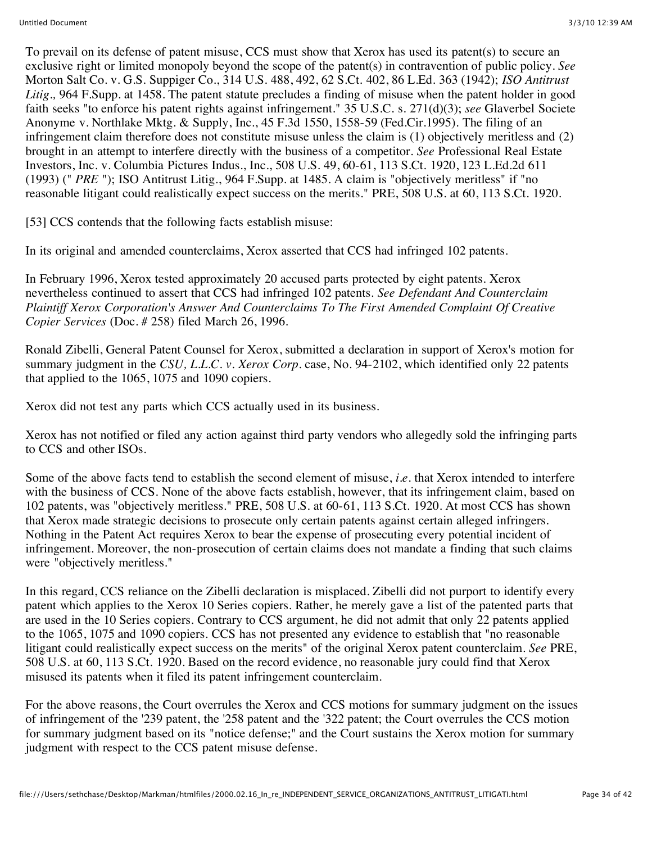To prevail on its defense of patent misuse, CCS must show that Xerox has used its patent(s) to secure an exclusive right or limited monopoly beyond the scope of the patent(s) in contravention of public policy. *See* Morton Salt Co. v. G.S. Suppiger Co., 314 U.S. 488, 492, 62 S.Ct. 402, 86 L.Ed. 363 (1942); *ISO Antitrust Litig.,* 964 F.Supp. at 1458. The patent statute precludes a finding of misuse when the patent holder in good faith seeks "to enforce his patent rights against infringement." 35 U.S.C. s. 271(d)(3); *see* Glaverbel Societe Anonyme v. Northlake Mktg. & Supply, Inc., 45 F.3d 1550, 1558-59 (Fed.Cir.1995). The filing of an infringement claim therefore does not constitute misuse unless the claim is (1) objectively meritless and (2) brought in an attempt to interfere directly with the business of a competitor. *See* Professional Real Estate Investors, Inc. v. Columbia Pictures Indus., Inc., 508 U.S. 49, 60-61, 113 S.Ct. 1920, 123 L.Ed.2d 611 (1993) (" *PRE* "); ISO Antitrust Litig., 964 F.Supp. at 1485. A claim is "objectively meritless" if "no reasonable litigant could realistically expect success on the merits." PRE, 508 U.S. at 60, 113 S.Ct. 1920.

[53] CCS contends that the following facts establish misuse:

In its original and amended counterclaims, Xerox asserted that CCS had infringed 102 patents.

In February 1996, Xerox tested approximately 20 accused parts protected by eight patents. Xerox nevertheless continued to assert that CCS had infringed 102 patents. *See Defendant And Counterclaim Plaintiff Xerox Corporation's Answer And Counterclaims To The First Amended Complaint Of Creative Copier Services* (Doc. # 258) filed March 26, 1996.

Ronald Zibelli, General Patent Counsel for Xerox, submitted a declaration in support of Xerox's motion for summary judgment in the *CSU, L.L.C. v. Xerox Corp.* case, No. 94-2102, which identified only 22 patents that applied to the 1065, 1075 and 1090 copiers.

Xerox did not test any parts which CCS actually used in its business.

Xerox has not notified or filed any action against third party vendors who allegedly sold the infringing parts to CCS and other ISOs.

Some of the above facts tend to establish the second element of misuse, *i.e.* that Xerox intended to interfere with the business of CCS. None of the above facts establish, however, that its infringement claim, based on 102 patents, was "objectively meritless." PRE, 508 U.S. at 60-61, 113 S.Ct. 1920. At most CCS has shown that Xerox made strategic decisions to prosecute only certain patents against certain alleged infringers. Nothing in the Patent Act requires Xerox to bear the expense of prosecuting every potential incident of infringement. Moreover, the non-prosecution of certain claims does not mandate a finding that such claims were "objectively meritless."

In this regard, CCS reliance on the Zibelli declaration is misplaced. Zibelli did not purport to identify every patent which applies to the Xerox 10 Series copiers. Rather, he merely gave a list of the patented parts that are used in the 10 Series copiers. Contrary to CCS argument, he did not admit that only 22 patents applied to the 1065, 1075 and 1090 copiers. CCS has not presented any evidence to establish that "no reasonable litigant could realistically expect success on the merits" of the original Xerox patent counterclaim. *See* PRE, 508 U.S. at 60, 113 S.Ct. 1920. Based on the record evidence, no reasonable jury could find that Xerox misused its patents when it filed its patent infringement counterclaim.

For the above reasons, the Court overrules the Xerox and CCS motions for summary judgment on the issues of infringement of the '239 patent, the '258 patent and the '322 patent; the Court overrules the CCS motion for summary judgment based on its "notice defense;" and the Court sustains the Xerox motion for summary judgment with respect to the CCS patent misuse defense.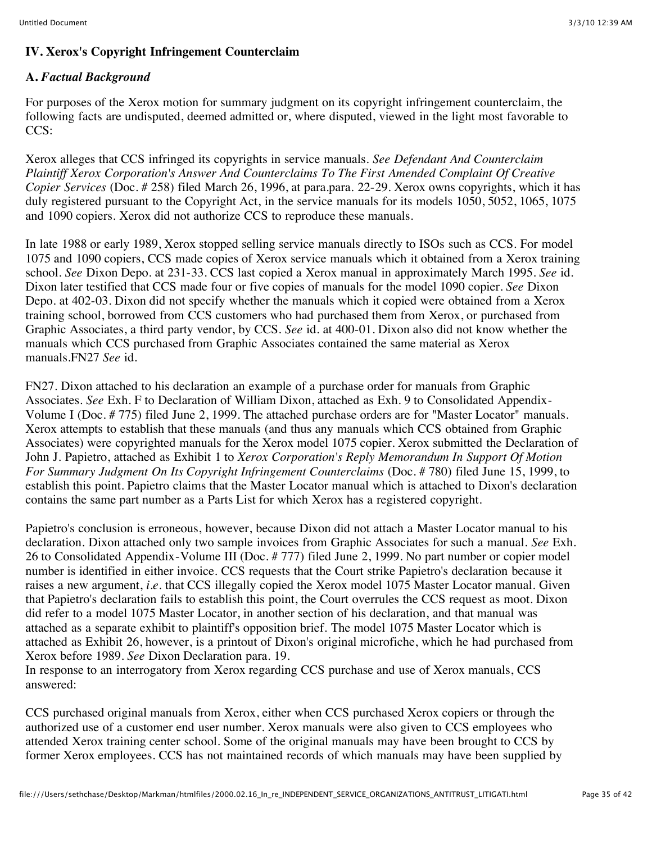### **IV. Xerox's Copyright Infringement Counterclaim**

### **A.** *Factual Background*

For purposes of the Xerox motion for summary judgment on its copyright infringement counterclaim, the following facts are undisputed, deemed admitted or, where disputed, viewed in the light most favorable to CCS:

Xerox alleges that CCS infringed its copyrights in service manuals. *See Defendant And Counterclaim Plaintiff Xerox Corporation's Answer And Counterclaims To The First Amended Complaint Of Creative Copier Services* (Doc. # 258) filed March 26, 1996, at para.para. 22-29. Xerox owns copyrights, which it has duly registered pursuant to the Copyright Act, in the service manuals for its models 1050, 5052, 1065, 1075 and 1090 copiers. Xerox did not authorize CCS to reproduce these manuals.

In late 1988 or early 1989, Xerox stopped selling service manuals directly to ISOs such as CCS. For model 1075 and 1090 copiers, CCS made copies of Xerox service manuals which it obtained from a Xerox training school. *See* Dixon Depo. at 231-33. CCS last copied a Xerox manual in approximately March 1995. *See* id. Dixon later testified that CCS made four or five copies of manuals for the model 1090 copier. *See* Dixon Depo. at 402-03. Dixon did not specify whether the manuals which it copied were obtained from a Xerox training school, borrowed from CCS customers who had purchased them from Xerox, or purchased from Graphic Associates, a third party vendor, by CCS. *See* id. at 400-01. Dixon also did not know whether the manuals which CCS purchased from Graphic Associates contained the same material as Xerox manuals.FN27 *See* id.

FN27. Dixon attached to his declaration an example of a purchase order for manuals from Graphic Associates. *See* Exh. F to Declaration of William Dixon, attached as Exh. 9 to Consolidated Appendix-Volume I (Doc. # 775) filed June 2, 1999. The attached purchase orders are for "Master Locator" manuals. Xerox attempts to establish that these manuals (and thus any manuals which CCS obtained from Graphic Associates) were copyrighted manuals for the Xerox model 1075 copier. Xerox submitted the Declaration of John J. Papietro, attached as Exhibit 1 to *Xerox Corporation's Reply Memorandum In Support Of Motion For Summary Judgment On Its Copyright Infringement Counterclaims* (Doc. # 780) filed June 15, 1999, to establish this point. Papietro claims that the Master Locator manual which is attached to Dixon's declaration contains the same part number as a Parts List for which Xerox has a registered copyright.

Papietro's conclusion is erroneous, however, because Dixon did not attach a Master Locator manual to his declaration. Dixon attached only two sample invoices from Graphic Associates for such a manual. *See* Exh. 26 to Consolidated Appendix-Volume III (Doc. # 777) filed June 2, 1999. No part number or copier model number is identified in either invoice. CCS requests that the Court strike Papietro's declaration because it raises a new argument, *i.e.* that CCS illegally copied the Xerox model 1075 Master Locator manual. Given that Papietro's declaration fails to establish this point, the Court overrules the CCS request as moot. Dixon did refer to a model 1075 Master Locator, in another section of his declaration, and that manual was attached as a separate exhibit to plaintiff's opposition brief. The model 1075 Master Locator which is attached as Exhibit 26, however, is a printout of Dixon's original microfiche, which he had purchased from Xerox before 1989. *See* Dixon Declaration para. 19.

In response to an interrogatory from Xerox regarding CCS purchase and use of Xerox manuals, CCS answered:

CCS purchased original manuals from Xerox, either when CCS purchased Xerox copiers or through the authorized use of a customer end user number. Xerox manuals were also given to CCS employees who attended Xerox training center school. Some of the original manuals may have been brought to CCS by former Xerox employees. CCS has not maintained records of which manuals may have been supplied by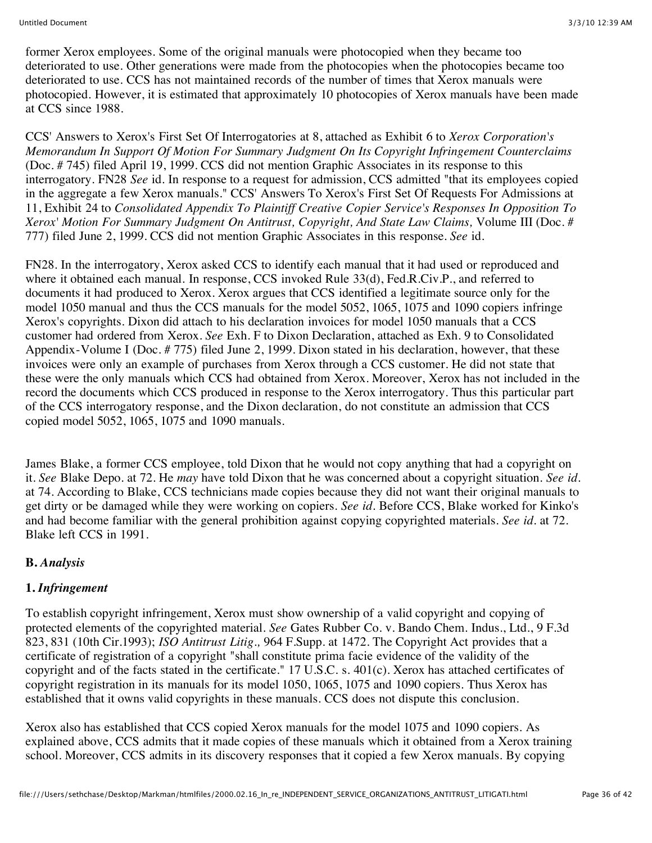former Xerox employees. Some of the original manuals were photocopied when they became too deteriorated to use. Other generations were made from the photocopies when the photocopies became too deteriorated to use. CCS has not maintained records of the number of times that Xerox manuals were photocopied. However, it is estimated that approximately 10 photocopies of Xerox manuals have been made at CCS since 1988.

CCS' Answers to Xerox's First Set Of Interrogatories at 8, attached as Exhibit 6 to *Xerox Corporation's Memorandum In Support Of Motion For Summary Judgment On Its Copyright Infringement Counterclaims* (Doc. # 745) filed April 19, 1999. CCS did not mention Graphic Associates in its response to this interrogatory. FN28 *See* id. In response to a request for admission, CCS admitted "that its employees copied in the aggregate a few Xerox manuals." CCS' Answers To Xerox's First Set Of Requests For Admissions at 11, Exhibit 24 to *Consolidated Appendix To Plaintiff Creative Copier Service's Responses In Opposition To Xerox' Motion For Summary Judgment On Antitrust, Copyright, And State Law Claims,* Volume III (Doc. # 777) filed June 2, 1999. CCS did not mention Graphic Associates in this response. *See* id.

FN28. In the interrogatory, Xerox asked CCS to identify each manual that it had used or reproduced and where it obtained each manual. In response, CCS invoked Rule 33(d), Fed.R.Civ.P., and referred to documents it had produced to Xerox. Xerox argues that CCS identified a legitimate source only for the model 1050 manual and thus the CCS manuals for the model 5052, 1065, 1075 and 1090 copiers infringe Xerox's copyrights. Dixon did attach to his declaration invoices for model 1050 manuals that a CCS customer had ordered from Xerox. *See* Exh. F to Dixon Declaration, attached as Exh. 9 to Consolidated Appendix-Volume I (Doc. # 775) filed June 2, 1999. Dixon stated in his declaration, however, that these invoices were only an example of purchases from Xerox through a CCS customer. He did not state that these were the only manuals which CCS had obtained from Xerox. Moreover, Xerox has not included in the record the documents which CCS produced in response to the Xerox interrogatory. Thus this particular part of the CCS interrogatory response, and the Dixon declaration, do not constitute an admission that CCS copied model 5052, 1065, 1075 and 1090 manuals.

James Blake, a former CCS employee, told Dixon that he would not copy anything that had a copyright on it. *See* Blake Depo. at 72. He *may* have told Dixon that he was concerned about a copyright situation. *See id.* at 74. According to Blake, CCS technicians made copies because they did not want their original manuals to get dirty or be damaged while they were working on copiers. *See id.* Before CCS, Blake worked for Kinko's and had become familiar with the general prohibition against copying copyrighted materials. *See id.* at 72. Blake left CCS in 1991.

### **B.** *Analysis*

### **1.** *Infringement*

To establish copyright infringement, Xerox must show ownership of a valid copyright and copying of protected elements of the copyrighted material. *See* Gates Rubber Co. v. Bando Chem. Indus., Ltd., 9 F.3d 823, 831 (10th Cir.1993); *ISO Antitrust Litig.,* 964 F.Supp. at 1472. The Copyright Act provides that a certificate of registration of a copyright "shall constitute prima facie evidence of the validity of the copyright and of the facts stated in the certificate." 17 U.S.C. s. 401(c). Xerox has attached certificates of copyright registration in its manuals for its model 1050, 1065, 1075 and 1090 copiers. Thus Xerox has established that it owns valid copyrights in these manuals. CCS does not dispute this conclusion.

Xerox also has established that CCS copied Xerox manuals for the model 1075 and 1090 copiers. As explained above, CCS admits that it made copies of these manuals which it obtained from a Xerox training school. Moreover, CCS admits in its discovery responses that it copied a few Xerox manuals. By copying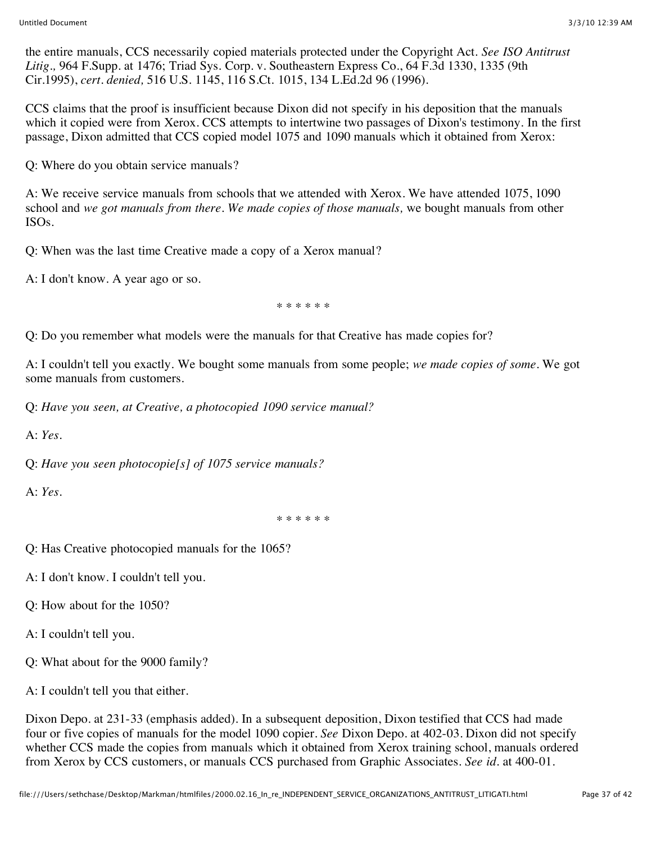the entire manuals, CCS necessarily copied materials protected under the Copyright Act. *See ISO Antitrust Litig.,* 964 F.Supp. at 1476; Triad Sys. Corp. v. Southeastern Express Co., 64 F.3d 1330, 1335 (9th Cir.1995), *cert. denied,* 516 U.S. 1145, 116 S.Ct. 1015, 134 L.Ed.2d 96 (1996).

CCS claims that the proof is insufficient because Dixon did not specify in his deposition that the manuals which it copied were from Xerox. CCS attempts to intertwine two passages of Dixon's testimony. In the first passage, Dixon admitted that CCS copied model 1075 and 1090 manuals which it obtained from Xerox:

Q: Where do you obtain service manuals?

A: We receive service manuals from schools that we attended with Xerox. We have attended 1075, 1090 school and *we got manuals from there. We made copies of those manuals,* we bought manuals from other ISOs.

Q: When was the last time Creative made a copy of a Xerox manual?

A: I don't know. A year ago or so.

\* \* \* \* \* \*

Q: Do you remember what models were the manuals for that Creative has made copies for?

A: I couldn't tell you exactly. We bought some manuals from some people; *we made copies of some.* We got some manuals from customers.

Q: *Have you seen, at Creative, a photocopied 1090 service manual?*

A: *Yes.*

Q: *Have you seen photocopie[s] of 1075 service manuals?*

A: *Yes.*

\* \* \* \* \* \*

Q: Has Creative photocopied manuals for the 1065?

A: I don't know. I couldn't tell you.

Q: How about for the 1050?

A: I couldn't tell you.

Q: What about for the 9000 family?

A: I couldn't tell you that either.

Dixon Depo. at 231-33 (emphasis added). In a subsequent deposition, Dixon testified that CCS had made four or five copies of manuals for the model 1090 copier. *See* Dixon Depo. at 402-03. Dixon did not specify whether CCS made the copies from manuals which it obtained from Xerox training school, manuals ordered from Xerox by CCS customers, or manuals CCS purchased from Graphic Associates. *See id.* at 400-01.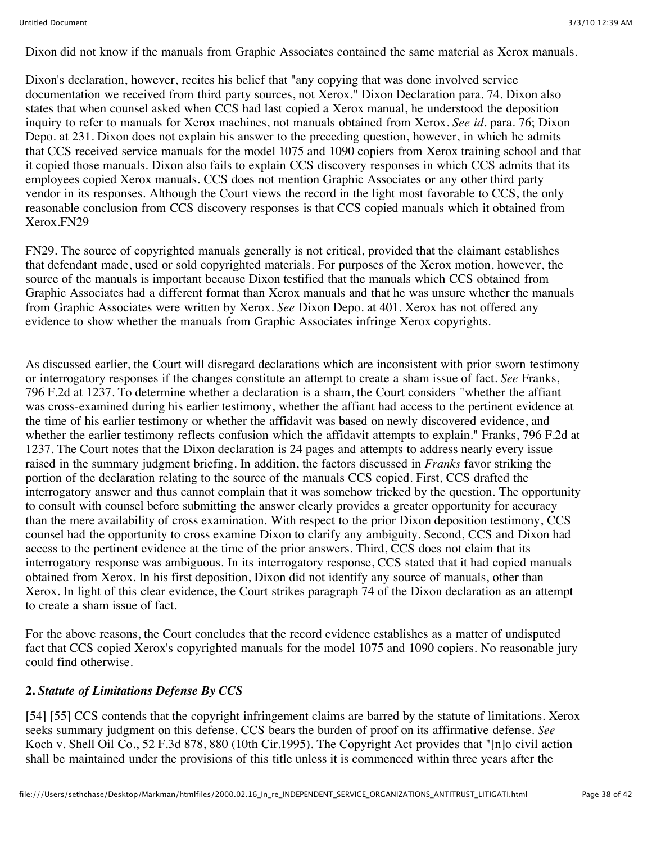Dixon did not know if the manuals from Graphic Associates contained the same material as Xerox manuals.

Dixon's declaration, however, recites his belief that "any copying that was done involved service documentation we received from third party sources, not Xerox." Dixon Declaration para. 74. Dixon also states that when counsel asked when CCS had last copied a Xerox manual, he understood the deposition inquiry to refer to manuals for Xerox machines, not manuals obtained from Xerox. *See id.* para. 76; Dixon Depo. at 231. Dixon does not explain his answer to the preceding question, however, in which he admits that CCS received service manuals for the model 1075 and 1090 copiers from Xerox training school and that it copied those manuals. Dixon also fails to explain CCS discovery responses in which CCS admits that its employees copied Xerox manuals. CCS does not mention Graphic Associates or any other third party vendor in its responses. Although the Court views the record in the light most favorable to CCS, the only reasonable conclusion from CCS discovery responses is that CCS copied manuals which it obtained from Xerox.FN29

FN29. The source of copyrighted manuals generally is not critical, provided that the claimant establishes that defendant made, used or sold copyrighted materials. For purposes of the Xerox motion, however, the source of the manuals is important because Dixon testified that the manuals which CCS obtained from Graphic Associates had a different format than Xerox manuals and that he was unsure whether the manuals from Graphic Associates were written by Xerox. *See* Dixon Depo. at 401. Xerox has not offered any evidence to show whether the manuals from Graphic Associates infringe Xerox copyrights.

As discussed earlier, the Court will disregard declarations which are inconsistent with prior sworn testimony or interrogatory responses if the changes constitute an attempt to create a sham issue of fact. *See* Franks, 796 F.2d at 1237. To determine whether a declaration is a sham, the Court considers "whether the affiant was cross-examined during his earlier testimony, whether the affiant had access to the pertinent evidence at the time of his earlier testimony or whether the affidavit was based on newly discovered evidence, and whether the earlier testimony reflects confusion which the affidavit attempts to explain." Franks, 796 F.2d at 1237. The Court notes that the Dixon declaration is 24 pages and attempts to address nearly every issue raised in the summary judgment briefing. In addition, the factors discussed in *Franks* favor striking the portion of the declaration relating to the source of the manuals CCS copied. First, CCS drafted the interrogatory answer and thus cannot complain that it was somehow tricked by the question. The opportunity to consult with counsel before submitting the answer clearly provides a greater opportunity for accuracy than the mere availability of cross examination. With respect to the prior Dixon deposition testimony, CCS counsel had the opportunity to cross examine Dixon to clarify any ambiguity. Second, CCS and Dixon had access to the pertinent evidence at the time of the prior answers. Third, CCS does not claim that its interrogatory response was ambiguous. In its interrogatory response, CCS stated that it had copied manuals obtained from Xerox. In his first deposition, Dixon did not identify any source of manuals, other than Xerox. In light of this clear evidence, the Court strikes paragraph 74 of the Dixon declaration as an attempt to create a sham issue of fact.

For the above reasons, the Court concludes that the record evidence establishes as a matter of undisputed fact that CCS copied Xerox's copyrighted manuals for the model 1075 and 1090 copiers. No reasonable jury could find otherwise.

### **2.** *Statute of Limitations Defense By CCS*

[54] [55] CCS contends that the copyright infringement claims are barred by the statute of limitations. Xerox seeks summary judgment on this defense. CCS bears the burden of proof on its affirmative defense. *See* Koch v. Shell Oil Co., 52 F.3d 878, 880 (10th Cir.1995). The Copyright Act provides that "[n]o civil action shall be maintained under the provisions of this title unless it is commenced within three years after the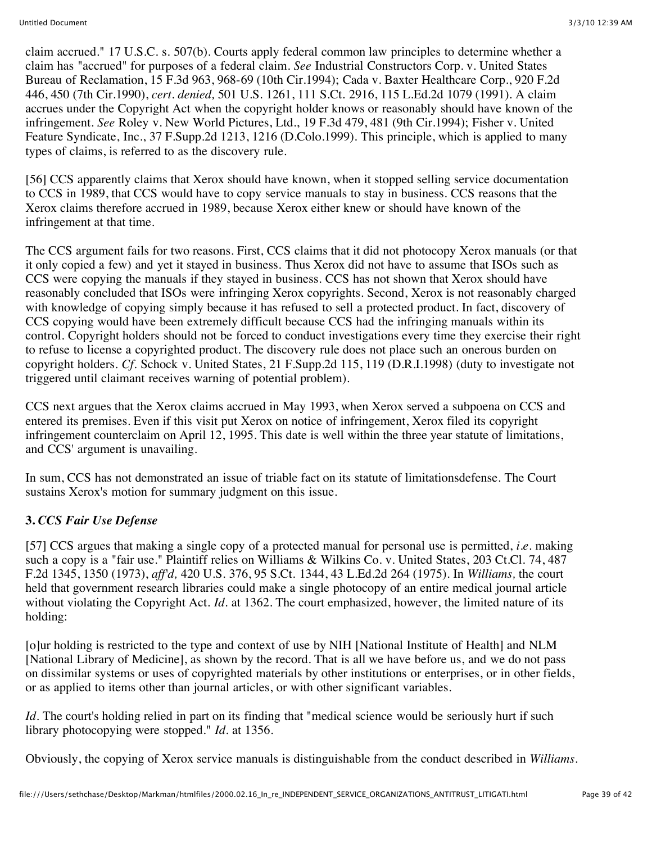claim accrued." 17 U.S.C. s. 507(b). Courts apply federal common law principles to determine whether a claim has "accrued" for purposes of a federal claim. *See* Industrial Constructors Corp. v. United States Bureau of Reclamation, 15 F.3d 963, 968-69 (10th Cir.1994); Cada v. Baxter Healthcare Corp., 920 F.2d 446, 450 (7th Cir.1990), *cert. denied,* 501 U.S. 1261, 111 S.Ct. 2916, 115 L.Ed.2d 1079 (1991). A claim accrues under the Copyright Act when the copyright holder knows or reasonably should have known of the infringement. *See* Roley v. New World Pictures, Ltd., 19 F.3d 479, 481 (9th Cir.1994); Fisher v. United Feature Syndicate, Inc., 37 F.Supp.2d 1213, 1216 (D.Colo.1999). This principle, which is applied to many types of claims, is referred to as the discovery rule.

[56] CCS apparently claims that Xerox should have known, when it stopped selling service documentation to CCS in 1989, that CCS would have to copy service manuals to stay in business. CCS reasons that the Xerox claims therefore accrued in 1989, because Xerox either knew or should have known of the infringement at that time.

The CCS argument fails for two reasons. First, CCS claims that it did not photocopy Xerox manuals (or that it only copied a few) and yet it stayed in business. Thus Xerox did not have to assume that ISOs such as CCS were copying the manuals if they stayed in business. CCS has not shown that Xerox should have reasonably concluded that ISOs were infringing Xerox copyrights. Second, Xerox is not reasonably charged with knowledge of copying simply because it has refused to sell a protected product. In fact, discovery of CCS copying would have been extremely difficult because CCS had the infringing manuals within its control. Copyright holders should not be forced to conduct investigations every time they exercise their right to refuse to license a copyrighted product. The discovery rule does not place such an onerous burden on copyright holders. *Cf.* Schock v. United States, 21 F.Supp.2d 115, 119 (D.R.I.1998) (duty to investigate not triggered until claimant receives warning of potential problem).

CCS next argues that the Xerox claims accrued in May 1993, when Xerox served a subpoena on CCS and entered its premises. Even if this visit put Xerox on notice of infringement, Xerox filed its copyright infringement counterclaim on April 12, 1995. This date is well within the three year statute of limitations, and CCS' argument is unavailing.

In sum, CCS has not demonstrated an issue of triable fact on its statute of limitationsdefense. The Court sustains Xerox's motion for summary judgment on this issue.

# **3.** *CCS Fair Use Defense*

[57] CCS argues that making a single copy of a protected manual for personal use is permitted, *i.e.* making such a copy is a "fair use." Plaintiff relies on Williams & Wilkins Co. v. United States, 203 Ct.Cl. 74, 487 F.2d 1345, 1350 (1973), *aff'd,* 420 U.S. 376, 95 S.Ct. 1344, 43 L.Ed.2d 264 (1975). In *Williams,* the court held that government research libraries could make a single photocopy of an entire medical journal article without violating the Copyright Act. *Id.* at 1362. The court emphasized, however, the limited nature of its holding:

[o]ur holding is restricted to the type and context of use by NIH [National Institute of Health] and NLM [National Library of Medicine], as shown by the record. That is all we have before us, and we do not pass on dissimilar systems or uses of copyrighted materials by other institutions or enterprises, or in other fields, or as applied to items other than journal articles, or with other significant variables.

*Id.* The court's holding relied in part on its finding that "medical science would be seriously hurt if such library photocopying were stopped." *Id.* at 1356.

Obviously, the copying of Xerox service manuals is distinguishable from the conduct described in *Williams.*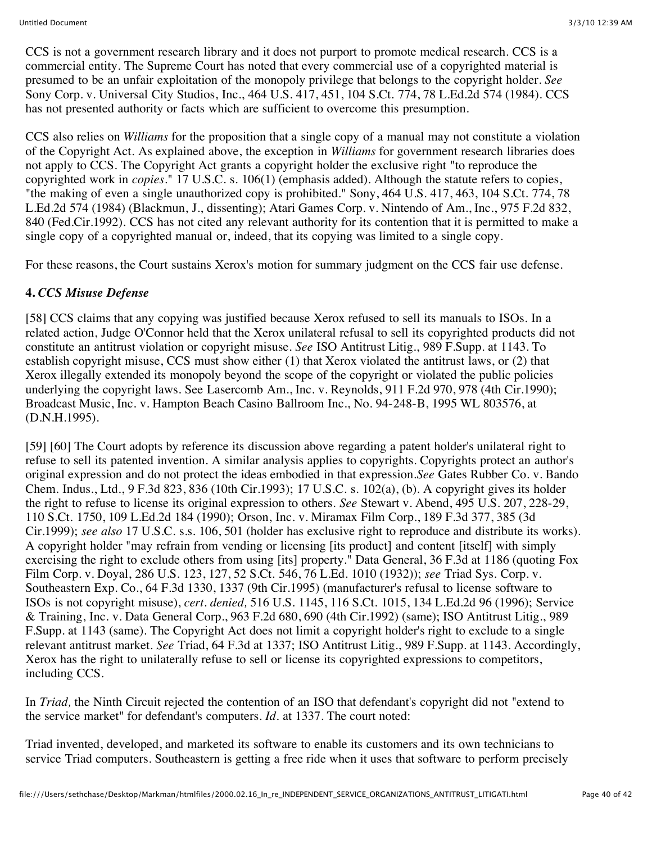CCS is not a government research library and it does not purport to promote medical research. CCS is a commercial entity. The Supreme Court has noted that every commercial use of a copyrighted material is presumed to be an unfair exploitation of the monopoly privilege that belongs to the copyright holder. *See* Sony Corp. v. Universal City Studios, Inc., 464 U.S. 417, 451, 104 S.Ct. 774, 78 L.Ed.2d 574 (1984). CCS has not presented authority or facts which are sufficient to overcome this presumption.

CCS also relies on *Williams* for the proposition that a single copy of a manual may not constitute a violation of the Copyright Act. As explained above, the exception in *Williams* for government research libraries does not apply to CCS. The Copyright Act grants a copyright holder the exclusive right "to reproduce the copyrighted work in *copies.*" 17 U.S.C. s. 106(1) (emphasis added). Although the statute refers to copies, "the making of even a single unauthorized copy is prohibited." Sony, 464 U.S. 417, 463, 104 S.Ct. 774, 78 L.Ed.2d 574 (1984) (Blackmun, J., dissenting); Atari Games Corp. v. Nintendo of Am., Inc., 975 F.2d 832, 840 (Fed.Cir.1992). CCS has not cited any relevant authority for its contention that it is permitted to make a single copy of a copyrighted manual or, indeed, that its copying was limited to a single copy.

For these reasons, the Court sustains Xerox's motion for summary judgment on the CCS fair use defense.

### **4.** *CCS Misuse Defense*

[58] CCS claims that any copying was justified because Xerox refused to sell its manuals to ISOs. In a related action, Judge O'Connor held that the Xerox unilateral refusal to sell its copyrighted products did not constitute an antitrust violation or copyright misuse. *See* ISO Antitrust Litig., 989 F.Supp. at 1143. To establish copyright misuse, CCS must show either (1) that Xerox violated the antitrust laws, or (2) that Xerox illegally extended its monopoly beyond the scope of the copyright or violated the public policies underlying the copyright laws. See Lasercomb Am., Inc. v. Reynolds, 911 F.2d 970, 978 (4th Cir.1990); Broadcast Music, Inc. v. Hampton Beach Casino Ballroom Inc., No. 94-248-B, 1995 WL 803576, at (D.N.H.1995).

[59] [60] The Court adopts by reference its discussion above regarding a patent holder's unilateral right to refuse to sell its patented invention. A similar analysis applies to copyrights. Copyrights protect an author's original expression and do not protect the ideas embodied in that expression.*See* Gates Rubber Co. v. Bando Chem. Indus., Ltd., 9 F.3d 823, 836 (10th Cir.1993); 17 U.S.C. s. 102(a), (b). A copyright gives its holder the right to refuse to license its original expression to others. *See* Stewart v. Abend, 495 U.S. 207, 228-29, 110 S.Ct. 1750, 109 L.Ed.2d 184 (1990); Orson, Inc. v. Miramax Film Corp., 189 F.3d 377, 385 (3d Cir.1999); *see also* 17 U.S.C. s.s. 106, 501 (holder has exclusive right to reproduce and distribute its works). A copyright holder "may refrain from vending or licensing [its product] and content [itself] with simply exercising the right to exclude others from using [its] property." Data General, 36 F.3d at 1186 (quoting Fox Film Corp. v. Doyal, 286 U.S. 123, 127, 52 S.Ct. 546, 76 L.Ed. 1010 (1932)); *see* Triad Sys. Corp. v. Southeastern Exp. Co., 64 F.3d 1330, 1337 (9th Cir.1995) (manufacturer's refusal to license software to ISOs is not copyright misuse), *cert. denied,* 516 U.S. 1145, 116 S.Ct. 1015, 134 L.Ed.2d 96 (1996); Service & Training, Inc. v. Data General Corp., 963 F.2d 680, 690 (4th Cir.1992) (same); ISO Antitrust Litig., 989 F.Supp. at 1143 (same). The Copyright Act does not limit a copyright holder's right to exclude to a single relevant antitrust market. *See* Triad, 64 F.3d at 1337; ISO Antitrust Litig., 989 F.Supp. at 1143. Accordingly, Xerox has the right to unilaterally refuse to sell or license its copyrighted expressions to competitors, including CCS.

In *Triad,* the Ninth Circuit rejected the contention of an ISO that defendant's copyright did not "extend to the service market" for defendant's computers. *Id.* at 1337. The court noted:

Triad invented, developed, and marketed its software to enable its customers and its own technicians to service Triad computers. Southeastern is getting a free ride when it uses that software to perform precisely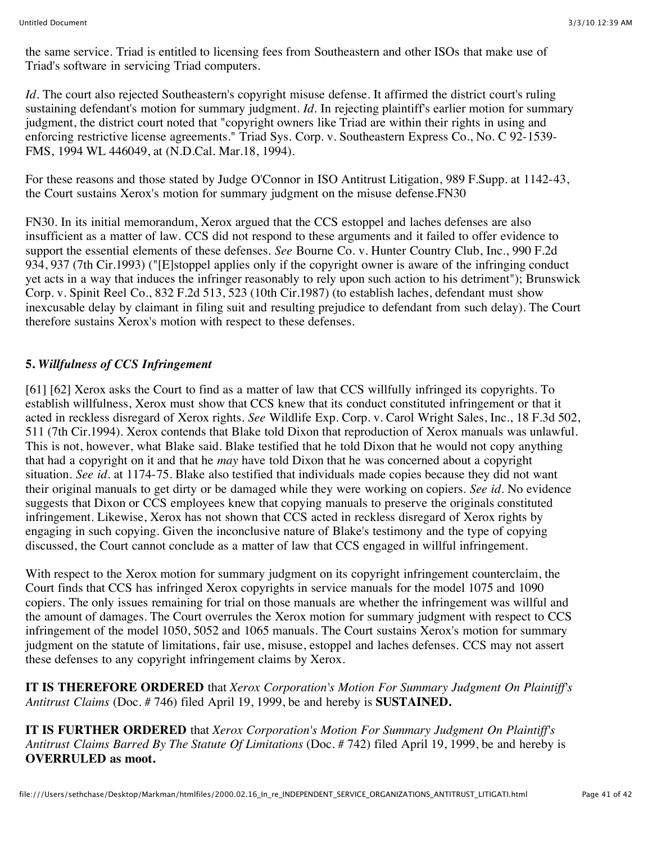the same service. Triad is entitled to licensing fees from Southeastern and other ISOs that make use of Triad's software in servicing Triad computers.

*Id.* The court also rejected Southeastern's copyright misuse defense. It affirmed the district court's ruling sustaining defendant's motion for summary judgment. *Id*. In rejecting plaintiff's earlier motion for summary judgment, the district court noted that "copyright owners like Triad are within their rights in using and enforcing restrictive license agreements." Triad Sys. Corp. v. Southeastern Express Co., No. C 92-1539- FMS, 1994 WL 446049, at (N.D.Cal. Mar.18, 1994).

For these reasons and those stated by Judge O'Connor in ISO Antitrust Litigation, 989 F.Supp. at 1142-43, the Court sustains Xerox's motion for summary judgment on the misuse defense.FN30

FN30. In its initial memorandum, Xerox argued that the CCS estoppel and laches defenses are also insufficient as a matter of law. CCS did not respond to these arguments and it failed to offer evidence to support the essential elements of these defenses. *See* Bourne Co. v. Hunter Country Club, Inc., 990 F.2d 934, 937 (7th Cir.1993) ("[E]stoppel applies only if the copyright owner is aware of the infringing conduct yet acts in a way that induces the infringer reasonably to rely upon such action to his detriment"); Brunswick Corp. v. Spinit Reel Co., 832 F.2d 513, 523 (10th Cir.1987) (to establish laches, defendant must show inexcusable delay by claimant in filing suit and resulting prejudice to defendant from such delay). The Court therefore sustains Xerox's motion with respect to these defenses.

# **5.** *Willfulness of CCS Infringement*

[61] [62] Xerox asks the Court to find as a matter of law that CCS willfully infringed its copyrights. To establish willfulness, Xerox must show that CCS knew that its conduct constituted infringement or that it acted in reckless disregard of Xerox rights. *See* Wildlife Exp. Corp. v. Carol Wright Sales, Inc., 18 F.3d 502, 511 (7th Cir.1994). Xerox contends that Blake told Dixon that reproduction of Xerox manuals was unlawful. This is not, however, what Blake said. Blake testified that he told Dixon that he would not copy anything that had a copyright on it and that he *may* have told Dixon that he was concerned about a copyright situation. *See id.* at 1174-75. Blake also testified that individuals made copies because they did not want their original manuals to get dirty or be damaged while they were working on copiers. *See id.* No evidence suggests that Dixon or CCS employees knew that copying manuals to preserve the originals constituted infringement. Likewise, Xerox has not shown that CCS acted in reckless disregard of Xerox rights by engaging in such copying. Given the inconclusive nature of Blake's testimony and the type of copying discussed, the Court cannot conclude as a matter of law that CCS engaged in willful infringement.

With respect to the Xerox motion for summary judgment on its copyright infringement counterclaim, the Court finds that CCS has infringed Xerox copyrights in service manuals for the model 1075 and 1090 copiers. The only issues remaining for trial on those manuals are whether the infringement was willful and the amount of damages. The Court overrules the Xerox motion for summary judgment with respect to CCS infringement of the model 1050, 5052 and 1065 manuals. The Court sustains Xerox's motion for summary judgment on the statute of limitations, fair use, misuse, estoppel and laches defenses. CCS may not assert these defenses to any copyright infringement claims by Xerox.

**IT IS THEREFORE ORDERED** that *Xerox Corporation's Motion For Summary Judgment On Plaintiff's Antitrust Claims* (Doc. # 746) filed April 19, 1999, be and hereby is **SUSTAINED.**

**IT IS FURTHER ORDERED** that *Xerox Corporation's Motion For Summary Judgment On Plaintiff's Antitrust Claims Barred By The Statute Of Limitations* (Doc. # 742) filed April 19, 1999, be and hereby is **OVERRULED as moot.**